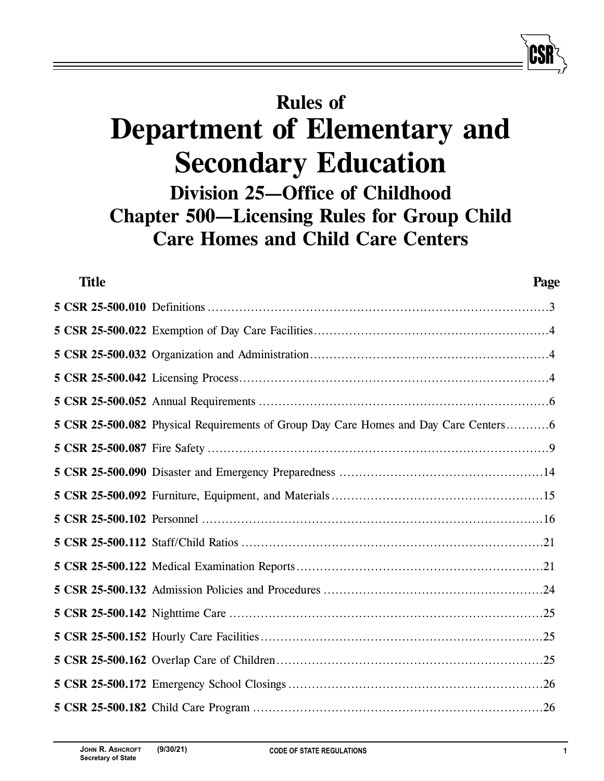# **Rules of Department of Elementary and Secondary Education Division 25—Office of Childhood Chapter 500—Licensing Rules for Group Child Care Homes and Child Care Centers**

| <b>Title</b> | Page                                                                                |
|--------------|-------------------------------------------------------------------------------------|
|              |                                                                                     |
|              |                                                                                     |
|              |                                                                                     |
|              |                                                                                     |
|              |                                                                                     |
|              | 5 CSR 25-500.082 Physical Requirements of Group Day Care Homes and Day Care Centers |
|              |                                                                                     |
|              |                                                                                     |
|              |                                                                                     |
|              |                                                                                     |
|              |                                                                                     |
|              |                                                                                     |
|              |                                                                                     |
|              |                                                                                     |
|              |                                                                                     |
|              |                                                                                     |
|              |                                                                                     |
|              |                                                                                     |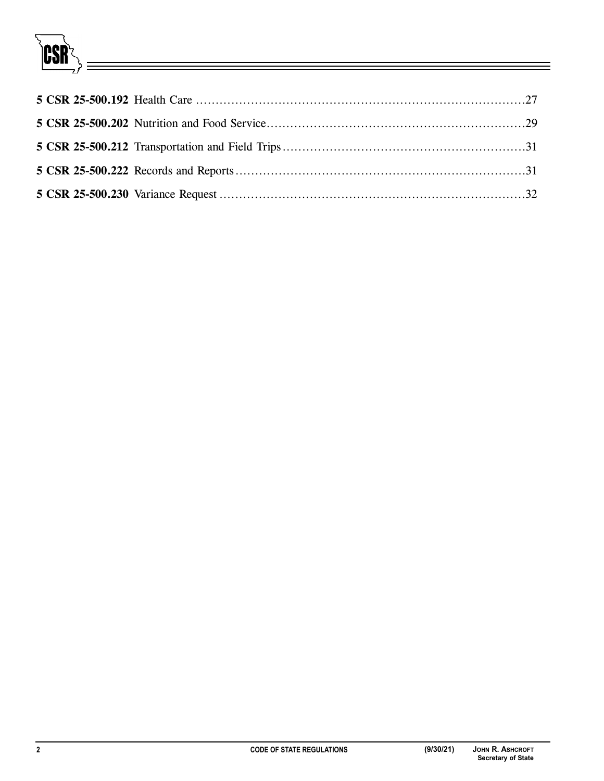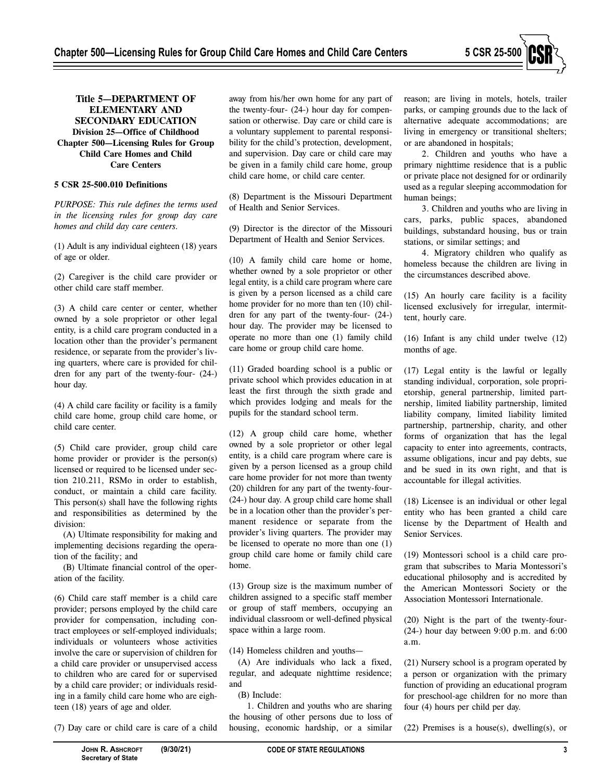

# **Title 5—DEPARTMENT OF ELEMENTARY AND SECONDARY EDUCATION Division 25—Office of Childhood Chapter 500—Licensing Rules for Group Child Care Homes and Child Care Centers**

# **5 CSR 25-500.010 Definitions**

*PURPOSE: This rule defines the terms used in the licensing rules for group day care homes and child day care centers.* 

(1) Adult is any individual eighteen (18) years of age or older.

(2) Caregiver is the child care provider or other child care staff member.

(3) A child care center or center, whether owned by a sole proprietor or other legal entity, is a child care program conducted in a location other than the provider's permanent residence, or separate from the provider's living quarters, where care is provided for children for any part of the twenty-four- (24-) hour day.

(4) A child care facility or facility is a family child care home, group child care home, or child care center.

(5) Child care provider, group child care home provider or provider is the person(s) licensed or required to be licensed under section 210.211, RSMo in order to establish, conduct, or maintain a child care facility. This person(s) shall have the following rights and responsibilities as determined by the division:

(A) Ultimate responsibility for making and implementing decisions regarding the operation of the facility; and

(B) Ultimate financial control of the operation of the facility.

(6) Child care staff member is a child care provider; persons employed by the child care provider for compensation, including contract employees or self-employed individuals; individuals or volunteers whose activities involve the care or supervision of children for a child care provider or unsupervised access to children who are cared for or supervised by a child care provider; or individuals residing in a family child care home who are eighteen (18) years of age and older.

(7) Day care or child care is care of a child

away from his/her own home for any part of the twenty-four- (24-) hour day for compensation or otherwise. Day care or child care is a voluntary supplement to parental responsibility for the child's protection, development, and supervision. Day care or child care may be given in a family child care home, group child care home, or child care center.

(8) Department is the Missouri Department of Health and Senior Services.

(9) Director is the director of the Missouri Department of Health and Senior Services.

(10) A family child care home or home, whether owned by a sole proprietor or other legal entity, is a child care program where care is given by a person licensed as a child care home provider for no more than ten (10) children for any part of the twenty-four- (24-) hour day. The provider may be licensed to operate no more than one (1) family child care home or group child care home.

(11) Graded boarding school is a public or private school which provides education in at least the first through the sixth grade and which provides lodging and meals for the pupils for the standard school term.

(12) A group child care home, whether owned by a sole proprietor or other legal entity, is a child care program where care is given by a person licensed as a group child care home provider for not more than twenty (20) children for any part of the twenty-four- (24-) hour day. A group child care home shall be in a location other than the provider's permanent residence or separate from the provider's living quarters. The provider may be licensed to operate no more than one (1) group child care home or family child care home.

(13) Group size is the maximum number of children assigned to a specific staff member or group of staff members, occupying an individual classroom or well-defined physical space within a large room.

(14) Homeless children and youths—

(A) Are individuals who lack a fixed, regular, and adequate nighttime residence; and

(B) Include:

1. Children and youths who are sharing the housing of other persons due to loss of housing, economic hardship, or a similar

reason; are living in motels, hotels, trailer parks, or camping grounds due to the lack of alternative adequate accommodations; are living in emergency or transitional shelters; or are abandoned in hospitals;

2. Children and youths who have a primary nighttime residence that is a public or private place not designed for or ordinarily used as a regular sleeping accommodation for human beings;

3. Children and youths who are living in cars, parks, public spaces, abandoned buildings, substandard housing, bus or train stations, or similar settings; and

4. Migratory children who qualify as homeless because the children are living in the circumstances described above.

(15) An hourly care facility is a facility licensed exclusively for irregular, intermittent, hourly care.

(16) Infant is any child under twelve (12) months of age.

(17) Legal entity is the lawful or legally standing individual, corporation, sole proprietorship, general partnership, limited partnership, limited liability partnership, limited liability company, limited liability limited partnership, partnership, charity, and other forms of organization that has the legal capacity to enter into agreements, contracts, assume obligations, incur and pay debts, sue and be sued in its own right, and that is accountable for illegal activities.

(18) Licensee is an individual or other legal entity who has been granted a child care license by the Department of Health and Senior Services.

(19) Montessori school is a child care program that subscribes to Maria Montessori's educational philosophy and is accredited by the American Montessori Society or the Association Montessori Internationale.

(20) Night is the part of the twenty-four-  $(24-)$  hour day between  $9:00$  p.m. and  $6:00$ a.m.

(21) Nursery school is a program operated by a person or organization with the primary function of providing an educational program for preschool-age children for no more than four (4) hours per child per day.

 $(22)$  Premises is a house $(s)$ , dwelling $(s)$ , or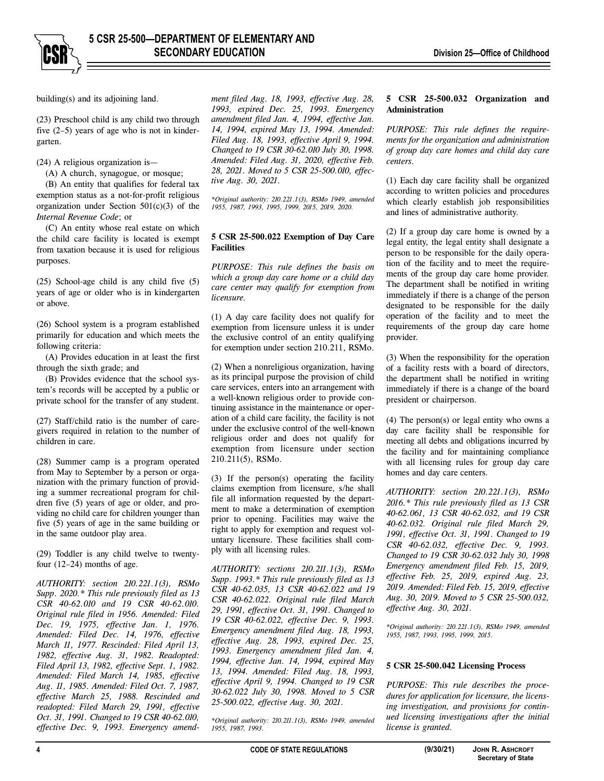

building(s) and its adjoining land.

(23) Preschool child is any child two through five (2–5) years of age who is not in kindergarten.

(24) A religious organization is—

(A) A church, synagogue, or mosque; (B) An entity that qualifies for federal tax exemption status as a not-for-profit religious organization under Section  $501(c)(3)$  of the *Internal Revenue Code*; or

(C) An entity whose real estate on which the child care facility is located is exempt from taxation because it is used for religious purposes.

(25) School-age child is any child five (5) years of age or older who is in kindergarten or above.

(26) School system is a program established primarily for education and which meets the following criteria:

(A) Provides education in at least the first through the sixth grade; and

(B) Provides evidence that the school system's records will be accepted by a public or private school for the transfer of any student.

(27) Staff/child ratio is the number of caregivers required in relation to the number of children in care.

(28) Summer camp is a program operated from May to September by a person or organization with the primary function of providing a summer recreational program for children five (5) years of age or older, and providing no child care for children younger than five (5) years of age in the same building or in the same outdoor play area.

(29) Toddler is any child twelve to twentyfour (12–24) months of age.

*AUTHORITY: section 210.221.1(3), RSMo Supp. 2020.\* This rule previously filed as 13 CSR 40-62.010 and 19 CSR 40-62.010. Original rule filed in 1956. Amended: Filed Dec. 19, 1975, effective Jan. 1, 1976. Amended: Filed Dec. 14, 1976, effective March 11, 1977. Rescinded: Filed April 13, 1982, effective Aug. 31, 1982. Readopted: Filed April 13, 1982, effective Sept. 1, 1982. Amended: Filed March 14, 1985, effective Aug. 11, 1985. Amended: Filed Oct. 7, 1987, effective March 25, 1988. Rescinded and readopted: Filed March 29, 1991, effective Oct. 31, 1991. Changed to 19 CSR 40-62.010, effective Dec. 9, 1993. Emergency amend-* *ment filed Aug. 18, 1993, effective Aug. 28, 1993, expired Dec. 25, 1993. Emergency amendment filed Jan. 4, 1994, effective Jan. 14, 1994, expired May 13, 1994. Amended: Filed Aug. 18, 1993, effective April 9, 1994. Changed to 19 CSR 30-62.010 July 30, 1998. Amended: Filed Aug. 31, 2020, effective Feb. 28, 2021. Moved to 5 CSR 25-500.010, effective Aug. 30, 2021.* 

*\*Original authority: 210.221.1(3), RSMo 1949, amended 1955, 1987, 1993, 1995, 1999, 2015, 2019, 2020.* 

## **5 CSR 25-500.022 Exemption of Day Care Facilities**

*PURPOSE: This rule defines the basis on which a group day care home or a child day care center may qualify for exemption from licensure.* 

(1) A day care facility does not qualify for exemption from licensure unless it is under the exclusive control of an entity qualifying for exemption under section 210.211, RSMo.

(2) When a nonreligious organization, having as its principal purpose the provision of child care services, enters into an arrangement with a well-known religious order to provide continuing assistance in the maintenance or operation of a child care facility, the facility is not under the exclusive control of the well-known religious order and does not qualify for exemption from licensure under section 210.211(5), RSMo.

(3) If the person(s) operating the facility claims exemption from licensure, s/he shall file all information requested by the department to make a determination of exemption prior to opening. Facilities may waive the right to apply for exemption and request voluntary licensure. These facilities shall comply with all licensing rules.

*AUTHORITY: sections 210.211.1(3), RSMo Supp. 1993.\* This rule previously filed as 13 CSR 40-62.035, 13 CSR 40-62.022 and 19 CSR 40-62.022. Original rule filed March 29, 1991, effective Oct. 31, 1991. Changed to 19 CSR 40-62.022, effective Dec. 9, 1993. Emergency amendment filed Aug. 18, 1993, effective Aug. 28, 1993, expired Dec. 25, 1993. Emergency amendment filed Jan. 4, 1994, effective Jan. 14, 1994, expired May 13, 1994. Amended: Filed Aug. 18, 1993, effective April 9, 1994. Changed to 19 CSR 30-62.022 July 30, 1998. Moved to 5 CSR 25-500.022, effective Aug. 30, 2021.* 

*\*Original authority: 210.211.1(3), RSMo 1949, amended 1955, 1987, 1993.* 

## **5 CSR 25-500.032 Organization and Administration**

*PURPOSE: This rule defines the requirements for the organization and administration of group day care homes and child day care centers.* 

(1) Each day care facility shall be organized according to written policies and procedures which clearly establish job responsibilities and lines of administrative authority.

(2) If a group day care home is owned by a legal entity, the legal entity shall designate a person to be responsible for the daily operation of the facility and to meet the requirements of the group day care home provider. The department shall be notified in writing immediately if there is a change of the person designated to be responsible for the daily operation of the facility and to meet the requirements of the group day care home provider.

(3) When the responsibility for the operation of a facility rests with a board of directors, the department shall be notified in writing immediately if there is a change of the board president or chairperson.

(4) The person(s) or legal entity who owns a day care facility shall be responsible for meeting all debts and obligations incurred by the facility and for maintaining compliance with all licensing rules for group day care homes and day care centers.

*AUTHORITY: section 210.221.1(3), RSMo 2016.\* This rule previously filed as 13 CSR 40-62.061, 13 CSR 40-62.032, and 19 CSR 40-62.032. Original rule filed March 29, 1991, effective Oct. 31, 1991. Changed to 19 CSR 40-62.032, effective Dec. 9, 1993. Changed to 19 CSR 30-62.032 July 30, 1998 Emergency amendment filed Feb. 15, 2019, effective Feb. 25, 2019, expired Aug. 23, 2019. Amended: Filed Feb. 15, 2019, effective Aug. 30, 2019. Moved to 5 CSR 25-500.032, effective Aug. 30, 2021.* 

*\*Original authority: 210.221.1(3), RSMo 1949, amended 1955, 1987, 1993, 1995, 1999, 2015.* 

## **5 CSR 25-500.042 Licensing Process**

*PURPOSE: This rule describes the procedures for application for licensure, the licensing investigation, and provisions for continued licensing investigations after the initial license is granted.*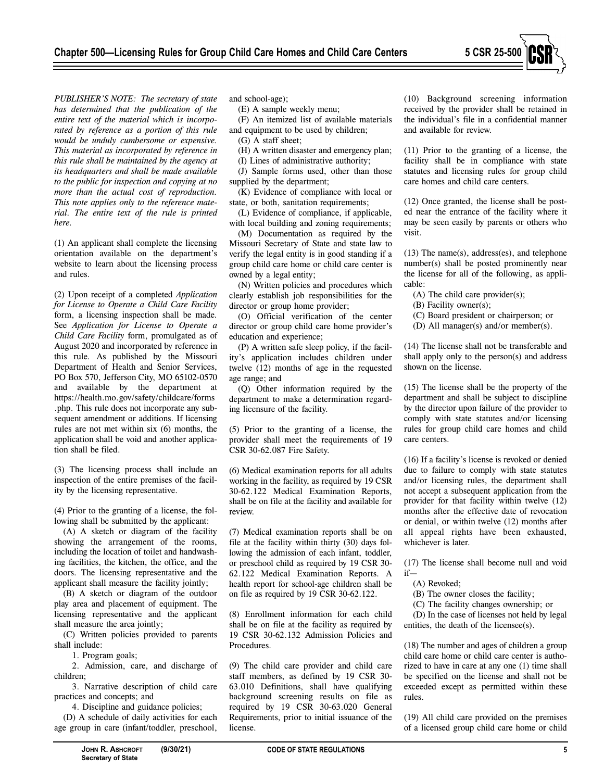

*PUBLISHER'S NOTE: The secretary of state has determined that the publication of the entire text of the material which is incorporated by reference as a portion of this rule would be unduly cumbersome or expensive. This material as incorporated by reference in this rule shall be maintained by the agency at its headquarters and shall be made available to the public for inspection and copying at no more than the actual cost of reproduction. This note applies only to the reference material. The entire text of the rule is printed here.* 

(1) An applicant shall complete the licensing orientation available on the department's website to learn about the licensing process and rules.

(2) Upon receipt of a completed *Application for License to Operate a Child Care Facility* form, a licensing inspection shall be made. See *Application for License to Operate a Child Care Facility* form, promulgated as of August 2020 and incorporated by reference in this rule. As published by the Missouri Department of Health and Senior Services, PO Box 570, Jefferson City, MO 65102-0570 and available by the department at https://health.mo.gov/safety/childcare/forms .php. This rule does not incorporate any subsequent amendment or additions. If licensing rules are not met within six (6) months, the application shall be void and another application shall be filed.

(3) The licensing process shall include an inspection of the entire premises of the facility by the licensing representative.

(4) Prior to the granting of a license, the following shall be submitted by the applicant:

(A) A sketch or diagram of the facility showing the arrangement of the rooms, including the location of toilet and handwashing facilities, the kitchen, the office, and the doors. The licensing representative and the applicant shall measure the facility jointly;

(B) A sketch or diagram of the outdoor play area and placement of equipment. The licensing representative and the applicant shall measure the area jointly;

(C) Written policies provided to parents shall include:

1. Program goals;

2. Admission, care, and discharge of children;

3. Narrative description of child care practices and concepts; and

4. Discipline and guidance policies;

(D) A schedule of daily activities for each age group in care (infant/toddler, preschool,

and school-age);

(E) A sample weekly menu;

(F) An itemized list of available materials and equipment to be used by children;

(G) A staff sheet;

(H) A written disaster and emergency plan;

(I) Lines of administrative authority;

(J) Sample forms used, other than those supplied by the department;

(K) Evidence of compliance with local or state, or both, sanitation requirements;

(L) Evidence of compliance, if applicable, with local building and zoning requirements;

(M) Documentation as required by the Missouri Secretary of State and state law to verify the legal entity is in good standing if a group child care home or child care center is owned by a legal entity;

(N) Written policies and procedures which clearly establish job responsibilities for the director or group home provider;

(O) Official verification of the center director or group child care home provider's education and experience;

(P) A written safe sleep policy, if the facility's application includes children under twelve (12) months of age in the requested age range; and

(Q) Other information required by the department to make a determination regarding licensure of the facility.

(5) Prior to the granting of a license, the provider shall meet the requirements of 19 CSR 30-62.087 Fire Safety.

(6) Medical examination reports for all adults working in the facility, as required by 19 CSR 30-62.122 Medical Examination Reports, shall be on file at the facility and available for review.

(7) Medical examination reports shall be on file at the facility within thirty (30) days following the admission of each infant, toddler, or preschool child as required by 19 CSR 30- 62.122 Medical Examination Reports. A health report for school-age children shall be on file as required by 19 CSR 30-62.122.

(8) Enrollment information for each child shall be on file at the facility as required by 19 CSR 30-62.132 Admission Policies and Procedures.

(9) The child care provider and child care staff members, as defined by 19 CSR 30- 63.010 Definitions, shall have qualifying background screening results on file as required by 19 CSR 30-63.020 General Requirements, prior to initial issuance of the license.

(10) Background screening information received by the provider shall be retained in the individual's file in a confidential manner and available for review.

(11) Prior to the granting of a license, the facility shall be in compliance with state statutes and licensing rules for group child care homes and child care centers.

(12) Once granted, the license shall be posted near the entrance of the facility where it may be seen easily by parents or others who visit.

(13) The name(s), address(es), and telephone number(s) shall be posted prominently near the license for all of the following, as applicable:

(A) The child care provider(s);

- (B) Facility owner(s);
- (C) Board president or chairperson; or
- (D) All manager(s) and/or member(s).

(14) The license shall not be transferable and shall apply only to the person(s) and address shown on the license.

(15) The license shall be the property of the department and shall be subject to discipline by the director upon failure of the provider to comply with state statutes and/or licensing rules for group child care homes and child care centers.

(16) If a facility's license is revoked or denied due to failure to comply with state statutes and/or licensing rules, the department shall not accept a subsequent application from the provider for that facility within twelve (12) months after the effective date of revocation or denial, or within twelve (12) months after all appeal rights have been exhausted, whichever is later.

(17) The license shall become null and void if—

(A) Revoked;

(B) The owner closes the facility;

(C) The facility changes ownership; or

(D) In the case of licenses not held by legal entities, the death of the licensee(s).

(18) The number and ages of children a group child care home or child care center is authorized to have in care at any one (1) time shall be specified on the license and shall not be exceeded except as permitted within these rules.

(19) All child care provided on the premises of a licensed group child care home or child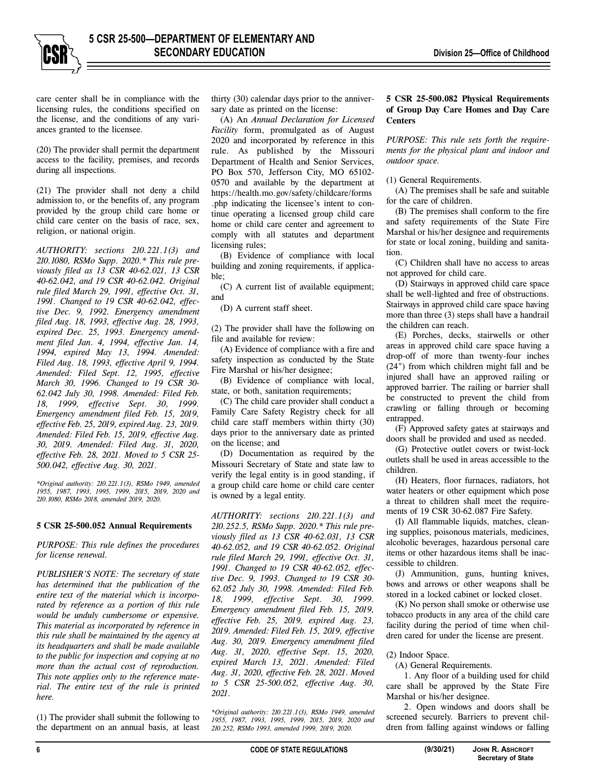care center shall be in compliance with the licensing rules, the conditions specified on the license, and the conditions of any variances granted to the licensee.

(20) The provider shall permit the department access to the facility, premises, and records during all inspections.

(21) The provider shall not deny a child admission to, or the benefits of, any program provided by the group child care home or child care center on the basis of race, sex, religion, or national origin.

*AUTHORITY: sections 210.221.1(3) and 210.1080, RSMo Supp. 2020.\* This rule previously filed as 13 CSR 40-62.021, 13 CSR 40-62.042, and 19 CSR 40-62.042. Original rule filed March 29, 1991, effective Oct. 31, 1991. Changed to 19 CSR 40-62.042, effective Dec. 9, 1992. Emergency amendment filed Aug. 18, 1993, effective Aug. 28, 1993, expired Dec. 25, 1993. Emergency amendment filed Jan. 4, 1994, effective Jan. 14, 1994, expired May 13, 1994. Amended: Filed Aug. 18, 1993, effective April 9, 1994. Amended: Filed Sept. 12, 1995, effective March 30, 1996. Changed to 19 CSR 30- 62.042 July 30, 1998. Amended: Filed Feb. 18, 1999, effective Sept. 30, 1999. Emergency amendment filed Feb. 15, 2019, effective Feb. 25, 2019, expired Aug. 23, 2019. Amended: Filed Feb. 15, 2019, effective Aug. 30, 2019. Amended: Filed Aug. 31, 2020, effective Feb. 28, 2021. Moved to 5 CSR 25- 500.042, effective Aug. 30, 2021.* 

*\*Original authority: 210.221.1(3), RSMo 1949, amended 1955, 1987, 1993, 1995, 1999, 2015, 2019, 2020 and 210.1080, RSMo 2018, amended 2019, 2020.* 

#### **5 CSR 25-500.052 Annual Requirements**

*PURPOSE: This rule defines the procedures for license renewal.* 

*PUBLISHER'S NOTE: The secretary of state has determined that the publication of the entire text of the material which is incorporated by reference as a portion of this rule would be unduly cumbersome or expensive. This material as incorporated by reference in this rule shall be maintained by the agency at its headquarters and shall be made available to the public for inspection and copying at no more than the actual cost of reproduction. This note applies only to the reference material. The entire text of the rule is printed here.* 

(1) The provider shall submit the following to the department on an annual basis, at least thirty (30) calendar days prior to the anniversary date as printed on the license:

(A) An *Annual Declaration for Licensed Facility* form, promulgated as of August 2020 and incorporated by reference in this rule. As published by the Missouri Department of Health and Senior Services, PO Box 570, Jefferson City, MO 65102- 0570 and available by the department at https://health.mo.gov/safety/childcare/forms .php indicating the licensee's intent to continue operating a licensed group child care home or child care center and agreement to comply with all statutes and department licensing rules;

(B) Evidence of compliance with local building and zoning requirements, if applicable;

(C) A current list of available equipment; and

(D) A current staff sheet.

(2) The provider shall have the following on file and available for review:

(A) Evidence of compliance with a fire and safety inspection as conducted by the State Fire Marshal or his/her designee;

(B) Evidence of compliance with local, state, or both, sanitation requirements;

(C) The child care provider shall conduct a Family Care Safety Registry check for all child care staff members within thirty (30) days prior to the anniversary date as printed on the license; and

(D) Documentation as required by the Missouri Secretary of State and state law to verify the legal entity is in good standing, if a group child care home or child care center is owned by a legal entity.

*AUTHORITY: sections 210.221.1(3) and 210.252.5, RSMo Supp. 2020.\* This rule previously filed as 13 CSR 40-62.031, 13 CSR 40-62.052, and 19 CSR 40-62.052. Original rule filed March 29, 1991, effective Oct. 31, 1991. Changed to 19 CSR 40-62.052, effective Dec. 9, 1993. Changed to 19 CSR 30- 62.052 July 30, 1998. Amended: Filed Feb. 18, 1999, effective Sept. 30, 1999. Emergency amendment filed Feb. 15, 2019, effective Feb. 25, 2019, expired Aug. 23, 2019. Amended: Filed Feb. 15, 2019, effective Aug. 30, 2019. Emergency amendment filed Aug. 31, 2020, effective Sept. 15, 2020, expired March 13, 2021. Amended: Filed Aug. 31, 2020, effective Feb. 28, 2021. Moved to 5 CSR 25-500.052, effective Aug. 30, 2021.* 

*\*Original authority: 210.221.1(3), RSMo 1949, amended 1955, 1987, 1993, 1995, 1999, 2015, 2019, 2020 and 210.252, RSMo 1993, amended 1999, 2019, 2020.*

## **5 CSR 25-500.082 Physical Requirements of Group Day Care Homes and Day Care Centers**

*PURPOSE: This rule sets forth the requirements for the physical plant and indoor and outdoor space.* 

## (1) General Requirements.

(A) The premises shall be safe and suitable for the care of children.

(B) The premises shall conform to the fire and safety requirements of the State Fire Marshal or his/her designee and requirements for state or local zoning, building and sanitation.

(C) Children shall have no access to areas not approved for child care.

(D) Stairways in approved child care space shall be well-lighted and free of obstructions. Stairways in approved child care space having more than three (3) steps shall have a handrail the children can reach.

(E) Porches, decks, stairwells or other areas in approved child care space having a drop-off of more than twenty-four inches (24") from which children might fall and be injured shall have an approved railing or approved barrier. The railing or barrier shall be constructed to prevent the child from crawling or falling through or becoming entrapped.

(F) Approved safety gates at stairways and doors shall be provided and used as needed.

(G) Protective outlet covers or twist-lock outlets shall be used in areas accessible to the children.

(H) Heaters, floor furnaces, radiators, hot water heaters or other equipment which pose a threat to children shall meet the requirements of 19 CSR 30-62.087 Fire Safety.

(I) All flammable liquids, matches, cleaning supplies, poisonous materials, medicines, alcoholic beverages, hazardous personal care items or other hazardous items shall be inaccessible to children.

(J) Ammunition, guns, hunting knives, bows and arrows or other weapons shall be stored in a locked cabinet or locked closet.

(K) No person shall smoke or otherwise use tobacco products in any area of the child care facility during the period of time when children cared for under the license are present.

#### (2) Indoor Space.

(A) General Requirements.

1. Any floor of a building used for child care shall be approved by the State Fire Marshal or his/her designee.

2. Open windows and doors shall be screened securely. Barriers to prevent children from falling against windows or falling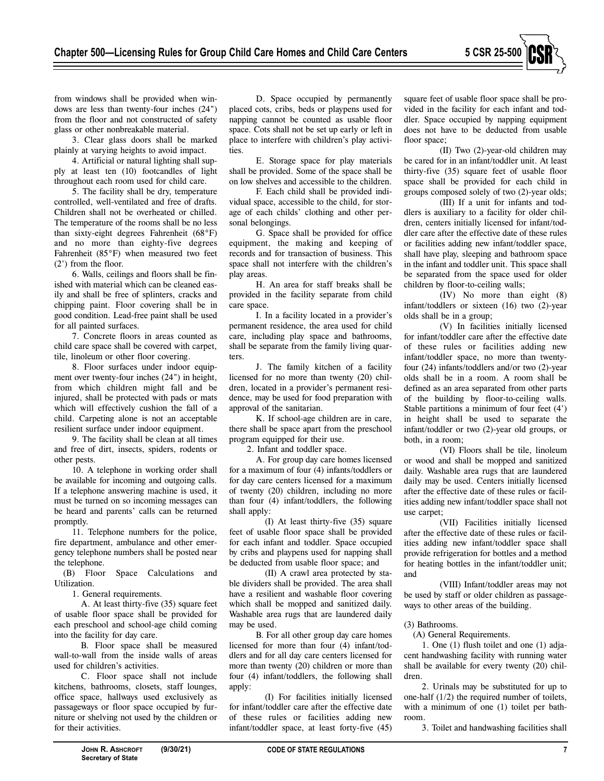

from windows shall be provided when windows are less than twenty-four inches (24") from the floor and not constructed of safety glass or other nonbreakable material.

3. Clear glass doors shall be marked plainly at varying heights to avoid impact.

4. Artificial or natural lighting shall supply at least ten (10) footcandles of light throughout each room used for child care.

5. The facility shall be dry, temperature controlled, well-ventilated and free of drafts. Children shall not be overheated or chilled. The temperature of the rooms shall be no less than sixty-eight degrees Fahrenheit (68°F) and no more than eighty-five degrees Fahrenheit (85°F) when measured two feet (2') from the floor.

6. Walls, ceilings and floors shall be finished with material which can be cleaned easily and shall be free of splinters, cracks and chipping paint. Floor covering shall be in good condition. Lead-free paint shall be used for all painted surfaces.

7. Concrete floors in areas counted as child care space shall be covered with carpet, tile, linoleum or other floor covering.

8. Floor surfaces under indoor equipment over twenty-four inches (24") in height, from which children might fall and be injured, shall be protected with pads or mats which will effectively cushion the fall of a child. Carpeting alone is not an acceptable resilient surface under indoor equipment.

9. The facility shall be clean at all times and free of dirt, insects, spiders, rodents or other pests.

10. A telephone in working order shall be available for incoming and outgoing calls. If a telephone answering machine is used, it must be turned on so incoming messages can be heard and parents' calls can be returned promptly.

11. Telephone numbers for the police, fire department, ambulance and other emergency telephone numbers shall be posted near the telephone.

(B) Floor Space Calculations and Utilization.

1. General requirements.

A. At least thirty-five (35) square feet of usable floor space shall be provided for each preschool and school-age child coming into the facility for day care.

B. Floor space shall be measured wall-to-wall from the inside walls of areas used for children's activities.

C. Floor space shall not include kitchens, bathrooms, closets, staff lounges, office space, hallways used exclusively as passageways or floor space occupied by furniture or shelving not used by the children or for their activities.

D. Space occupied by permanently placed cots, cribs, beds or playpens used for napping cannot be counted as usable floor space. Cots shall not be set up early or left in place to interfere with children's play activities.

E. Storage space for play materials shall be provided. Some of the space shall be on low shelves and accessible to the children.

F. Each child shall be provided individual space, accessible to the child, for storage of each childs' clothing and other personal belongings.

G. Space shall be provided for office equipment, the making and keeping of records and for transaction of business. This space shall not interfere with the children's play areas.

H. An area for staff breaks shall be provided in the facility separate from child care space.

I. In a facility located in a provider's permanent residence, the area used for child care, including play space and bathrooms, shall be separate from the family living quarters.

J. The family kitchen of a facility licensed for no more than twenty (20) children, located in a provider's permanent residence, may be used for food preparation with approval of the sanitarian.

K. If school-age children are in care, there shall be space apart from the preschool program equipped for their use.

2. Infant and toddler space.

A. For group day care homes licensed for a maximum of four (4) infants/toddlers or for day care centers licensed for a maximum of twenty (20) children, including no more than four (4) infant/toddlers, the following shall apply:

(I) At least thirty-five (35) square feet of usable floor space shall be provided for each infant and toddler. Space occupied by cribs and playpens used for napping shall be deducted from usable floor space; and

(II) A crawl area protected by stable dividers shall be provided. The area shall have a resilient and washable floor covering which shall be mopped and sanitized daily. Washable area rugs that are laundered daily may be used.

B. For all other group day care homes licensed for more than four (4) infant/toddlers and for all day care centers licensed for more than twenty (20) children or more than four (4) infant/toddlers, the following shall apply:

(I) For facilities initially licensed for infant/toddler care after the effective date of these rules or facilities adding new infant/toddler space, at least forty-five (45) square feet of usable floor space shall be provided in the facility for each infant and toddler. Space occupied by napping equipment does not have to be deducted from usable floor space;

(II) Two (2)-year-old children may be cared for in an infant/toddler unit. At least thirty-five (35) square feet of usable floor space shall be provided for each child in groups composed solely of two (2)-year olds;

(III) If a unit for infants and toddlers is auxiliary to a facility for older children, centers initially licensed for infant/toddler care after the effective date of these rules or facilities adding new infant/toddler space, shall have play, sleeping and bathroom space in the infant and toddler unit. This space shall be separated from the space used for older children by floor-to-ceiling walls;

(IV) No more than eight (8) infant/toddlers or sixteen (16) two (2)-year olds shall be in a group;

(V) In facilities initially licensed for infant/toddler care after the effective date of these rules or facilities adding new infant/toddler space, no more than twentyfour (24) infants/toddlers and/or two (2)-year olds shall be in a room. A room shall be defined as an area separated from other parts of the building by floor-to-ceiling walls. Stable partitions a minimum of four feet (4') in height shall be used to separate the infant/toddler or two (2)-year old groups, or both, in a room;

(VI) Floors shall be tile, linoleum or wood and shall be mopped and sanitized daily. Washable area rugs that are laundered daily may be used. Centers initially licensed after the effective date of these rules or facilities adding new infant/toddler space shall not use carpet;

(VII) Facilities initially licensed after the effective date of these rules or facilities adding new infant/toddler space shall provide refrigeration for bottles and a method for heating bottles in the infant/toddler unit; and

(VIII) Infant/toddler areas may not be used by staff or older children as passageways to other areas of the building.

## (3) Bathrooms.

(A) General Requirements.

1. One (1) flush toilet and one (1) adjacent handwashing facility with running water shall be available for every twenty (20) children.

2. Urinals may be substituted for up to one-half (1/2) the required number of toilets, with a minimum of one (1) toilet per bathroom.

3. Toilet and handwashing facilities shall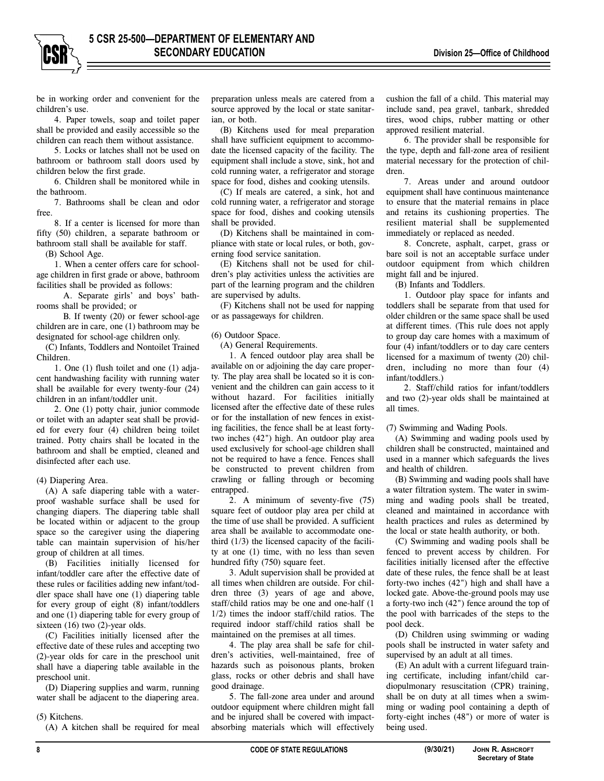be in working order and convenient for the children's use.

4. Paper towels, soap and toilet paper shall be provided and easily accessible so the children can reach them without assistance.

5. Locks or latches shall not be used on bathroom or bathroom stall doors used by children below the first grade.

6. Children shall be monitored while in the bathroom.

7. Bathrooms shall be clean and odor free.

8. If a center is licensed for more than fifty (50) children, a separate bathroom or bathroom stall shall be available for staff.

(B) School Age.

1. When a center offers care for schoolage children in first grade or above, bathroom facilities shall be provided as follows:

A. Separate girls' and boys' bathrooms shall be provided; or

B. If twenty (20) or fewer school-age children are in care, one (1) bathroom may be designated for school-age children only.

(C) Infants, Toddlers and Nontoilet Trained Children.

1. One (1) flush toilet and one (1) adjacent handwashing facility with running water shall be available for every twenty-four (24) children in an infant/toddler unit.

2. One (1) potty chair, junior commode or toilet with an adapter seat shall be provided for every four (4) children being toilet trained. Potty chairs shall be located in the bathroom and shall be emptied, cleaned and disinfected after each use.

#### (4) Diapering Area.

(A) A safe diapering table with a waterproof washable surface shall be used for changing diapers. The diapering table shall be located within or adjacent to the group space so the caregiver using the diapering table can maintain supervision of his/her group of children at all times.

(B) Facilities initially licensed for infant/toddler care after the effective date of these rules or facilities adding new infant/toddler space shall have one (1) diapering table for every group of eight (8) infant/toddlers and one (1) diapering table for every group of sixteen (16) two (2)-year olds.

(C) Facilities initially licensed after the effective date of these rules and accepting two (2)-year olds for care in the preschool unit shall have a diapering table available in the preschool unit.

(D) Diapering supplies and warm, running water shall be adjacent to the diapering area.

(5) Kitchens.

(A) A kitchen shall be required for meal

preparation unless meals are catered from a source approved by the local or state sanitarian, or both.

(B) Kitchens used for meal preparation shall have sufficient equipment to accommodate the licensed capacity of the facility. The equipment shall include a stove, sink, hot and cold running water, a refrigerator and storage space for food, dishes and cooking utensils.

(C) If meals are catered, a sink, hot and cold running water, a refrigerator and storage space for food, dishes and cooking utensils shall be provided.

(D) Kitchens shall be maintained in compliance with state or local rules, or both, governing food service sanitation.

(E) Kitchens shall not be used for children's play activities unless the activities are part of the learning program and the children are supervised by adults.

(F) Kitchens shall not be used for napping or as passageways for children.

#### (6) Outdoor Space.

(A) General Requirements.

1. A fenced outdoor play area shall be available on or adjoining the day care property. The play area shall be located so it is convenient and the children can gain access to it without hazard. For facilities initially licensed after the effective date of these rules or for the installation of new fences in existing facilities, the fence shall be at least fortytwo inches (42") high. An outdoor play area used exclusively for school-age children shall not be required to have a fence. Fences shall be constructed to prevent children from crawling or falling through or becoming entrapped.

2. A minimum of seventy-five (75) square feet of outdoor play area per child at the time of use shall be provided. A sufficient area shall be available to accommodate onethird (1/3) the licensed capacity of the facility at one (1) time, with no less than seven hundred fifty (750) square feet.

3. Adult supervision shall be provided at all times when children are outside. For children three (3) years of age and above, staff/child ratios may be one and one-half (1 1/2) times the indoor staff/child ratios. The required indoor staff/child ratios shall be maintained on the premises at all times.

4. The play area shall be safe for children's activities, well-maintained, free of hazards such as poisonous plants, broken glass, rocks or other debris and shall have good drainage.

5. The fall-zone area under and around outdoor equipment where children might fall and be injured shall be covered with impactabsorbing materials which will effectively cushion the fall of a child. This material may include sand, pea gravel, tanbark, shredded tires, wood chips, rubber matting or other approved resilient material.

6. The provider shall be responsible for the type, depth and fall-zone area of resilient material necessary for the protection of children.

7. Areas under and around outdoor equipment shall have continuous maintenance to ensure that the material remains in place and retains its cushioning properties. The resilient material shall be supplemented immediately or replaced as needed.

8. Concrete, asphalt, carpet, grass or bare soil is not an acceptable surface under outdoor equipment from which children might fall and be injured.

(B) Infants and Toddlers.

1. Outdoor play space for infants and toddlers shall be separate from that used for older children or the same space shall be used at different times. (This rule does not apply to group day care homes with a maximum of four (4) infant/toddlers or to day care centers licensed for a maximum of twenty (20) children, including no more than four (4) infant/toddlers.)

2. Staff/child ratios for infant/toddlers and two (2)-year olds shall be maintained at all times.

#### (7) Swimming and Wading Pools.

(A) Swimming and wading pools used by children shall be constructed, maintained and used in a manner which safeguards the lives and health of children.

(B) Swimming and wading pools shall have a water filtration system. The water in swimming and wading pools shall be treated, cleaned and maintained in accordance with health practices and rules as determined by the local or state health authority, or both.

(C) Swimming and wading pools shall be fenced to prevent access by children. For facilities initially licensed after the effective date of these rules, the fence shall be at least forty-two inches (42") high and shall have a locked gate. Above-the-ground pools may use a forty-two inch (42") fence around the top of the pool with barricades of the steps to the pool deck.

(D) Children using swimming or wading pools shall be instructed in water safety and supervised by an adult at all times.

(E) An adult with a current lifeguard training certificate, including infant/child cardiopulmonary resuscitation (CPR) training, shall be on duty at all times when a swimming or wading pool containing a depth of forty-eight inches (48") or more of water is being used.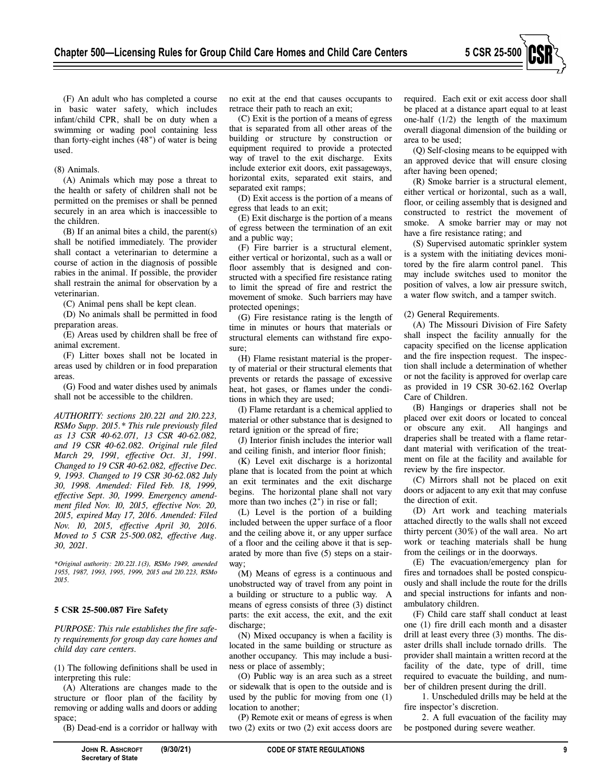

(F) An adult who has completed a course in basic water safety, which includes infant/child CPR, shall be on duty when a swimming or wading pool containing less than forty-eight inches (48") of water is being used.

#### (8) Animals.

(A) Animals which may pose a threat to the health or safety of children shall not be permitted on the premises or shall be penned securely in an area which is inaccessible to the children.

(B) If an animal bites a child, the parent(s) shall be notified immediately. The provider shall contact a veterinarian to determine a course of action in the diagnosis of possible rabies in the animal. If possible, the provider shall restrain the animal for observation by a veterinarian.

(C) Animal pens shall be kept clean.

(D) No animals shall be permitted in food preparation areas.

(E) Areas used by children shall be free of animal excrement.

(F) Litter boxes shall not be located in areas used by children or in food preparation areas.

(G) Food and water dishes used by animals shall not be accessible to the children.

*AUTHORITY: sections 210.221 and 210.223, RSMo Supp. 2015.\* This rule previously filed as 13 CSR 40-62.071, 13 CSR 40-62.082, and 19 CSR 40-62.082. Original rule filed March 29, 1991, effective Oct. 31, 1991. Changed to 19 CSR 40-62.082, effective Dec. 9, 1993. Changed to 19 CSR 30-62.082 July 30, 1998. Amended: Filed Feb. 18, 1999, effective Sept. 30, 1999. Emergency amendment filed Nov. 10, 2015, effective Nov. 20, 2015, expired May 17, 2016. Amended: Filed Nov. 10, 2015, effective April 30, 2016. Moved to 5 CSR 25-500.082, effective Aug. 30, 2021.* 

*\*Original authority: 210.221.1(3), RSMo 1949, amended 1955, 1987, 1993, 1995, 1999, 2015 and 210.223, RSMo 2015.* 

## **5 CSR 25-500.087 Fire Safety**

*PURPOSE: This rule establishes the fire safety requirements for group day care homes and child day care centers.* 

(1) The following definitions shall be used in interpreting this rule:

(A) Alterations are changes made to the structure or floor plan of the facility by removing or adding walls and doors or adding space;

(B) Dead-end is a corridor or hallway with

no exit at the end that causes occupants to retrace their path to reach an exit;

(C) Exit is the portion of a means of egress that is separated from all other areas of the building or structure by construction or equipment required to provide a protected way of travel to the exit discharge. Exits include exterior exit doors, exit passageways, horizontal exits, separated exit stairs, and separated exit ramps;

(D) Exit access is the portion of a means of egress that leads to an exit;

(E) Exit discharge is the portion of a means of egress between the termination of an exit and a public way;

(F) Fire barrier is a structural element, either vertical or horizontal, such as a wall or floor assembly that is designed and constructed with a specified fire resistance rating to limit the spread of fire and restrict the movement of smoke. Such barriers may have protected openings;

(G) Fire resistance rating is the length of time in minutes or hours that materials or structural elements can withstand fire exposure.

(H) Flame resistant material is the property of material or their structural elements that prevents or retards the passage of excessive heat, hot gases, or flames under the conditions in which they are used;

(I) Flame retardant is a chemical applied to material or other substance that is designed to retard ignition or the spread of fire;

(J) Interior finish includes the interior wall and ceiling finish, and interior floor finish;

(K) Level exit discharge is a horizontal plane that is located from the point at which an exit terminates and the exit discharge begins. The horizontal plane shall not vary more than two inches (2") in rise or fall;

(L) Level is the portion of a building included between the upper surface of a floor and the ceiling above it, or any upper surface of a floor and the ceiling above it that is separated by more than five (5) steps on a stairway;

(M) Means of egress is a continuous and unobstructed way of travel from any point in a building or structure to a public way. A means of egress consists of three (3) distinct parts: the exit access, the exit, and the exit discharge;

(N) Mixed occupancy is when a facility is located in the same building or structure as another occupancy. This may include a business or place of assembly;

(O) Public way is an area such as a street or sidewalk that is open to the outside and is used by the public for moving from one (1) location to another;

(P) Remote exit or means of egress is when two (2) exits or two (2) exit access doors are required. Each exit or exit access door shall be placed at a distance apart equal to at least one-half (1/2) the length of the maximum overall diagonal dimension of the building or area to be used;

(Q) Self-closing means to be equipped with an approved device that will ensure closing after having been opened;

(R) Smoke barrier is a structural element, either vertical or horizontal, such as a wall, floor, or ceiling assembly that is designed and constructed to restrict the movement of smoke. A smoke barrier may or may not have a fire resistance rating; and

(S) Supervised automatic sprinkler system is a system with the initiating devices monitored by the fire alarm control panel. This may include switches used to monitor the position of valves, a low air pressure switch, a water flow switch, and a tamper switch.

#### (2) General Requirements.

(A) The Missouri Division of Fire Safety shall inspect the facility annually for the capacity specified on the license application and the fire inspection request. The inspection shall include a determination of whether or not the facility is approved for overlap care as provided in 19 CSR 30-62.162 Overlap Care of Children.

(B) Hangings or draperies shall not be placed over exit doors or located to conceal or obscure any exit. All hangings and draperies shall be treated with a flame retardant material with verification of the treatment on file at the facility and available for review by the fire inspector.

(C) Mirrors shall not be placed on exit doors or adjacent to any exit that may confuse the direction of exit.

(D) Art work and teaching materials attached directly to the walls shall not exceed thirty percent (30%) of the wall area. No art work or teaching materials shall be hung from the ceilings or in the doorways.

(E) The evacuation/emergency plan for fires and tornadoes shall be posted conspicuously and shall include the route for the drills and special instructions for infants and nonambulatory children.

(F) Child care staff shall conduct at least one (1) fire drill each month and a disaster drill at least every three (3) months. The disaster drills shall include tornado drills. The provider shall maintain a written record at the facility of the date, type of drill, time required to evacuate the building, and number of children present during the drill.

1. Unscheduled drills may be held at the fire inspector's discretion.

2. A full evacuation of the facility may be postponed during severe weather.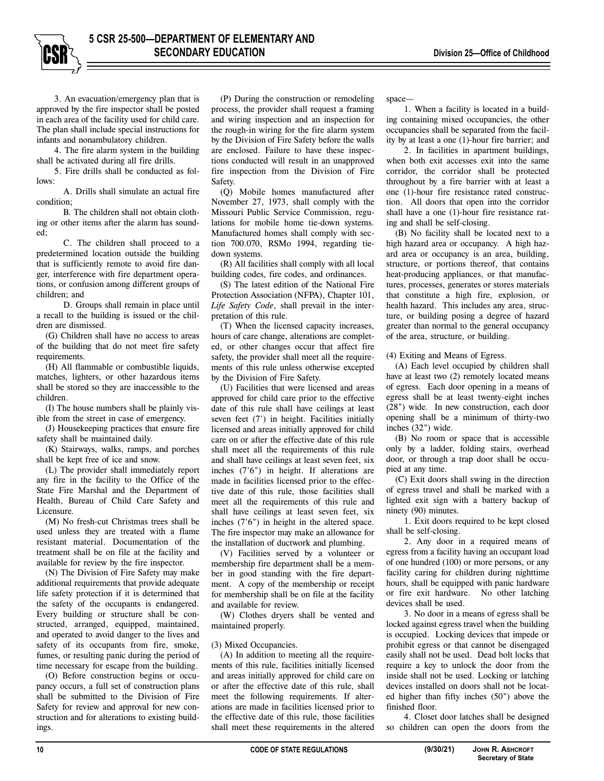3. An evacuation/emergency plan that is approved by the fire inspector shall be posted in each area of the facility used for child care. The plan shall include special instructions for infants and nonambulatory children.

4. The fire alarm system in the building shall be activated during all fire drills.

5. Fire drills shall be conducted as follows:

A. Drills shall simulate an actual fire condition;

B. The children shall not obtain clothing or other items after the alarm has sounded;

C. The children shall proceed to a predetermined location outside the building that is sufficiently remote to avoid fire danger, interference with fire department operations, or confusion among different groups of children; and

D. Groups shall remain in place until a recall to the building is issued or the children are dismissed.

(G) Children shall have no access to areas of the building that do not meet fire safety requirements.

(H) All flammable or combustible liquids, matches, lighters, or other hazardous items shall be stored so they are inaccessible to the children.

(I) The house numbers shall be plainly visible from the street in case of emergency.

(J) Housekeeping practices that ensure fire safety shall be maintained daily.

(K) Stairways, walks, ramps, and porches shall be kept free of ice and snow.

(L) The provider shall immediately report any fire in the facility to the Office of the State Fire Marshal and the Department of Health, Bureau of Child Care Safety and Licensure.

(M) No fresh-cut Christmas trees shall be used unless they are treated with a flame resistant material. Documentation of the treatment shall be on file at the facility and available for review by the fire inspector.

(N) The Division of Fire Safety may make additional requirements that provide adequate life safety protection if it is determined that the safety of the occupants is endangered. Every building or structure shall be constructed, arranged, equipped, maintained, and operated to avoid danger to the lives and safety of its occupants from fire, smoke, fumes, or resulting panic during the period of time necessary for escape from the building.

(O) Before construction begins or occupancy occurs, a full set of construction plans shall be submitted to the Division of Fire Safety for review and approval for new construction and for alterations to existing buildings.

(P) During the construction or remodeling process, the provider shall request a framing and wiring inspection and an inspection for the rough-in wiring for the fire alarm system by the Division of Fire Safety before the walls are enclosed. Failure to have these inspections conducted will result in an unapproved fire inspection from the Division of Fire Safety.

(Q) Mobile homes manufactured after November 27, 1973, shall comply with the Missouri Public Service Commission, regulations for mobile home tie-down systems. Manufactured homes shall comply with section 700.070, RSMo 1994, regarding tiedown systems.

(R) All facilities shall comply with all local building codes, fire codes, and ordinances.

(S) The latest edition of the National Fire Protection Association (NFPA), Chapter 101, *Life Safety Code*, shall prevail in the interpretation of this rule.

(T) When the licensed capacity increases, hours of care change, alterations are completed, or other changes occur that affect fire safety, the provider shall meet all the requirements of this rule unless otherwise excepted by the Division of Fire Safety.

(U) Facilities that were licensed and areas approved for child care prior to the effective date of this rule shall have ceilings at least seven feet (7') in height. Facilities initially licensed and areas initially approved for child care on or after the effective date of this rule shall meet all the requirements of this rule and shall have ceilings at least seven feet, six inches (7'6") in height. If alterations are made in facilities licensed prior to the effective date of this rule, those facilities shall meet all the requirements of this rule and shall have ceilings at least seven feet, six inches (7'6") in height in the altered space. The fire inspector may make an allowance for the installation of ductwork and plumbing.

(V) Facilities served by a volunteer or membership fire department shall be a member in good standing with the fire department. A copy of the membership or receipt for membership shall be on file at the facility and available for review.

(W) Clothes dryers shall be vented and maintained properly.

#### (3) Mixed Occupancies.

(A) In addition to meeting all the requirements of this rule, facilities initially licensed and areas initially approved for child care on or after the effective date of this rule, shall meet the following requirements. If alterations are made in facilities licensed prior to the effective date of this rule, those facilities shall meet these requirements in the altered space—

1. When a facility is located in a building containing mixed occupancies, the other occupancies shall be separated from the facility by at least a one (1)-hour fire barrier; and

2. In facilities in apartment buildings, when both exit accesses exit into the same corridor, the corridor shall be protected throughout by a fire barrier with at least a one (1)-hour fire resistance rated construction. All doors that open into the corridor shall have a one (1)-hour fire resistance rating and shall be self-closing.

(B) No facility shall be located next to a high hazard area or occupancy. A high hazard area or occupancy is an area, building, structure, or portions thereof, that contains heat-producing appliances, or that manufactures, processes, generates or stores materials that constitute a high fire, explosion, or health hazard. This includes any area, structure, or building posing a degree of hazard greater than normal to the general occupancy of the area, structure, or building.

(4) Exiting and Means of Egress.

(A) Each level occupied by children shall have at least two (2) remotely located means of egress. Each door opening in a means of egress shall be at least twenty-eight inches (28") wide. In new construction, each door opening shall be a minimum of thirty-two inches (32") wide.

(B) No room or space that is accessible only by a ladder, folding stairs, overhead door, or through a trap door shall be occupied at any time.

(C) Exit doors shall swing in the direction of egress travel and shall be marked with a lighted exit sign with a battery backup of ninety (90) minutes.

1. Exit doors required to be kept closed shall be self-closing.

2. Any door in a required means of egress from a facility having an occupant load of one hundred (100) or more persons, or any facility caring for children during nighttime hours, shall be equipped with panic hardware or fire exit hardware. No other latching devices shall be used.

3. No door in a means of egress shall be locked against egress travel when the building is occupied. Locking devices that impede or prohibit egress or that cannot be disengaged easily shall not be used. Dead bolt locks that require a key to unlock the door from the inside shall not be used. Locking or latching devices installed on doors shall not be located higher than fifty inches (50") above the finished floor.

4. Closet door latches shall be designed so children can open the doors from the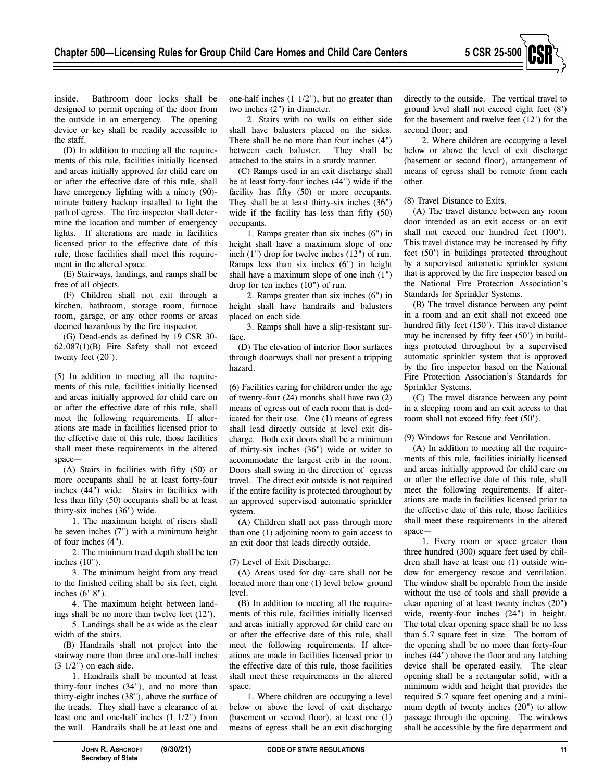

inside. Bathroom door locks shall be designed to permit opening of the door from the outside in an emergency. The opening device or key shall be readily accessible to the staff.

(D) In addition to meeting all the requirements of this rule, facilities initially licensed and areas initially approved for child care on or after the effective date of this rule, shall have emergency lighting with a ninety (90)minute battery backup installed to light the path of egress. The fire inspector shall determine the location and number of emergency lights. If alterations are made in facilities licensed prior to the effective date of this rule, those facilities shall meet this requirement in the altered space.

(E) Stairways, landings, and ramps shall be free of all objects.

(F) Children shall not exit through a kitchen, bathroom, storage room, furnace room, garage, or any other rooms or areas deemed hazardous by the fire inspector.

(G) Dead-ends as defined by 19 CSR 30- 62.087(1)(B) Fire Safety shall not exceed twenty feet (20').

(5) In addition to meeting all the requirements of this rule, facilities initially licensed and areas initially approved for child care on or after the effective date of this rule, shall meet the following requirements. If alterations are made in facilities licensed prior to the effective date of this rule, those facilities shall meet these requirements in the altered space—

(A) Stairs in facilities with fifty (50) or more occupants shall be at least forty-four inches (44") wide. Stairs in facilities with less than fifty (50) occupants shall be at least thirty-six inches (36") wide.

1. The maximum height of risers shall be seven inches (7") with a minimum height of four inches (4").

2. The minimum tread depth shall be ten inches (10").

3. The minimum height from any tread to the finished ceiling shall be six feet, eight inches (6' 8").

4. The maximum height between landings shall be no more than twelve feet (12').

5. Landings shall be as wide as the clear width of the stairs.

(B) Handrails shall not project into the stairway more than three and one-half inches (3 1/2") on each side.

1. Handrails shall be mounted at least thirty-four inches (34"), and no more than thirty-eight inches (38"), above the surface of the treads. They shall have a clearance of at least one and one-half inches (1 1/2") from the wall. Handrails shall be at least one and

one-half inches (1 1/2"), but no greater than two inches (2") in diameter.

2. Stairs with no walls on either side shall have balusters placed on the sides. There shall be no more than four inches (4") between each baluster. They shall be attached to the stairs in a sturdy manner.

(C) Ramps used in an exit discharge shall be at least forty-four inches (44") wide if the facility has fifty (50) or more occupants. They shall be at least thirty-six inches (36") wide if the facility has less than fifty (50) occupants.

1. Ramps greater than six inches (6") in height shall have a maximum slope of one inch (1") drop for twelve inches (12") of run. Ramps less than six inches (6") in height shall have a maximum slope of one inch (1") drop for ten inches (10") of run.

2. Ramps greater than six inches (6") in height shall have handrails and balusters placed on each side.

3. Ramps shall have a slip-resistant surface.

(D) The elevation of interior floor surfaces through doorways shall not present a tripping hazard.

(6) Facilities caring for children under the age of twenty-four (24) months shall have two (2) means of egress out of each room that is dedicated for their use. One (1) means of egress shall lead directly outside at level exit discharge. Both exit doors shall be a minimum of thirty-six inches (36") wide or wider to accommodate the largest crib in the room. Doors shall swing in the direction of egress travel. The direct exit outside is not required if the entire facility is protected throughout by an approved supervised automatic sprinkler system.

(A) Children shall not pass through more than one (1) adjoining room to gain access to an exit door that leads directly outside.

(7) Level of Exit Discharge.

(A) Areas used for day care shall not be located more than one (1) level below ground level.

(B) In addition to meeting all the requirements of this rule, facilities initially licensed and areas initially approved for child care on or after the effective date of this rule, shall meet the following requirements. If alterations are made in facilities licensed prior to the effective date of this rule, those facilities shall meet these requirements in the altered space:

1. Where children are occupying a level below or above the level of exit discharge (basement or second floor), at least one (1) means of egress shall be an exit discharging directly to the outside. The vertical travel to ground level shall not exceed eight feet (8') for the basement and twelve feet (12') for the second floor; and

2. Where children are occupying a level below or above the level of exit discharge (basement or second floor), arrangement of means of egress shall be remote from each other.

(8) Travel Distance to Exits.

(A) The travel distance between any room door intended as an exit access or an exit shall not exceed one hundred feet (100'). This travel distance may be increased by fifty feet (50') in buildings protected throughout by a supervised automatic sprinkler system that is approved by the fire inspector based on the National Fire Protection Association's Standards for Sprinkler Systems.

(B) The travel distance between any point in a room and an exit shall not exceed one hundred fifty feet (150'). This travel distance may be increased by fifty feet (50') in buildings protected throughout by a supervised automatic sprinkler system that is approved by the fire inspector based on the National Fire Protection Association's Standards for Sprinkler Systems.

(C) The travel distance between any point in a sleeping room and an exit access to that room shall not exceed fifty feet (50').

(9) Windows for Rescue and Ventilation.

(A) In addition to meeting all the requirements of this rule, facilities initially licensed and areas initially approved for child care on or after the effective date of this rule, shall meet the following requirements. If alterations are made in facilities licensed prior to the effective date of this rule, those facilities shall meet these requirements in the altered space—

1. Every room or space greater than three hundred (300) square feet used by children shall have at least one (1) outside window for emergency rescue and ventilation. The window shall be operable from the inside without the use of tools and shall provide a clear opening of at least twenty inches (20") wide, twenty-four inches (24") in height. The total clear opening space shall be no less than 5.7 square feet in size. The bottom of the opening shall be no more than forty-four inches (44") above the floor and any latching device shall be operated easily. The clear opening shall be a rectangular solid, with a minimum width and height that provides the required 5.7 square feet opening and a minimum depth of twenty inches (20") to allow passage through the opening. The windows shall be accessible by the fire department and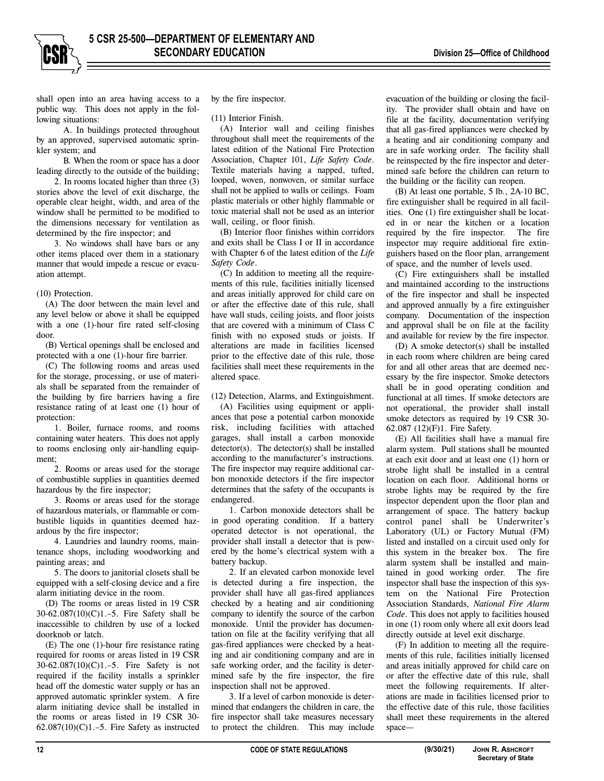shall open into an area having access to a public way. This does not apply in the following situations:

A. In buildings protected throughout by an approved, supervised automatic sprinkler system; and

B. When the room or space has a door leading directly to the outside of the building;

2. In rooms located higher than three (3) stories above the level of exit discharge, the operable clear height, width, and area of the window shall be permitted to be modified to the dimensions necessary for ventilation as determined by the fire inspector; and

3. No windows shall have bars or any other items placed over them in a stationary manner that would impede a rescue or evacuation attempt.

#### (10) Protection.

(A) The door between the main level and any level below or above it shall be equipped with a one (1)-hour fire rated self-closing door.

(B) Vertical openings shall be enclosed and protected with a one (1)-hour fire barrier.

(C) The following rooms and areas used for the storage, processing, or use of materials shall be separated from the remainder of the building by fire barriers having a fire resistance rating of at least one (1) hour of protection:

1. Boiler, furnace rooms, and rooms containing water heaters. This does not apply to rooms enclosing only air-handling equipment;

2. Rooms or areas used for the storage of combustible supplies in quantities deemed hazardous by the fire inspector;

3. Rooms or areas used for the storage of hazardous materials, or flammable or combustible liquids in quantities deemed hazardous by the fire inspector;

4. Laundries and laundry rooms, maintenance shops, including woodworking and painting areas; and

5. The doors to janitorial closets shall be equipped with a self-closing device and a fire alarm initiating device in the room.

(D) The rooms or areas listed in 19 CSR 30-62.087(10)(C)1.–5. Fire Safety shall be inaccessible to children by use of a locked doorknob or latch.

(E) The one (1)-hour fire resistance rating required for rooms or areas listed in 19 CSR 30-62.087(10)(C)1.–5. Fire Safety is not required if the facility installs a sprinkler head off the domestic water supply or has an approved automatic sprinkler system. A fire alarm initiating device shall be installed in the rooms or areas listed in 19 CSR 30-  $62.087(10)(C)1.-5$ . Fire Safety as instructed

by the fire inspector.

(11) Interior Finish.

(A) Interior wall and ceiling finishes throughout shall meet the requirements of the latest edition of the National Fire Protection Association, Chapter 101, *Life Safety Code*. Textile materials having a napped, tufted, looped, woven, nonwoven, or similar surface shall not be applied to walls or ceilings. Foam plastic materials or other highly flammable or toxic material shall not be used as an interior wall, ceiling, or floor finish.

(B) Interior floor finishes within corridors and exits shall be Class I or II in accordance with Chapter 6 of the latest edition of the *Life Safety Code*.

(C) In addition to meeting all the requirements of this rule, facilities initially licensed and areas initially approved for child care on or after the effective date of this rule, shall have wall studs, ceiling joists, and floor joists that are covered with a minimum of Class C finish with no exposed studs or joists. If alterations are made in facilities licensed prior to the effective date of this rule, those facilities shall meet these requirements in the altered space.

(12) Detection, Alarms, and Extinguishment.

(A) Facilities using equipment or appliances that pose a potential carbon monoxide risk, including facilities with attached garages, shall install a carbon monoxide detector(s). The detector(s) shall be installed according to the manufacturer's instructions. The fire inspector may require additional carbon monoxide detectors if the fire inspector determines that the safety of the occupants is endangered.

1. Carbon monoxide detectors shall be in good operating condition. If a battery operated detector is not operational, the provider shall install a detector that is powered by the home's electrical system with a battery backup.

2. If an elevated carbon monoxide level is detected during a fire inspection, the provider shall have all gas-fired appliances checked by a heating and air conditioning company to identify the source of the carbon monoxide. Until the provider has documentation on file at the facility verifying that all gas-fired appliances were checked by a heating and air conditioning company and are in safe working order, and the facility is determined safe by the fire inspector, the fire inspection shall not be approved.

3. If a level of carbon monoxide is determined that endangers the children in care, the fire inspector shall take measures necessary to protect the children. This may include

evacuation of the building or closing the facility. The provider shall obtain and have on file at the facility, documentation verifying that all gas-fired appliances were checked by a heating and air conditioning company and are in safe working order. The facility shall be reinspected by the fire inspector and determined safe before the children can return to the building or the facility can reopen.

(B) At least one portable, 5 lb., 2A-10 BC, fire extinguisher shall be required in all facilities. One (1) fire extinguisher shall be located in or near the kitchen or a location required by the fire inspector. The fire inspector may require additional fire extinguishers based on the floor plan, arrangement of space, and the number of levels used.

(C) Fire extinguishers shall be installed and maintained according to the instructions of the fire inspector and shall be inspected and approved annually by a fire extinguisher company. Documentation of the inspection and approval shall be on file at the facility and available for review by the fire inspector.

(D) A smoke detector(s) shall be installed in each room where children are being cared for and all other areas that are deemed necessary by the fire inspector. Smoke detectors shall be in good operating condition and functional at all times. If smoke detectors are not operational, the provider shall install smoke detectors as required by 19 CSR 30- 62.087 (12)(F)1. Fire Safety.

(E) All facilities shall have a manual fire alarm system. Pull stations shall be mounted at each exit door and at least one (1) horn or strobe light shall be installed in a central location on each floor. Additional horns or strobe lights may be required by the fire inspector dependent upon the floor plan and arrangement of space. The battery backup control panel shall be Underwriter's Laboratory (UL) or Factory Mutual (FM) listed and installed on a circuit used only for this system in the breaker box. The fire alarm system shall be installed and maintained in good working order. The fire inspector shall base the inspection of this system on the National Fire Protection Association Standards, *National Fire Alarm Code*. This does not apply to facilities housed in one (1) room only where all exit doors lead directly outside at level exit discharge.

(F) In addition to meeting all the requirements of this rule, facilities initially licensed and areas initially approved for child care on or after the effective date of this rule, shall meet the following requirements. If alterations are made in facilities licensed prior to the effective date of this rule, those facilities shall meet these requirements in the altered space—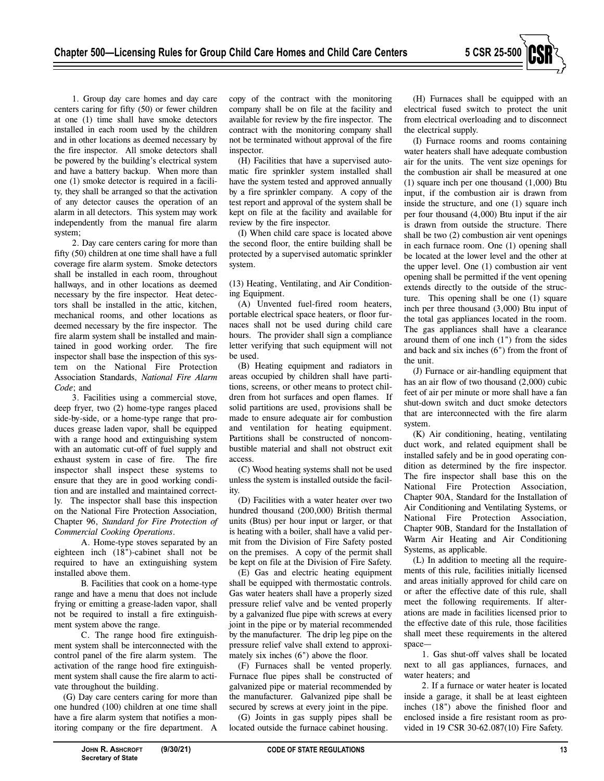

2. Day care centers caring for more than fifty (50) children at one time shall have a full coverage fire alarm system. Smoke detectors shall be installed in each room, throughout hallways, and in other locations as deemed necessary by the fire inspector. Heat detectors shall be installed in the attic, kitchen, mechanical rooms, and other locations as deemed necessary by the fire inspector. The fire alarm system shall be installed and maintained in good working order. The fire inspector shall base the inspection of this system on the National Fire Protection Association Standards, *National Fire Alarm Code*; and

3. Facilities using a commercial stove, deep fryer, two (2) home-type ranges placed side-by-side, or a home-type range that produces grease laden vapor, shall be equipped with a range hood and extinguishing system with an automatic cut-off of fuel supply and exhaust system in case of fire. The fire inspector shall inspect these systems to ensure that they are in good working condition and are installed and maintained correctly. The inspector shall base this inspection on the National Fire Protection Association, Chapter 96, *Standard for Fire Protection of Commercial Cooking Operations*.

A. Home-type stoves separated by an eighteen inch (18")-cabinet shall not be required to have an extinguishing system installed above them.

B. Facilities that cook on a home-type range and have a menu that does not include frying or emitting a grease-laden vapor, shall not be required to install a fire extinguishment system above the range.

C. The range hood fire extinguishment system shall be interconnected with the control panel of the fire alarm system. The activation of the range hood fire extinguishment system shall cause the fire alarm to activate throughout the building.

(G) Day care centers caring for more than one hundred (100) children at one time shall have a fire alarm system that notifies a monitoring company or the fire department. A copy of the contract with the monitoring company shall be on file at the facility and available for review by the fire inspector. The contract with the monitoring company shall not be terminated without approval of the fire inspector.

(H) Facilities that have a supervised automatic fire sprinkler system installed shall have the system tested and approved annually by a fire sprinkler company. A copy of the test report and approval of the system shall be kept on file at the facility and available for review by the fire inspector.

(I) When child care space is located above the second floor, the entire building shall be protected by a supervised automatic sprinkler system.

(13) Heating, Ventilating, and Air Conditioning Equipment.

(A) Unvented fuel-fired room heaters, portable electrical space heaters, or floor furnaces shall not be used during child care hours. The provider shall sign a compliance letter verifying that such equipment will not be used.

(B) Heating equipment and radiators in areas occupied by children shall have partitions, screens, or other means to protect children from hot surfaces and open flames. If solid partitions are used, provisions shall be made to ensure adequate air for combustion and ventilation for heating equipment. Partitions shall be constructed of noncombustible material and shall not obstruct exit access.

(C) Wood heating systems shall not be used unless the system is installed outside the facility.

(D) Facilities with a water heater over two hundred thousand (200,000) British thermal units (Btus) per hour input or larger, or that is heating with a boiler, shall have a valid permit from the Division of Fire Safety posted on the premises. A copy of the permit shall be kept on file at the Division of Fire Safety.

(E) Gas and electric heating equipment shall be equipped with thermostatic controls. Gas water heaters shall have a properly sized pressure relief valve and be vented properly by a galvanized flue pipe with screws at every joint in the pipe or by material recommended by the manufacturer. The drip leg pipe on the pressure relief valve shall extend to approximately six inches (6") above the floor.

(F) Furnaces shall be vented properly. Furnace flue pipes shall be constructed of galvanized pipe or material recommended by the manufacturer. Galvanized pipe shall be secured by screws at every joint in the pipe.

(G) Joints in gas supply pipes shall be located outside the furnace cabinet housing.

(H) Furnaces shall be equipped with an electrical fused switch to protect the unit from electrical overloading and to disconnect the electrical supply.

(I) Furnace rooms and rooms containing water heaters shall have adequate combustion air for the units. The vent size openings for the combustion air shall be measured at one (1) square inch per one thousand (1,000) Btu input, if the combustion air is drawn from inside the structure, and one (1) square inch per four thousand (4,000) Btu input if the air is drawn from outside the structure. There shall be two (2) combustion air vent openings in each furnace room. One (1) opening shall be located at the lower level and the other at the upper level. One (1) combustion air vent opening shall be permitted if the vent opening extends directly to the outside of the structure. This opening shall be one (1) square inch per three thousand (3,000) Btu input of the total gas appliances located in the room. The gas appliances shall have a clearance around them of one inch (1") from the sides and back and six inches (6") from the front of the unit.

(J) Furnace or air-handling equipment that has an air flow of two thousand (2,000) cubic feet of air per minute or more shall have a fan shut-down switch and duct smoke detectors that are interconnected with the fire alarm system.

(K) Air conditioning, heating, ventilating duct work, and related equipment shall be installed safely and be in good operating condition as determined by the fire inspector. The fire inspector shall base this on the National Fire Protection Association, Chapter 90A, Standard for the Installation of Air Conditioning and Ventilating Systems, or National Fire Protection Association, Chapter 90B, Standard for the Installation of Warm Air Heating and Air Conditioning Systems, as applicable.

(L) In addition to meeting all the requirements of this rule, facilities initially licensed and areas initially approved for child care on or after the effective date of this rule, shall meet the following requirements. If alterations are made in facilities licensed prior to the effective date of this rule, those facilities shall meet these requirements in the altered space—

1. Gas shut-off valves shall be located next to all gas appliances, furnaces, and water heaters; and

2. If a furnace or water heater is located inside a garage, it shall be at least eighteen inches (18") above the finished floor and enclosed inside a fire resistant room as provided in 19 CSR 30-62.087(10) Fire Safety.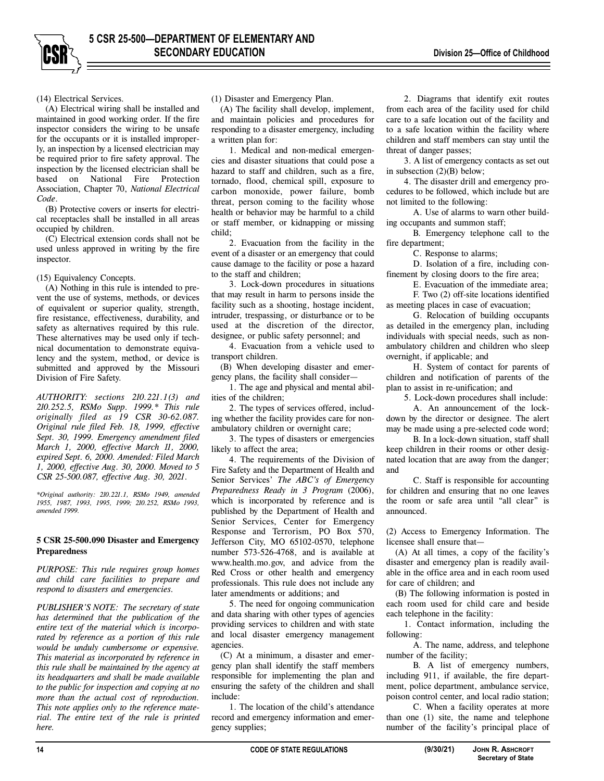

(14) Electrical Services.

(A) Electrical wiring shall be installed and maintained in good working order. If the fire inspector considers the wiring to be unsafe for the occupants or it is installed improperly, an inspection by a licensed electrician may be required prior to fire safety approval. The inspection by the licensed electrician shall be based on National Fire Protection Association, Chapter 70, *National Electrical Code*.

(B) Protective covers or inserts for electrical receptacles shall be installed in all areas occupied by children.

(C) Electrical extension cords shall not be used unless approved in writing by the fire inspector.

(15) Equivalency Concepts.

(A) Nothing in this rule is intended to prevent the use of systems, methods, or devices of equivalent or superior quality, strength, fire resistance, effectiveness, durability, and safety as alternatives required by this rule. These alternatives may be used only if technical documentation to demonstrate equivalency and the system, method, or device is submitted and approved by the Missouri Division of Fire Safety.

*AUTHORITY: sections 210.221.1(3) and 210.252.5, RSMo Supp. 1999.\* This rule originally filed as 19 CSR 30-62.087. Original rule filed Feb. 18, 1999, effective Sept. 30, 1999. Emergency amendment filed March 1, 2000, effective March 11, 2000, expired Sept. 6, 2000. Amended: Filed March 1, 2000, effective Aug. 30, 2000. Moved to 5 CSR 25-500.087, effective Aug. 30, 2021.* 

*\*Original authority: 210.221.1, RSMo 1949, amended 1955, 1987, 1993, 1995, 1999; 210.252, RSMo 1993, amended 1999.* 

## **5 CSR 25-500.090 Disaster and Emergency Preparedness**

*PURPOSE: This rule requires group homes and child care facilities to prepare and respond to disasters and emergencies.* 

*PUBLISHER'S NOTE: The secretary of state has determined that the publication of the entire text of the material which is incorporated by reference as a portion of this rule would be unduly cumbersome or expensive. This material as incorporated by reference in this rule shall be maintained by the agency at its headquarters and shall be made available to the public for inspection and copying at no more than the actual cost of reproduction. This note applies only to the reference material. The entire text of the rule is printed here.* 

(1) Disaster and Emergency Plan.

(A) The facility shall develop, implement, and maintain policies and procedures for responding to a disaster emergency, including a written plan for:

1. Medical and non-medical emergencies and disaster situations that could pose a hazard to staff and children, such as a fire, tornado, flood, chemical spill, exposure to carbon monoxide, power failure, bomb threat, person coming to the facility whose health or behavior may be harmful to a child or staff member, or kidnapping or missing child;

2. Evacuation from the facility in the event of a disaster or an emergency that could cause damage to the facility or pose a hazard to the staff and children;

3. Lock-down procedures in situations that may result in harm to persons inside the facility such as a shooting, hostage incident, intruder, trespassing, or disturbance or to be used at the discretion of the director, designee, or public safety personnel; and

4. Evacuation from a vehicle used to transport children.

(B) When developing disaster and emergency plans, the facility shall consider—

1. The age and physical and mental abilities of the children;

2. The types of services offered, including whether the facility provides care for nonambulatory children or overnight care;

3. The types of disasters or emergencies likely to affect the area;

4. The requirements of the Division of Fire Safety and the Department of Health and Senior Services' *The ABC's of Emergency Preparedness Ready in 3 Program* (2006), which is incorporated by reference and is published by the Department of Health and Senior Services, Center for Emergency Response and Terrorism, PO Box 570, Jefferson City, MO 65102-0570, telephone number 573-526-4768, and is available at www.health.mo.gov, and advice from the Red Cross or other health and emergency professionals. This rule does not include any later amendments or additions; and

5. The need for ongoing communication and data sharing with other types of agencies providing services to children and with state and local disaster emergency management agencies.

(C) At a minimum, a disaster and emergency plan shall identify the staff members responsible for implementing the plan and ensuring the safety of the children and shall include:

1. The location of the child's attendance record and emergency information and emergency supplies;

2. Diagrams that identify exit routes from each area of the facility used for child care to a safe location out of the facility and to a safe location within the facility where children and staff members can stay until the threat of danger passes;

3. A list of emergency contacts as set out in subsection (2)(B) below;

4. The disaster drill and emergency procedures to be followed, which include but are not limited to the following:

A. Use of alarms to warn other building occupants and summon staff;

B. Emergency telephone call to the fire department;

C. Response to alarms;

D. Isolation of a fire, including confinement by closing doors to the fire area;

E. Evacuation of the immediate area; F. Two (2) off-site locations identified as meeting places in case of evacuation;

G. Relocation of building occupants as detailed in the emergency plan, including individuals with special needs, such as nonambulatory children and children who sleep overnight, if applicable; and

H. System of contact for parents of children and notification of parents of the plan to assist in re-unification; and

5. Lock-down procedures shall include:

A. An announcement of the lockdown by the director or designee. The alert may be made using a pre-selected code word;

B. In a lock-down situation, staff shall keep children in their rooms or other designated location that are away from the danger; and

C. Staff is responsible for accounting for children and ensuring that no one leaves the room or safe area until "all clear" is announced.

(2) Access to Emergency Information. The licensee shall ensure that—

(A) At all times, a copy of the facility's disaster and emergency plan is readily available in the office area and in each room used for care of children; and

(B) The following information is posted in each room used for child care and beside each telephone in the facility:

1. Contact information, including the following:

A. The name, address, and telephone number of the facility;

B. A list of emergency numbers, including 911, if available, the fire department, police department, ambulance service, poison control center, and local radio station;

C. When a facility operates at more than one (1) site, the name and telephone number of the facility's principal place of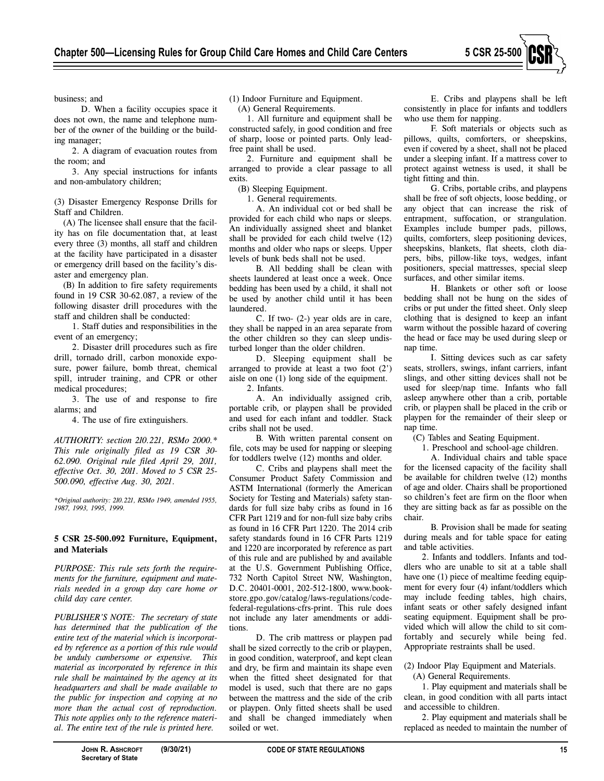

business; and

D. When a facility occupies space it does not own, the name and telephone number of the owner of the building or the building manager;

2. A diagram of evacuation routes from the room; and

3. Any special instructions for infants and non-ambulatory children;

(3) Disaster Emergency Response Drills for Staff and Children.

(A) The licensee shall ensure that the facility has on file documentation that, at least every three (3) months, all staff and children at the facility have participated in a disaster or emergency drill based on the facility's disaster and emergency plan.

(B) In addition to fire safety requirements found in 19 CSR 30-62.087, a review of the following disaster drill procedures with the staff and children shall be conducted:

1. Staff duties and responsibilities in the event of an emergency;

2. Disaster drill procedures such as fire drill, tornado drill, carbon monoxide exposure, power failure, bomb threat, chemical spill, intruder training, and CPR or other medical procedures;

3. The use of and response to fire alarms; and

4. The use of fire extinguishers.

*AUTHORITY: section 210.221, RSMo 2000.\* This rule originally filed as 19 CSR 30- 62.090. Original rule filed April 29, 2011, effective Oct. 30, 2011. Moved to 5 CSR 25- 500.090, effective Aug. 30, 2021.* 

*\*Original authority: 210.221, RSMo 1949, amended 1955, 1987, 1993, 1995, 1999.* 

## **5 CSR 25-500.092 Furniture, Equipment, and Materials**

*PURPOSE: This rule sets forth the requirements for the furniture, equipment and materials needed in a group day care home or child day care center.* 

*PUBLISHER'S NOTE: The secretary of state has determined that the publication of the entire text of the material which is incorporated by reference as a portion of this rule would be unduly cumbersome or expensive. This material as incorporated by reference in this rule shall be maintained by the agency at its headquarters and shall be made available to the public for inspection and copying at no more than the actual cost of reproduction. This note applies only to the reference material. The entire text of the rule is printed here.* 

(1) Indoor Furniture and Equipment.

(A) General Requirements.

1. All furniture and equipment shall be constructed safely, in good condition and free of sharp, loose or pointed parts. Only leadfree paint shall be used.

2. Furniture and equipment shall be arranged to provide a clear passage to all exits.

(B) Sleeping Equipment.

1. General requirements.

A. An individual cot or bed shall be provided for each child who naps or sleeps. An individually assigned sheet and blanket shall be provided for each child twelve (12) months and older who naps or sleeps. Upper levels of bunk beds shall not be used.

B. All bedding shall be clean with sheets laundered at least once a week. Once bedding has been used by a child, it shall not be used by another child until it has been laundered.

C. If two- (2-) year olds are in care, they shall be napped in an area separate from the other children so they can sleep undisturbed longer than the older children.

D. Sleeping equipment shall be arranged to provide at least a two foot (2') aisle on one (1) long side of the equipment. 2. Infants.

A. An individually assigned crib, portable crib, or playpen shall be provided and used for each infant and toddler. Stack cribs shall not be used.

B. With written parental consent on file, cots may be used for napping or sleeping for toddlers twelve (12) months and older.

C. Cribs and playpens shall meet the Consumer Product Safety Commission and ASTM International (formerly the American Society for Testing and Materials) safety standards for full size baby cribs as found in 16 CFR Part 1219 and for non-full size baby cribs as found in 16 CFR Part 1220. The 2014 crib safety standards found in 16 CFR Parts 1219 and 1220 are incorporated by reference as part of this rule and are published by and available at the U.S. Government Publishing Office, 732 North Capitol Street NW, Washington, D.C. 20401-0001, 202-512-1800, www.bookstore.gpo.gov/catalog/laws-regulations/codefederal-regulations-cfrs-print. This rule does not include any later amendments or additions.

D. The crib mattress or playpen pad shall be sized correctly to the crib or playpen, in good condition, waterproof, and kept clean and dry, be firm and maintain its shape even when the fitted sheet designated for that model is used, such that there are no gaps between the mattress and the side of the crib or playpen. Only fitted sheets shall be used and shall be changed immediately when soiled or wet.

E. Cribs and playpens shall be left consistently in place for infants and toddlers who use them for napping.

F. Soft materials or objects such as pillows, quilts, comforters, or sheepskins, even if covered by a sheet, shall not be placed under a sleeping infant. If a mattress cover to protect against wetness is used, it shall be tight fitting and thin.

G. Cribs, portable cribs, and playpens shall be free of soft objects, loose bedding, or any object that can increase the risk of entrapment, suffocation, or strangulation. Examples include bumper pads, pillows, quilts, comforters, sleep positioning devices, sheepskins, blankets, flat sheets, cloth diapers, bibs, pillow-like toys, wedges, infant positioners, special mattresses, special sleep surfaces, and other similar items.

H. Blankets or other soft or loose bedding shall not be hung on the sides of cribs or put under the fitted sheet. Only sleep clothing that is designed to keep an infant warm without the possible hazard of covering the head or face may be used during sleep or nap time.

I. Sitting devices such as car safety seats, strollers, swings, infant carriers, infant slings, and other sitting devices shall not be used for sleep/nap time. Infants who fall asleep anywhere other than a crib, portable crib, or playpen shall be placed in the crib or playpen for the remainder of their sleep or nap time.

(C) Tables and Seating Equipment.

1. Preschool and school-age children.

A. Individual chairs and table space for the licensed capacity of the facility shall be available for children twelve (12) months of age and older. Chairs shall be proportioned so children's feet are firm on the floor when they are sitting back as far as possible on the chair.

B. Provision shall be made for seating during meals and for table space for eating and table activities.

2. Infants and toddlers. Infants and toddlers who are unable to sit at a table shall have one (1) piece of mealtime feeding equipment for every four (4) infant/toddlers which may include feeding tables, high chairs, infant seats or other safely designed infant seating equipment. Equipment shall be provided which will allow the child to sit comfortably and securely while being fed. Appropriate restraints shall be used.

(2) Indoor Play Equipment and Materials.

(A) General Requirements.

1. Play equipment and materials shall be clean, in good condition with all parts intact and accessible to children.

2. Play equipment and materials shall be replaced as needed to maintain the number of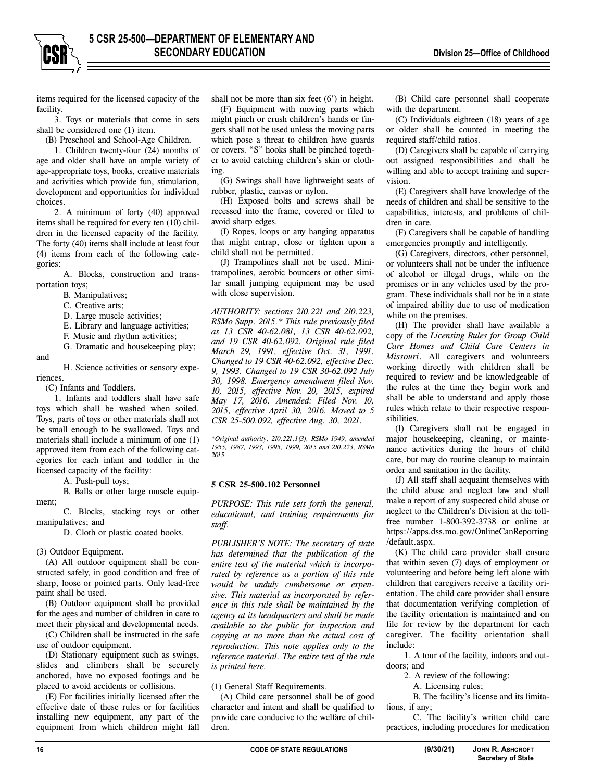items required for the licensed capacity of the facility.

3. Toys or materials that come in sets shall be considered one (1) item.

(B) Preschool and School-Age Children.

1. Children twenty-four (24) months of age and older shall have an ample variety of age-appropriate toys, books, creative materials and activities which provide fun, stimulation, development and opportunities for individual choices.

2. A minimum of forty (40) approved items shall be required for every ten (10) children in the licensed capacity of the facility. The forty (40) items shall include at least four (4) items from each of the following categories:

A. Blocks, construction and transportation toys;

B. Manipulatives;

C. Creative arts;

D. Large muscle activities;

E. Library and language activities;

F. Music and rhythm activities;

G. Dramatic and housekeeping play;

H. Science activities or sensory experiences.

(C) Infants and Toddlers.

and

1. Infants and toddlers shall have safe toys which shall be washed when soiled. Toys, parts of toys or other materials shall not be small enough to be swallowed. Toys and materials shall include a minimum of one (1) approved item from each of the following categories for each infant and toddler in the licensed capacity of the facility:

A. Push-pull toys;

B. Balls or other large muscle equipment;

C. Blocks, stacking toys or other manipulatives; and

D. Cloth or plastic coated books.

(3) Outdoor Equipment.

(A) All outdoor equipment shall be constructed safely, in good condition and free of sharp, loose or pointed parts. Only lead-free paint shall be used.

(B) Outdoor equipment shall be provided for the ages and number of children in care to meet their physical and developmental needs.

(C) Children shall be instructed in the safe use of outdoor equipment.

(D) Stationary equipment such as swings, slides and climbers shall be securely anchored, have no exposed footings and be placed to avoid accidents or collisions.

(E) For facilities initially licensed after the effective date of these rules or for facilities installing new equipment, any part of the equipment from which children might fall

shall not be more than six feet (6') in height.

(F) Equipment with moving parts which might pinch or crush children's hands or fingers shall not be used unless the moving parts which pose a threat to children have guards or covers. "S" hooks shall be pinched together to avoid catching children's skin or clothing.

(G) Swings shall have lightweight seats of rubber, plastic, canvas or nylon.

(H) Exposed bolts and screws shall be recessed into the frame, covered or filed to avoid sharp edges.

(I) Ropes, loops or any hanging apparatus that might entrap, close or tighten upon a child shall not be permitted.

(J) Trampolines shall not be used. Minitrampolines, aerobic bouncers or other similar small jumping equipment may be used with close supervision.

*AUTHORITY: sections 210.221 and 210.223, RSMo Supp. 2015.\* This rule previously filed as 13 CSR 40-62.081, 13 CSR 40-62.092, and 19 CSR 40-62.092. Original rule filed March 29, 1991, effective Oct. 31, 1991. Changed to 19 CSR 40-62.092, effective Dec. 9, 1993. Changed to 19 CSR 30-62.092 July 30, 1998. Emergency amendment filed Nov. 10, 2015, effective Nov. 20, 2015, expired May 17, 2016. Amended: Filed Nov. 10, 2015, effective April 30, 2016. Moved to 5 CSR 25-500.092, effective Aug. 30, 2021.* 

*\*Original authority: 210.221.1(3), RSMo 1949, amended 1955, 1987, 1993, 1995, 1999, 2015 and 210.223, RSMo 2015.* 

#### **5 CSR 25-500.102 Personnel**

*PURPOSE: This rule sets forth the general, educational, and training requirements for staff.* 

*PUBLISHER'S NOTE: The secretary of state has determined that the publication of the entire text of the material which is incorporated by reference as a portion of this rule would be unduly cumbersome or expensive. This material as incorporated by reference in this rule shall be maintained by the agency at its headquarters and shall be made available to the public for inspection and copying at no more than the actual cost of reproduction. This note applies only to the reference material. The entire text of the rule is printed here.* 

(1) General Staff Requirements.

(A) Child care personnel shall be of good character and intent and shall be qualified to provide care conducive to the welfare of children.

(B) Child care personnel shall cooperate with the department.

(C) Individuals eighteen (18) years of age or older shall be counted in meeting the required staff/child ratios.

(D) Caregivers shall be capable of carrying out assigned responsibilities and shall be willing and able to accept training and supervision.

(E) Caregivers shall have knowledge of the needs of children and shall be sensitive to the capabilities, interests, and problems of children in care.

(F) Caregivers shall be capable of handling emergencies promptly and intelligently.

(G) Caregivers, directors, other personnel, or volunteers shall not be under the influence of alcohol or illegal drugs, while on the premises or in any vehicles used by the program. These individuals shall not be in a state of impaired ability due to use of medication while on the premises.

(H) The provider shall have available a copy of the *Licensing Rules for Group Child Care Homes and Child Care Centers in Missouri*. All caregivers and volunteers working directly with children shall be required to review and be knowledgeable of the rules at the time they begin work and shall be able to understand and apply those rules which relate to their respective responsibilities.

(I) Caregivers shall not be engaged in major housekeeping, cleaning, or maintenance activities during the hours of child care, but may do routine cleanup to maintain order and sanitation in the facility.

(J) All staff shall acquaint themselves with the child abuse and neglect law and shall make a report of any suspected child abuse or neglect to the Children's Division at the tollfree number 1-800-392-3738 or online at https://apps.dss.mo.gov/OnlineCanReporting /default.aspx.

(K) The child care provider shall ensure that within seven (7) days of employment or volunteering and before being left alone with children that caregivers receive a facility orientation. The child care provider shall ensure that documentation verifying completion of the facility orientation is maintained and on file for review by the department for each caregiver. The facility orientation shall include:

1. A tour of the facility, indoors and outdoors; and

2. A review of the following:

A. Licensing rules;

B. The facility's license and its limitations, if any;

C. The facility's written child care practices, including procedures for medication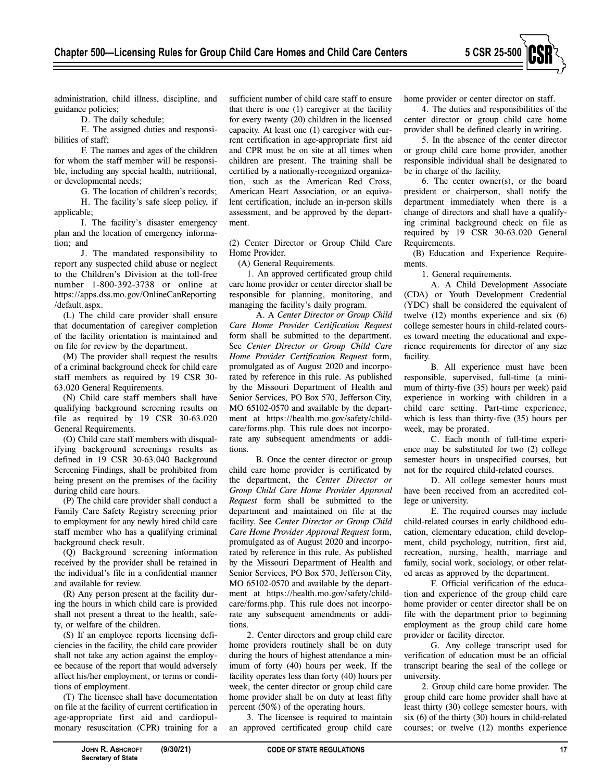

administration, child illness, discipline, and guidance policies;

D. The daily schedule;

E. The assigned duties and responsibilities of staff;

F. The names and ages of the children for whom the staff member will be responsible, including any special health, nutritional, or developmental needs;

G. The location of children's records; H. The facility's safe sleep policy, if applicable;

I. The facility's disaster emergency plan and the location of emergency information; and

J. The mandated responsibility to report any suspected child abuse or neglect to the Children's Division at the toll-free number 1-800-392-3738 or online at https://apps.dss.mo.gov/OnlineCanReporting /default.aspx.

(L) The child care provider shall ensure that documentation of caregiver completion of the facility orientation is maintained and on file for review by the department.

(M) The provider shall request the results of a criminal background check for child care staff members as required by 19 CSR 30- 63.020 General Requirements.

(N) Child care staff members shall have qualifying background screening results on file as required by 19 CSR 30-63.020 General Requirements.

(O) Child care staff members with disqualifying background screenings results as defined in 19 CSR 30-63.040 Background Screening Findings, shall be prohibited from being present on the premises of the facility during child care hours.

(P) The child care provider shall conduct a Family Care Safety Registry screening prior to employment for any newly hired child care staff member who has a qualifying criminal background check result.

(Q) Background screening information received by the provider shall be retained in the individual's file in a confidential manner and available for review.

(R) Any person present at the facility during the hours in which child care is provided shall not present a threat to the health, safety, or welfare of the children.

(S) If an employee reports licensing deficiencies in the facility, the child care provider shall not take any action against the employee because of the report that would adversely affect his/her employment, or terms or conditions of employment.

(T) The licensee shall have documentation on file at the facility of current certification in age-appropriate first aid and cardiopulmonary resuscitation (CPR) training for a sufficient number of child care staff to ensure that there is one (1) caregiver at the facility for every twenty (20) children in the licensed capacity. At least one (1) caregiver with current certification in age-appropriate first aid and CPR must be on site at all times when children are present. The training shall be certified by a nationally-recognized organization, such as the American Red Cross, American Heart Association, or an equivalent certification, include an in-person skills assessment, and be approved by the department.

(2) Center Director or Group Child Care Home Provider.

(A) General Requirements.

1. An approved certificated group child care home provider or center director shall be responsible for planning, monitoring, and managing the facility's daily program.

A. A *Center Director or Group Child Care Home Provider Certification Request*  form shall be submitted to the department. See *Center Director or Group Child Care Home Provider Certification Request* form, promulgated as of August 2020 and incorporated by reference in this rule. As published by the Missouri Department of Health and Senior Services, PO Box 570, Jefferson City, MO 65102-0570 and available by the department at https://health.mo.gov/safety/childcare/forms.php. This rule does not incorporate any subsequent amendments or additions.

B. Once the center director or group child care home provider is certificated by the department, the *Center Director or Group Child Care Home Provider Approval Request* form shall be submitted to the department and maintained on file at the facility. See *Center Director or Group Child Care Home Provider Approval Request* form, promulgated as of August 2020 and incorporated by reference in this rule. As published by the Missouri Department of Health and Senior Services, PO Box 570, Jefferson City, MO 65102-0570 and available by the department at https://health.mo.gov/safety/childcare/forms.php. This rule does not incorporate any subsequent amendments or additions.

2. Center directors and group child care home providers routinely shall be on duty during the hours of highest attendance a minimum of forty (40) hours per week. If the facility operates less than forty (40) hours per week, the center director or group child care home provider shall be on duty at least fifty percent (50%) of the operating hours.

3. The licensee is required to maintain an approved certificated group child care home provider or center director on staff.

4. The duties and responsibilities of the center director or group child care home provider shall be defined clearly in writing.

5. In the absence of the center director or group child care home provider, another responsible individual shall be designated to be in charge of the facility.

6. The center owner(s), or the board president or chairperson, shall notify the department immediately when there is a change of directors and shall have a qualifying criminal background check on file as required by 19 CSR 30-63.020 General Requirements.

(B) Education and Experience Requirements.

1. General requirements.

A. A Child Development Associate (CDA) or Youth Development Credential (YDC) shall be considered the equivalent of twelve (12) months experience and six (6) college semester hours in child-related courses toward meeting the educational and experience requirements for director of any size facility.

B. All experience must have been responsible, supervised, full-time (a minimum of thirty-five (35) hours per week) paid experience in working with children in a child care setting. Part-time experience, which is less than thirty-five (35) hours per week, may be prorated.

C. Each month of full-time experience may be substituted for two (2) college semester hours in unspecified courses, but not for the required child-related courses.

D. All college semester hours must have been received from an accredited college or university.

E. The required courses may include child-related courses in early childhood education, elementary education, child development, child psychology, nutrition, first aid, recreation, nursing, health, marriage and family, social work, sociology, or other related areas as approved by the department.

F. Official verification of the education and experience of the group child care home provider or center director shall be on file with the department prior to beginning employment as the group child care home provider or facility director.

G. Any college transcript used for verification of education must be an official transcript bearing the seal of the college or university.

2. Group child care home provider. The group child care home provider shall have at least thirty (30) college semester hours, with six (6) of the thirty (30) hours in child-related courses; or twelve (12) months experience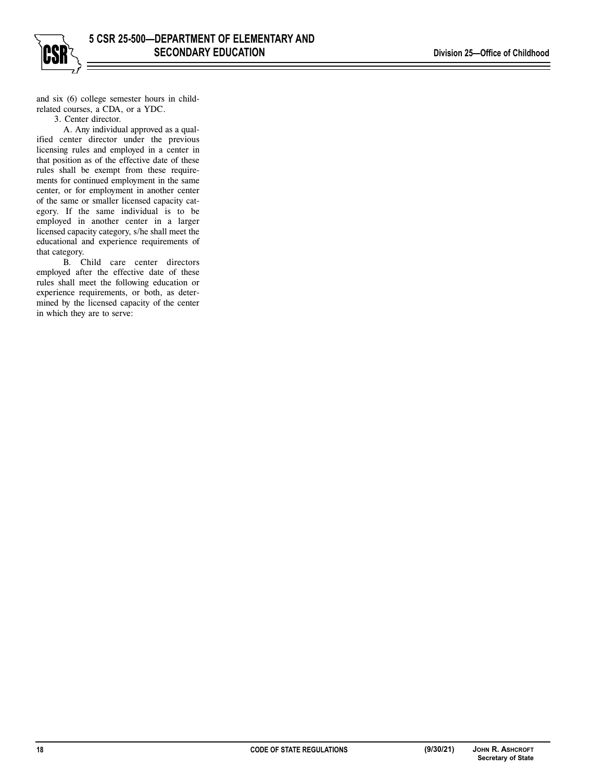

and six (6) college semester hours in childrelated courses, a CDA, or a YDC.

3. Center director.

A. Any individual approved as a qualified center director under the previous licensing rules and employed in a center in that position as of the effective date of these rules shall be exempt from these requirements for continued employment in the same center, or for employment in another center of the same or smaller licensed capacity category. If the same individual is to be employed in another center in a larger licensed capacity category, s/he shall meet the educational and experience requirements of that category.

B. Child care center directors employed after the effective date of these rules shall meet the following education or experience requirements, or both, as determined by the licensed capacity of the center in which they are to serve: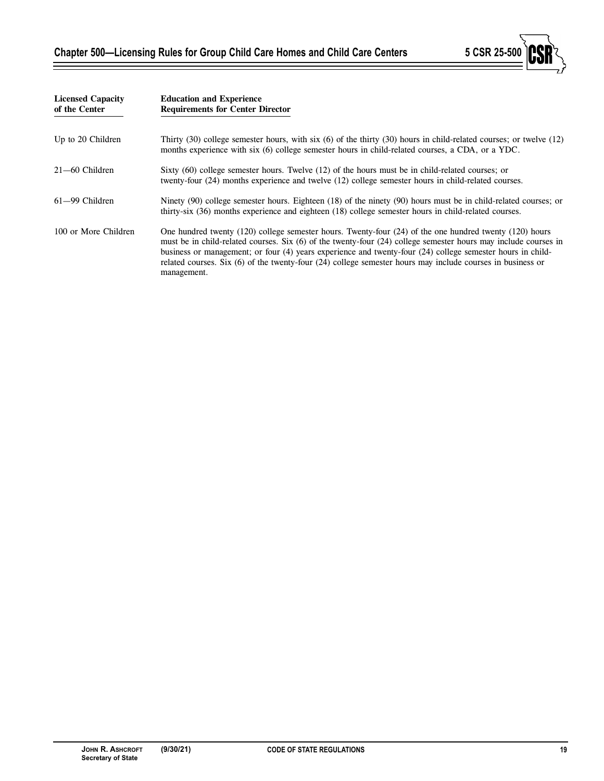Ξ



| <b>Licensed Capacity</b><br>of the Center | <b>Education and Experience</b><br><b>Requirements for Center Director</b>                                                                                                                                                                                                                                                                                                                                                                                                      |  |  |  |
|-------------------------------------------|---------------------------------------------------------------------------------------------------------------------------------------------------------------------------------------------------------------------------------------------------------------------------------------------------------------------------------------------------------------------------------------------------------------------------------------------------------------------------------|--|--|--|
| Up to 20 Children                         | Thirty $(30)$ college semester hours, with six $(6)$ of the thirty $(30)$ hours in child-related courses; or twelve $(12)$<br>months experience with six (6) college semester hours in child-related courses, a CDA, or a YDC.                                                                                                                                                                                                                                                  |  |  |  |
| $21 - 60$ Children                        | Sixty (60) college semester hours. Twelve (12) of the hours must be in child-related courses; or<br>twenty-four (24) months experience and twelve (12) college semester hours in child-related courses.                                                                                                                                                                                                                                                                         |  |  |  |
| 61–99 Children                            | Ninety (90) college semester hours. Eighteen (18) of the ninety (90) hours must be in child-related courses; or<br>thirty-six (36) months experience and eighteen (18) college semester hours in child-related courses.                                                                                                                                                                                                                                                         |  |  |  |
| 100 or More Children                      | One hundred twenty $(120)$ college semester hours. Twenty-four $(24)$ of the one hundred twenty $(120)$ hours<br>must be in child-related courses. Six (6) of the twenty-four (24) college semester hours may include courses in<br>business or management; or four (4) years experience and twenty-four (24) college semester hours in child-<br>related courses. Six $(6)$ of the twenty-four $(24)$ college semester hours may include courses in business or<br>management. |  |  |  |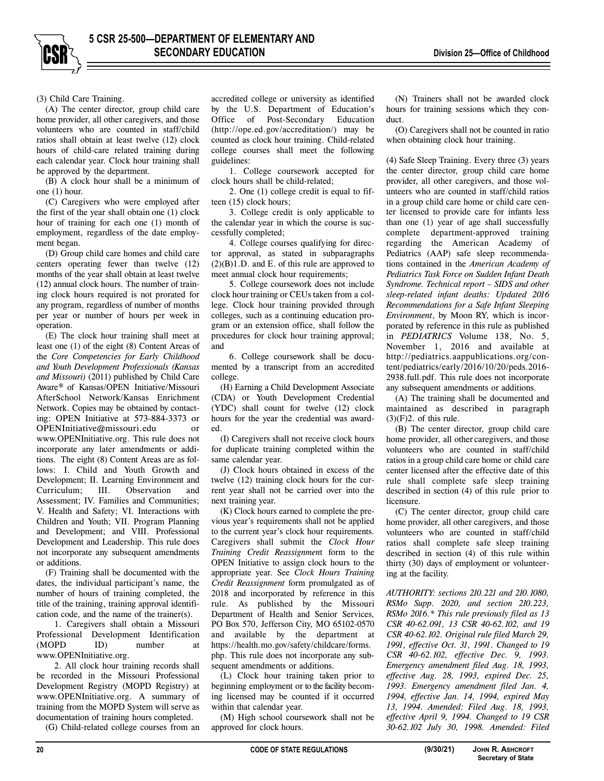(3) Child Care Training. (A) The center director, group child care home provider, all other caregivers, and those volunteers who are counted in staff/child ratios shall obtain at least twelve (12) clock hours of child-care related training during each calendar year. Clock hour training shall be approved by the department.

(B) A clock hour shall be a minimum of one (1) hour.

(C) Caregivers who were employed after the first of the year shall obtain one (1) clock hour of training for each one (1) month of employment, regardless of the date employment began.

(D) Group child care homes and child care centers operating fewer than twelve (12) months of the year shall obtain at least twelve (12) annual clock hours. The number of training clock hours required is not prorated for any program, regardless of number of months per year or number of hours per week in operation.

(E) The clock hour training shall meet at least one (1) of the eight (8) Content Areas of the *Core Competencies for Early Childhood and Youth Development Professionals (Kansas and Missouri)* (2011) published by Child Care Aware® of Kansas/OPEN Initiative/Missouri AfterSchool Network/Kansas Enrichment Network. Copies may be obtained by contacting: OPEN Initiative at 573-884-3373 or OPENInitiative@missouri.edu or www.OPENInitiative.org. This rule does not incorporate any later amendments or additions. The eight (8) Content Areas are as follows: I. Child and Youth Growth and Development; II. Learning Environment and<br>Curriculum: III. Observation and III. Observation and Assessment; IV. Families and Communities; V. Health and Safety; VI. Interactions with Children and Youth; VII. Program Planning and Development; and VIII. Professional Development and Leadership. This rule does not incorporate any subsequent amendments or additions.

(F) Training shall be documented with the dates, the individual participant's name, the number of hours of training completed, the title of the training, training approval identification code, and the name of the trainer(s).

1. Caregivers shall obtain a Missouri Professional Development Identification (MOPD ID) number at www.OPENInitiative.org.

2. All clock hour training records shall be recorded in the Missouri Professional Development Registry (MOPD Registry) at www.OPENInitiative.org. A summary of training from the MOPD System will serve as documentation of training hours completed.

(G) Child-related college courses from an

accredited college or university as identified by the U.S. Department of Education's Office of Post-Secondary Education (http://ope.ed.gov/accreditation/) may be counted as clock hour training. Child-related college courses shall meet the following guidelines:

1. College coursework accepted for clock hours shall be child-related;

2. One (1) college credit is equal to fifteen (15) clock hours;

3. College credit is only applicable to the calendar year in which the course is successfully completed;

4. College courses qualifying for director approval, as stated in subparagraphs  $(2)(B)1.D.$  and E. of this rule are approved to meet annual clock hour requirements;

5. College coursework does not include clock hour training or CEUs taken from a college. Clock hour training provided through colleges, such as a continuing education program or an extension office, shall follow the procedures for clock hour training approval; and

6. College coursework shall be documented by a transcript from an accredited college.

(H) Earning a Child Development Associate (CDA) or Youth Development Credential (YDC) shall count for twelve (12) clock hours for the year the credential was awarded.

(I) Caregivers shall not receive clock hours for duplicate training completed within the same calendar year.

(J) Clock hours obtained in excess of the twelve (12) training clock hours for the current year shall not be carried over into the next training year.

(K) Clock hours earned to complete the previous year's requirements shall not be applied to the current year's clock hour requirements. Caregivers shall submit the *Clock Hour Training Credit Reassignmen*t form to the OPEN Initiative to assign clock hours to the appropriate year. See *Clock Hours Training Credit Reassignment* form promulgated as of 2018 and incorporated by reference in this rule. As published by the Missouri Department of Health and Senior Services, PO Box 570, Jefferson City, MO 65102-0570 and available by the department at https://health.mo.gov/safety/childcare/forms. php. This rule does not incorporate any subsequent amendments or additions.

(L) Clock hour training taken prior to beginning employment or to the facility becoming licensed may be counted if it occurred within that calendar year.

(M) High school coursework shall not be approved for clock hours.

(N) Trainers shall not be awarded clock hours for training sessions which they conduct.

(O) Caregivers shall not be counted in ratio when obtaining clock hour training.

(4) Safe Sleep Training. Every three (3) years the center director, group child care home provider, all other caregivers, and those volunteers who are counted in staff/child ratios in a group child care home or child care center licensed to provide care for infants less than one (1) year of age shall successfully complete department-approved training regarding the American Academy of Pediatrics (AAP) safe sleep recommendations contained in the *American Academy of Pediatrics Task Force on Sudden Infant Death Syndrome. Technical report – SIDS and other sleep-related infant deaths: Updated 2016 Recommendations for a Safe Infant Sleeping Environment*, by Moon RY, which is incorporated by reference in this rule as published in *PEDIATRICS* Volume 138, No. 5, November 1, 2016 and available at http://pediatrics.aappublications.org/content/pediatrics/early/2016/10/20/peds.2016- 2938.full.pdf. This rule does not incorporate any subsequent amendments or additions.

(A) The training shall be documented and maintained as described in paragraph  $(3)(F)2$ . of this rule.

(B) The center director, group child care home provider, all other caregivers, and those volunteers who are counted in staff/child ratios in a group child care home or child care center licensed after the effective date of this rule shall complete safe sleep training described in section (4) of this rule prior to licensure.

(C) The center director, group child care home provider, all other caregivers, and those volunteers who are counted in staff/child ratios shall complete safe sleep training described in section (4) of this rule within thirty (30) days of employment or volunteering at the facility.

*AUTHORITY: sections 210.221 and 210.1080, RSMo Supp. 2020, and section 210.223, RSMo 2016.\* This rule previously filed as 13 CSR 40-62.091, 13 CSR 40-62.102, and 19 CSR 40-62.102. Original rule filed March 29, 1991, effective Oct. 31, 1991. Changed to 19 CSR 40-62.102, effective Dec. 9, 1993. Emergency amendment filed Aug. 18, 1993, effective Aug. 28, 1993, expired Dec. 25, 1993. Emergency amendment filed Jan. 4, 1994, effective Jan. 14, 1994, expired May 13, 1994. Amended: Filed Aug. 18, 1993, effective April 9, 1994. Changed to 19 CSR 30-62.102 July 30, 1998. Amended: Filed*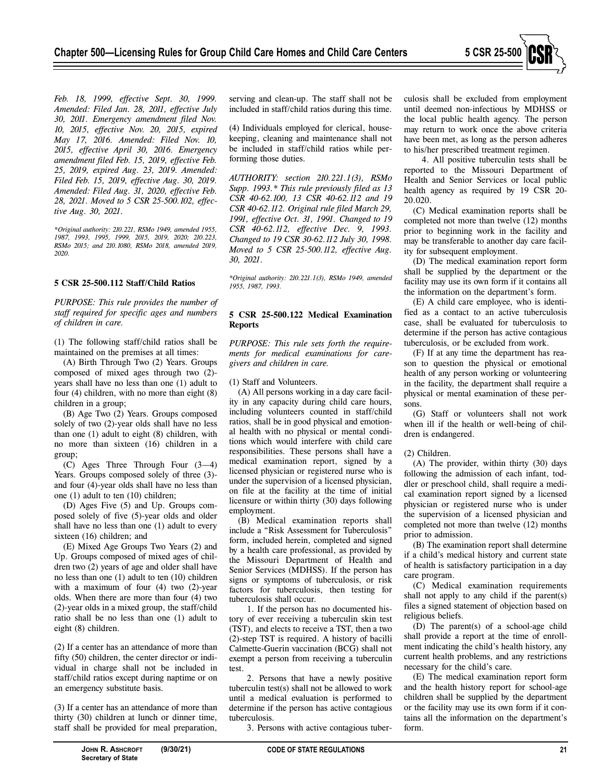

*Feb. 18, 1999, effective Sept. 30, 1999. Amended: Filed Jan. 28, 2011, effective July 30, 2011. Emergency amendment filed Nov. 10, 2015, effective Nov. 20, 2015, expired May 17, 2016. Amended: Filed Nov. 10, 2015, effective April 30, 2016. Emergency amendment filed Feb. 15, 2019, effective Feb. 25, 2019, expired Aug. 23, 2019. Amended: Filed Feb. 15, 2019, effective Aug. 30, 2019. Amended: Filed Aug. 31, 2020, effective Feb. 28, 2021. Moved to 5 CSR 25-500.102, effective Aug. 30, 2021.* 

*\*Original authority: 210.221, RSMo 1949, amended 1955, 1987, 1993, 1995, 1999, 2015, 2019, 2020; 210.223, RSMo 2015; and 210.1080, RSMo 2018, amended 2019, 2020.* 

#### **5 CSR 25-500.112 Staff/Child Ratios**

*PURPOSE: This rule provides the number of staff required for specific ages and numbers of children in care.* 

(1) The following staff/child ratios shall be maintained on the premises at all times:

(A) Birth Through Two (2) Years. Groups composed of mixed ages through two (2) years shall have no less than one (1) adult to four (4) children, with no more than eight (8) children in a group;

(B) Age Two (2) Years. Groups composed solely of two (2)-year olds shall have no less than one (1) adult to eight (8) children, with no more than sixteen (16) children in a group;

(C) Ages Three Through Four (3—4) Years. Groups composed solely of three  $(3)$ and four (4)-year olds shall have no less than one (1) adult to ten (10) children;

(D) Ages Five (5) and Up. Groups composed solely of five (5)-year olds and older shall have no less than one (1) adult to every sixteen (16) children; and

(E) Mixed Age Groups Two Years (2) and Up. Groups composed of mixed ages of children two (2) years of age and older shall have no less than one (1) adult to ten (10) children with a maximum of four (4) two (2)-year olds. When there are more than four (4) two (2)-year olds in a mixed group, the staff/child ratio shall be no less than one (1) adult to eight (8) children.

(2) If a center has an attendance of more than fifty (50) children, the center director or individual in charge shall not be included in staff/child ratios except during naptime or on an emergency substitute basis.

(3) If a center has an attendance of more than thirty (30) children at lunch or dinner time, staff shall be provided for meal preparation,

serving and clean-up. The staff shall not be included in staff/child ratios during this time.

(4) Individuals employed for clerical, housekeeping, cleaning and maintenance shall not be included in staff/child ratios while performing those duties.

*AUTHORITY: section 210.221.1(3), RSMo Supp. 1993.\* This rule previously filed as 13 CSR 40-62.100, 13 CSR 40-62.112 and 19 CSR 40-62.112. Original rule filed March 29, 1991, effective Oct. 31, 1991. Changed to 19 CSR 40-62.112, effective Dec. 9, 1993. Changed to 19 CSR 30-62.112 July 30, 1998. Moved to 5 CSR 25-500.112, effective Aug. 30, 2021.* 

*\*Original authority: 210.221.1(3), RSMo 1949, amended 1955, 1987, 1993.* 

#### **5 CSR 25-500.122 Medical Examination Reports**

*PURPOSE: This rule sets forth the requirements for medical examinations for caregivers and children in care.* 

(1) Staff and Volunteers.

(A) All persons working in a day care facility in any capacity during child care hours, including volunteers counted in staff/child ratios, shall be in good physical and emotional health with no physical or mental conditions which would interfere with child care responsibilities. These persons shall have a medical examination report, signed by a licensed physician or registered nurse who is under the supervision of a licensed physician, on file at the facility at the time of initial licensure or within thirty (30) days following employment.

(B) Medical examination reports shall include a "Risk Assessment for Tuberculosis" form, included herein, completed and signed by a health care professional, as provided by the Missouri Department of Health and Senior Services (MDHSS). If the person has signs or symptoms of tuberculosis, or risk factors for tuberculosis, then testing for tuberculosis shall occur.

1. If the person has no documented history of ever receiving a tuberculin skin test (TST), and elects to receive a TST, then a two (2)-step TST is required. A history of bacilli Calmette-Guerin vaccination (BCG) shall not exempt a person from receiving a tuberculin test.

2. Persons that have a newly positive tuberculin test(s) shall not be allowed to work until a medical evaluation is performed to determine if the person has active contagious tuberculosis.

3. Persons with active contagious tuber-

culosis shall be excluded from employment until deemed non-infectious by MDHSS or the local public health agency. The person may return to work once the above criteria have been met, as long as the person adheres to his/her prescribed treatment regimen.

4. All positive tuberculin tests shall be reported to the Missouri Department of Health and Senior Services or local public health agency as required by 19 CSR 20- 20.020.

(C) Medical examination reports shall be completed not more than twelve (12) months prior to beginning work in the facility and may be transferable to another day care facility for subsequent employment.

(D) The medical examination report form shall be supplied by the department or the facility may use its own form if it contains all the information on the department's form.

(E) A child care employee, who is identified as a contact to an active tuberculosis case, shall be evaluated for tuberculosis to determine if the person has active contagious tuberculosis, or be excluded from work.

(F) If at any time the department has reason to question the physical or emotional health of any person working or volunteering in the facility, the department shall require a physical or mental examination of these persons.

(G) Staff or volunteers shall not work when ill if the health or well-being of children is endangered.

## (2) Children.

(A) The provider, within thirty (30) days following the admission of each infant, toddler or preschool child, shall require a medical examination report signed by a licensed physician or registered nurse who is under the supervision of a licensed physician and completed not more than twelve (12) months prior to admission.

(B) The examination report shall determine if a child's medical history and current state of health is satisfactory participation in a day care program.

(C) Medical examination requirements shall not apply to any child if the parent(s) files a signed statement of objection based on religious beliefs.

(D) The parent(s) of a school-age child shall provide a report at the time of enrollment indicating the child's health history, any current health problems, and any restrictions necessary for the child's care.

(E) The medical examination report form and the health history report for school-age children shall be supplied by the department or the facility may use its own form if it contains all the information on the department's form.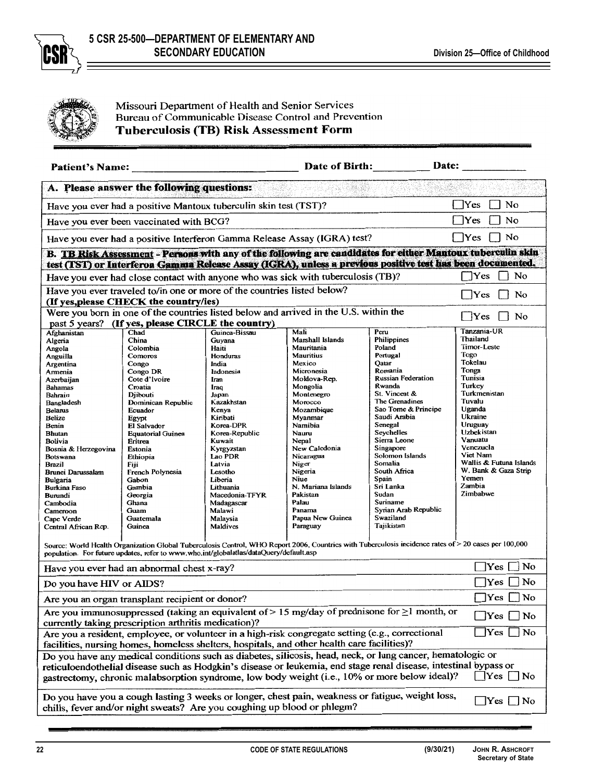



Missouri Department of Health and Senior Services Bureau of Communicable Disease Control and Prevention **Tuberculosis (TB) Risk Assessment Form** 

| <b>Patient's Name:</b>                                                                                                                                                                                                                      |                                                                                                                   |                      | Date of Birth:                                                                                                                                        |                                      | Date:                   |  |  |
|---------------------------------------------------------------------------------------------------------------------------------------------------------------------------------------------------------------------------------------------|-------------------------------------------------------------------------------------------------------------------|----------------------|-------------------------------------------------------------------------------------------------------------------------------------------------------|--------------------------------------|-------------------------|--|--|
| A. Please answer the following questions:                                                                                                                                                                                                   |                                                                                                                   |                      |                                                                                                                                                       |                                      |                         |  |  |
|                                                                                                                                                                                                                                             | No<br><b>Yes</b><br>Have you ever had a positive Mantoux tuberculin skin test (TST)?                              |                      |                                                                                                                                                       |                                      |                         |  |  |
|                                                                                                                                                                                                                                             | Have you ever been vaccinated with BCG?                                                                           |                      |                                                                                                                                                       |                                      | Yes<br>No               |  |  |
|                                                                                                                                                                                                                                             |                                                                                                                   |                      | Have you ever had a positive Interferon Gamma Release Assay (IGRA) test?                                                                              |                                      | No<br>$ $ $ $ Yes       |  |  |
| B. TB Risk Assessment - Persons with any of the following are candidates for either Mantoux tuberculin skin<br>test (TST) or Interferon Gamma Release Assay (IGRA), unless a previous positive test has been documented.                    |                                                                                                                   |                      |                                                                                                                                                       |                                      |                         |  |  |
| Yes<br>No<br>Have you ever had close contact with anyone who was sick with tuberculosis (TB)?                                                                                                                                               |                                                                                                                   |                      |                                                                                                                                                       |                                      |                         |  |  |
|                                                                                                                                                                                                                                             | Have you ever traveled to/in one or more of the countries listed below?<br>(If yes, please CHECK the country/ies) |                      |                                                                                                                                                       |                                      | $\exists$ No<br>$ $ Yes |  |  |
|                                                                                                                                                                                                                                             |                                                                                                                   |                      | Were you born in one of the countries listed below and arrived in the U.S. within the                                                                 |                                      |                         |  |  |
| past 5 years?                                                                                                                                                                                                                               | (If yes, please CIRCLE the country)                                                                               |                      |                                                                                                                                                       |                                      | No<br>Yes               |  |  |
| Afghanistan                                                                                                                                                                                                                                 | Chad                                                                                                              | Guinea-Bissau        | Mali                                                                                                                                                  | Peru                                 | Tanzania-UR             |  |  |
| Algeria                                                                                                                                                                                                                                     | China                                                                                                             | Guyana               | Marshall Islands                                                                                                                                      | Philippines                          | Thailand                |  |  |
| Angola                                                                                                                                                                                                                                      | Colombia                                                                                                          | Haiti                | Mauritania                                                                                                                                            | Poland                               | Timor-Leste             |  |  |
| Anguilla                                                                                                                                                                                                                                    | Comoros                                                                                                           | Honduras             | <b>Mauritius</b>                                                                                                                                      | Portugal                             | Togo                    |  |  |
| Argentina                                                                                                                                                                                                                                   | Congo                                                                                                             | India                | Mexico                                                                                                                                                | Qatar                                | Tokelau                 |  |  |
| Amenia                                                                                                                                                                                                                                      | Congo DR                                                                                                          | Indonesia            | Micronesia                                                                                                                                            | Romania<br><b>Russian Federation</b> | Tonga<br>Tunisia        |  |  |
| Azerbaijan                                                                                                                                                                                                                                  | Cote d'Ivoire                                                                                                     | Iran                 | Moldova-Rep.                                                                                                                                          | Rwanda                               | Turkey                  |  |  |
| <b>Bahamas</b>                                                                                                                                                                                                                              | Croatia                                                                                                           | Iraq                 | Mongolia<br>Montenegro                                                                                                                                | St. Vincent &                        | Turkmenistan            |  |  |
| Bahrain<br>Bangladesh                                                                                                                                                                                                                       | Djibouti<br>Dominican Republic                                                                                    | Japan<br>Kazakhstan  | Morocco                                                                                                                                               | The Grenadines                       | Tuvalu                  |  |  |
| <b>Belarus</b>                                                                                                                                                                                                                              | Ecuador                                                                                                           | Kenya                | Mozambique                                                                                                                                            | Sao Tome & Principe                  | Uganda                  |  |  |
| Belize                                                                                                                                                                                                                                      | Egypt                                                                                                             | Kiribati             | Myanmar                                                                                                                                               | Saudi Arabia                         | Ukraine                 |  |  |
| Benin                                                                                                                                                                                                                                       | El Salvador                                                                                                       | Korea-DPR            | Namibia                                                                                                                                               | Senegal                              | Uruguay                 |  |  |
| <b>Bhutan</b>                                                                                                                                                                                                                               | <b>Equatorial Guinea</b>                                                                                          | Korea-Republic       | Nauru                                                                                                                                                 | Seychelles                           | Uzbekistan              |  |  |
| Bolivia                                                                                                                                                                                                                                     | Eritrea                                                                                                           | Kuwait               | Nepal                                                                                                                                                 | Sierra Leone                         | Vanuatu                 |  |  |
| Bosnia & Herzegovina                                                                                                                                                                                                                        | Estonia                                                                                                           | Kyrgyzstan           | New Caledonia                                                                                                                                         | Singapore                            | Venezuela               |  |  |
| <b>Botswana</b>                                                                                                                                                                                                                             | Ethiopia                                                                                                          | Lao PDR              | Nicaragua                                                                                                                                             | Solomon Islands                      | Viet Nam                |  |  |
| <b>Brazil</b>                                                                                                                                                                                                                               | Fiji                                                                                                              | Latvia               | Niger                                                                                                                                                 | Somalia                              | Wallis & Futuna Islands |  |  |
| Brunei Darussalam                                                                                                                                                                                                                           | French Polynesia                                                                                                  | Lesotho              | Nigeria                                                                                                                                               | South Africa                         | W. Bank & Gaza Strip    |  |  |
| <b>Bulgaria</b>                                                                                                                                                                                                                             | Gabon                                                                                                             | Liberia              | Niue                                                                                                                                                  | Spain                                | Yemen                   |  |  |
| <b>Burkina Faso</b>                                                                                                                                                                                                                         | Gambia                                                                                                            | Lithuania            | N. Mariana Islands                                                                                                                                    | Sri Lanka<br>Sudan                   | Zambia<br>Zimbabwe      |  |  |
| Burundi                                                                                                                                                                                                                                     | Georgia                                                                                                           | Macedonia-TFYR       | Pakistan                                                                                                                                              | Suriname                             |                         |  |  |
| Cambodia                                                                                                                                                                                                                                    | Ghana                                                                                                             | Madagascar<br>Malawi | Palau<br>Panama                                                                                                                                       | Syrian Arab Republic                 |                         |  |  |
| Cameroon<br>Cape Verde                                                                                                                                                                                                                      | Guam<br>Guatemala                                                                                                 | Malaysia             | Papua New Guinea                                                                                                                                      | Swaziland                            |                         |  |  |
| Central African Rep.                                                                                                                                                                                                                        | Guinea                                                                                                            | Maldives             | Paraguay                                                                                                                                              | Tajikistan                           |                         |  |  |
|                                                                                                                                                                                                                                             |                                                                                                                   |                      |                                                                                                                                                       |                                      |                         |  |  |
|                                                                                                                                                                                                                                             | population. For future updates, refer to www.who.int/globalatlas/dataQuery/default.asp                            |                      | Source: World Health Organization Global Tuberculosis Control, WHO Report 2006, Countries with Tuberculosis incidence rates of > 20 cases per 100,000 |                                      |                         |  |  |
| $\gamma$ res<br>No<br>Have you ever had an abnormal chest x-ray?                                                                                                                                                                            |                                                                                                                   |                      |                                                                                                                                                       |                                      |                         |  |  |
| Yes<br>No<br>Do you have HIV or AIDS?                                                                                                                                                                                                       |                                                                                                                   |                      |                                                                                                                                                       |                                      |                         |  |  |
| ]Yes [<br>No<br>Are you an organ transplant recipient or donor?                                                                                                                                                                             |                                                                                                                   |                      |                                                                                                                                                       |                                      |                         |  |  |
| Are you immunosuppressed (taking an equivalent of $> 15$ mg/day of prednisone for $\geq 1$ month, or<br> Yes <br>No<br>currently taking prescription arthritis medication)?                                                                 |                                                                                                                   |                      |                                                                                                                                                       |                                      |                         |  |  |
| $\Box$ Yes<br>$\exists$ No<br>Are you a resident, employee, or volunteer in a high-risk congregate setting (e.g., correctional<br>facilities, nursing homes, homeless shelters, hospitals, and other health care facilities)?               |                                                                                                                   |                      |                                                                                                                                                       |                                      |                         |  |  |
|                                                                                                                                                                                                                                             |                                                                                                                   |                      |                                                                                                                                                       |                                      |                         |  |  |
| Do you have any medical conditions such as diabetes, silicosis, head, neck, or lung cancer, hematologic or                                                                                                                                  |                                                                                                                   |                      |                                                                                                                                                       |                                      |                         |  |  |
| reticuloendothelial disease such as Hodgkin's disease or leukemia, end stage renal disease, intestinal bypass or<br>$\forall$ es $\Box$ No<br>gastrectomy, chronic malabsorption syndrome, low body weight (i.e., 10% or more below ideal)? |                                                                                                                   |                      |                                                                                                                                                       |                                      |                         |  |  |
| Do you have you a cough lasting 3 weeks or longer, chest pain, weakness or fatigue, weight loss,<br>$\rfloor$ Yes $\lfloor$ No<br>chills, fever and/or night sweats? Are you coughing up blood or phlegm?                                   |                                                                                                                   |                      |                                                                                                                                                       |                                      |                         |  |  |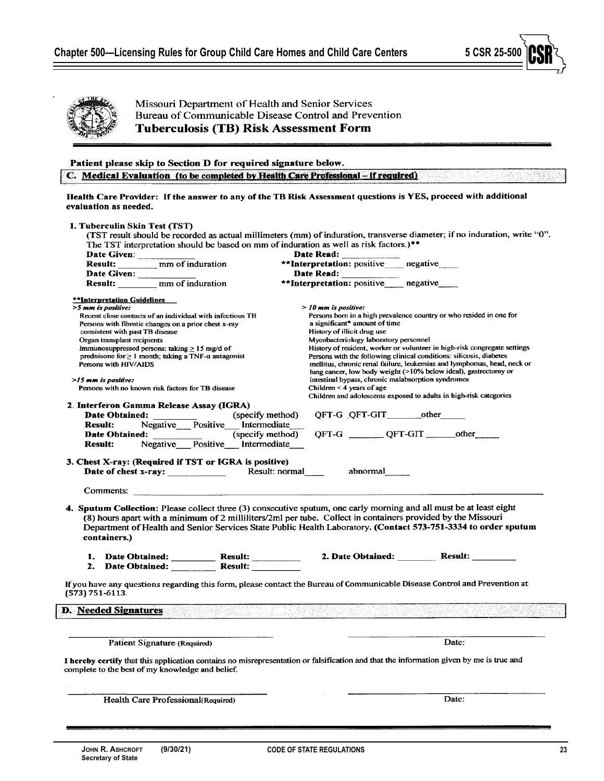

**Secretary of State**

Missouri Department of Health and Senior Services Bureau of Communicable Disease Control and Prevention **Tuberculosis (TB) Risk Assessment Form** 

## Patient please skip to Section D for required signature below.

C. Medical Evaluation (to be completed by Health Care Professional - if required)

## Health Care Provider: If the answer to any of the TB Risk Assessment questions is YES, proceed with additional evaluation as needed.

| Date Given:<br>Result: _________ mm of induration<br>**Interpretation: positive negative<br>Date Read:<br>Date Given: _____<br>Result: <u>mm</u> of induration<br>**Interpretation: positive negative<br><b>**Interpretation Guidelines</b><br>>5 mm is positive:<br>$>$ 10 mm is positive:<br>Persons born in a high prevalence country or who resided in one for<br>Recent close contacts of an individual with infectious TB<br>a significant* amount of time<br>Persons with fibrotic changes on a prior chest x-ray<br>History of illicit drug use<br>consistent with past TB disease<br>Mycobacteriology laboratory personnel<br>Organ transplant recipients<br>History of resident, worker or volunteer in high-risk congregate settings<br>Immunosuppressed persons: taking $\geq 15$ mg/d of<br>Persons with the following clinical conditions: silicosis, diabetes<br>prednisone for $\geq 1$ month; taking a TNF- $\alpha$ antagonist<br>mellitus, chronic renal failure, leukemias and lymphomas, head, neck or<br>Persons with HIV/AIDS<br>lung cancer, low body weight (>10% below ideal), gastrectomy or<br>intestinal bypass, chronic malabsorption syndromes<br>$>15$ mm is positive:<br>Children $\leq 4$ years of age<br>Persons with no known risk factors for TB disease<br>Children and adolescents exposed to adults in high-risk categories<br>2. Interferon Gamma Release Assay (IGRA)<br>Date Obtained: (specify method)<br>QFT-G QFT-GIT other<br>Negative Positive Intermediate<br><b>Result:</b><br>QFT-G _________ QFT-GIT _______ other<br>(specify method)<br><b>Date Obtained:</b> (specify method)<br><b>Result:</b> Negative Positive Intermediate<br>3. Chest X-ray: (Required if TST or IGRA is positive)<br>Result: normal abnormal<br>Date of chest x-ray: $\frac{1}{\sqrt{1-\frac{1}{2}}\sqrt{1-\frac{1}{2}}\sqrt{1-\frac{1}{2}}\sqrt{1-\frac{1}{2}}}}$<br>Comments:<br>4. Sputum Collection: Please collect three (3) consecutive sputum, one early morning and all must be at least eight<br>(8) hours apart with a minimum of 2 milliliters/2ml per tube. Collect in containers provided by the Missouri<br>Department of Health and Senior Services State Public Health Laboratory. (Contact 573-751-3334 to order sputum<br>containers.)<br>1. Date Obtained: Result: 2. Date Obtained: Result: 2. Date Obtained: Result: 2. Date Obtained: 2. Date Obtained:<br>If you have any questions regarding this form, please contact the Bureau of Communicable Disease Control and Prevention at<br><b>D.</b> Needed Signatures<br>(한 학교 - 1979 - 고추한 <u>경찰 발전 수</u> 년<br>Date:<br>Patient Signature (Required)<br>I hereby certify that this application contains no misrepresentation or falsification and that the information given by me is true and<br>complete to the best of my knowledge and belief.<br>Date:<br>Health Care Professional(Required) | The TST interpretation should be based on mm of induration as well as risk factors.)** | Date Read: |
|------------------------------------------------------------------------------------------------------------------------------------------------------------------------------------------------------------------------------------------------------------------------------------------------------------------------------------------------------------------------------------------------------------------------------------------------------------------------------------------------------------------------------------------------------------------------------------------------------------------------------------------------------------------------------------------------------------------------------------------------------------------------------------------------------------------------------------------------------------------------------------------------------------------------------------------------------------------------------------------------------------------------------------------------------------------------------------------------------------------------------------------------------------------------------------------------------------------------------------------------------------------------------------------------------------------------------------------------------------------------------------------------------------------------------------------------------------------------------------------------------------------------------------------------------------------------------------------------------------------------------------------------------------------------------------------------------------------------------------------------------------------------------------------------------------------------------------------------------------------------------------------------------------------------------------------------------------------------------------------------------------------------------------------------------------------------------------------------------------------------------------------------------------------------------------------------------------------------------------------------------------------------------------------------------------------------------------------------------------------------------------------------------------------------------------------------------------------------------------------------------------------------------------------------------------------------------------------------------------------------------------------------------------------------------------------------------------------------------------------------------------------------------------------------------------------------------------------------------------------------------------------------------|----------------------------------------------------------------------------------------|------------|
|                                                                                                                                                                                                                                                                                                                                                                                                                                                                                                                                                                                                                                                                                                                                                                                                                                                                                                                                                                                                                                                                                                                                                                                                                                                                                                                                                                                                                                                                                                                                                                                                                                                                                                                                                                                                                                                                                                                                                                                                                                                                                                                                                                                                                                                                                                                                                                                                                                                                                                                                                                                                                                                                                                                                                                                                                                                                                                      |                                                                                        |            |
|                                                                                                                                                                                                                                                                                                                                                                                                                                                                                                                                                                                                                                                                                                                                                                                                                                                                                                                                                                                                                                                                                                                                                                                                                                                                                                                                                                                                                                                                                                                                                                                                                                                                                                                                                                                                                                                                                                                                                                                                                                                                                                                                                                                                                                                                                                                                                                                                                                                                                                                                                                                                                                                                                                                                                                                                                                                                                                      |                                                                                        |            |
|                                                                                                                                                                                                                                                                                                                                                                                                                                                                                                                                                                                                                                                                                                                                                                                                                                                                                                                                                                                                                                                                                                                                                                                                                                                                                                                                                                                                                                                                                                                                                                                                                                                                                                                                                                                                                                                                                                                                                                                                                                                                                                                                                                                                                                                                                                                                                                                                                                                                                                                                                                                                                                                                                                                                                                                                                                                                                                      |                                                                                        |            |
|                                                                                                                                                                                                                                                                                                                                                                                                                                                                                                                                                                                                                                                                                                                                                                                                                                                                                                                                                                                                                                                                                                                                                                                                                                                                                                                                                                                                                                                                                                                                                                                                                                                                                                                                                                                                                                                                                                                                                                                                                                                                                                                                                                                                                                                                                                                                                                                                                                                                                                                                                                                                                                                                                                                                                                                                                                                                                                      |                                                                                        |            |
|                                                                                                                                                                                                                                                                                                                                                                                                                                                                                                                                                                                                                                                                                                                                                                                                                                                                                                                                                                                                                                                                                                                                                                                                                                                                                                                                                                                                                                                                                                                                                                                                                                                                                                                                                                                                                                                                                                                                                                                                                                                                                                                                                                                                                                                                                                                                                                                                                                                                                                                                                                                                                                                                                                                                                                                                                                                                                                      |                                                                                        |            |
|                                                                                                                                                                                                                                                                                                                                                                                                                                                                                                                                                                                                                                                                                                                                                                                                                                                                                                                                                                                                                                                                                                                                                                                                                                                                                                                                                                                                                                                                                                                                                                                                                                                                                                                                                                                                                                                                                                                                                                                                                                                                                                                                                                                                                                                                                                                                                                                                                                                                                                                                                                                                                                                                                                                                                                                                                                                                                                      |                                                                                        |            |
|                                                                                                                                                                                                                                                                                                                                                                                                                                                                                                                                                                                                                                                                                                                                                                                                                                                                                                                                                                                                                                                                                                                                                                                                                                                                                                                                                                                                                                                                                                                                                                                                                                                                                                                                                                                                                                                                                                                                                                                                                                                                                                                                                                                                                                                                                                                                                                                                                                                                                                                                                                                                                                                                                                                                                                                                                                                                                                      |                                                                                        |            |
|                                                                                                                                                                                                                                                                                                                                                                                                                                                                                                                                                                                                                                                                                                                                                                                                                                                                                                                                                                                                                                                                                                                                                                                                                                                                                                                                                                                                                                                                                                                                                                                                                                                                                                                                                                                                                                                                                                                                                                                                                                                                                                                                                                                                                                                                                                                                                                                                                                                                                                                                                                                                                                                                                                                                                                                                                                                                                                      |                                                                                        |            |
|                                                                                                                                                                                                                                                                                                                                                                                                                                                                                                                                                                                                                                                                                                                                                                                                                                                                                                                                                                                                                                                                                                                                                                                                                                                                                                                                                                                                                                                                                                                                                                                                                                                                                                                                                                                                                                                                                                                                                                                                                                                                                                                                                                                                                                                                                                                                                                                                                                                                                                                                                                                                                                                                                                                                                                                                                                                                                                      |                                                                                        |            |
|                                                                                                                                                                                                                                                                                                                                                                                                                                                                                                                                                                                                                                                                                                                                                                                                                                                                                                                                                                                                                                                                                                                                                                                                                                                                                                                                                                                                                                                                                                                                                                                                                                                                                                                                                                                                                                                                                                                                                                                                                                                                                                                                                                                                                                                                                                                                                                                                                                                                                                                                                                                                                                                                                                                                                                                                                                                                                                      |                                                                                        |            |
|                                                                                                                                                                                                                                                                                                                                                                                                                                                                                                                                                                                                                                                                                                                                                                                                                                                                                                                                                                                                                                                                                                                                                                                                                                                                                                                                                                                                                                                                                                                                                                                                                                                                                                                                                                                                                                                                                                                                                                                                                                                                                                                                                                                                                                                                                                                                                                                                                                                                                                                                                                                                                                                                                                                                                                                                                                                                                                      |                                                                                        |            |
|                                                                                                                                                                                                                                                                                                                                                                                                                                                                                                                                                                                                                                                                                                                                                                                                                                                                                                                                                                                                                                                                                                                                                                                                                                                                                                                                                                                                                                                                                                                                                                                                                                                                                                                                                                                                                                                                                                                                                                                                                                                                                                                                                                                                                                                                                                                                                                                                                                                                                                                                                                                                                                                                                                                                                                                                                                                                                                      |                                                                                        |            |
|                                                                                                                                                                                                                                                                                                                                                                                                                                                                                                                                                                                                                                                                                                                                                                                                                                                                                                                                                                                                                                                                                                                                                                                                                                                                                                                                                                                                                                                                                                                                                                                                                                                                                                                                                                                                                                                                                                                                                                                                                                                                                                                                                                                                                                                                                                                                                                                                                                                                                                                                                                                                                                                                                                                                                                                                                                                                                                      |                                                                                        |            |
|                                                                                                                                                                                                                                                                                                                                                                                                                                                                                                                                                                                                                                                                                                                                                                                                                                                                                                                                                                                                                                                                                                                                                                                                                                                                                                                                                                                                                                                                                                                                                                                                                                                                                                                                                                                                                                                                                                                                                                                                                                                                                                                                                                                                                                                                                                                                                                                                                                                                                                                                                                                                                                                                                                                                                                                                                                                                                                      |                                                                                        |            |
|                                                                                                                                                                                                                                                                                                                                                                                                                                                                                                                                                                                                                                                                                                                                                                                                                                                                                                                                                                                                                                                                                                                                                                                                                                                                                                                                                                                                                                                                                                                                                                                                                                                                                                                                                                                                                                                                                                                                                                                                                                                                                                                                                                                                                                                                                                                                                                                                                                                                                                                                                                                                                                                                                                                                                                                                                                                                                                      |                                                                                        |            |
|                                                                                                                                                                                                                                                                                                                                                                                                                                                                                                                                                                                                                                                                                                                                                                                                                                                                                                                                                                                                                                                                                                                                                                                                                                                                                                                                                                                                                                                                                                                                                                                                                                                                                                                                                                                                                                                                                                                                                                                                                                                                                                                                                                                                                                                                                                                                                                                                                                                                                                                                                                                                                                                                                                                                                                                                                                                                                                      |                                                                                        |            |
|                                                                                                                                                                                                                                                                                                                                                                                                                                                                                                                                                                                                                                                                                                                                                                                                                                                                                                                                                                                                                                                                                                                                                                                                                                                                                                                                                                                                                                                                                                                                                                                                                                                                                                                                                                                                                                                                                                                                                                                                                                                                                                                                                                                                                                                                                                                                                                                                                                                                                                                                                                                                                                                                                                                                                                                                                                                                                                      |                                                                                        |            |
|                                                                                                                                                                                                                                                                                                                                                                                                                                                                                                                                                                                                                                                                                                                                                                                                                                                                                                                                                                                                                                                                                                                                                                                                                                                                                                                                                                                                                                                                                                                                                                                                                                                                                                                                                                                                                                                                                                                                                                                                                                                                                                                                                                                                                                                                                                                                                                                                                                                                                                                                                                                                                                                                                                                                                                                                                                                                                                      |                                                                                        |            |
|                                                                                                                                                                                                                                                                                                                                                                                                                                                                                                                                                                                                                                                                                                                                                                                                                                                                                                                                                                                                                                                                                                                                                                                                                                                                                                                                                                                                                                                                                                                                                                                                                                                                                                                                                                                                                                                                                                                                                                                                                                                                                                                                                                                                                                                                                                                                                                                                                                                                                                                                                                                                                                                                                                                                                                                                                                                                                                      |                                                                                        |            |
|                                                                                                                                                                                                                                                                                                                                                                                                                                                                                                                                                                                                                                                                                                                                                                                                                                                                                                                                                                                                                                                                                                                                                                                                                                                                                                                                                                                                                                                                                                                                                                                                                                                                                                                                                                                                                                                                                                                                                                                                                                                                                                                                                                                                                                                                                                                                                                                                                                                                                                                                                                                                                                                                                                                                                                                                                                                                                                      |                                                                                        |            |
|                                                                                                                                                                                                                                                                                                                                                                                                                                                                                                                                                                                                                                                                                                                                                                                                                                                                                                                                                                                                                                                                                                                                                                                                                                                                                                                                                                                                                                                                                                                                                                                                                                                                                                                                                                                                                                                                                                                                                                                                                                                                                                                                                                                                                                                                                                                                                                                                                                                                                                                                                                                                                                                                                                                                                                                                                                                                                                      |                                                                                        |            |
|                                                                                                                                                                                                                                                                                                                                                                                                                                                                                                                                                                                                                                                                                                                                                                                                                                                                                                                                                                                                                                                                                                                                                                                                                                                                                                                                                                                                                                                                                                                                                                                                                                                                                                                                                                                                                                                                                                                                                                                                                                                                                                                                                                                                                                                                                                                                                                                                                                                                                                                                                                                                                                                                                                                                                                                                                                                                                                      |                                                                                        |            |
|                                                                                                                                                                                                                                                                                                                                                                                                                                                                                                                                                                                                                                                                                                                                                                                                                                                                                                                                                                                                                                                                                                                                                                                                                                                                                                                                                                                                                                                                                                                                                                                                                                                                                                                                                                                                                                                                                                                                                                                                                                                                                                                                                                                                                                                                                                                                                                                                                                                                                                                                                                                                                                                                                                                                                                                                                                                                                                      |                                                                                        |            |
|                                                                                                                                                                                                                                                                                                                                                                                                                                                                                                                                                                                                                                                                                                                                                                                                                                                                                                                                                                                                                                                                                                                                                                                                                                                                                                                                                                                                                                                                                                                                                                                                                                                                                                                                                                                                                                                                                                                                                                                                                                                                                                                                                                                                                                                                                                                                                                                                                                                                                                                                                                                                                                                                                                                                                                                                                                                                                                      |                                                                                        |            |
|                                                                                                                                                                                                                                                                                                                                                                                                                                                                                                                                                                                                                                                                                                                                                                                                                                                                                                                                                                                                                                                                                                                                                                                                                                                                                                                                                                                                                                                                                                                                                                                                                                                                                                                                                                                                                                                                                                                                                                                                                                                                                                                                                                                                                                                                                                                                                                                                                                                                                                                                                                                                                                                                                                                                                                                                                                                                                                      |                                                                                        |            |
|                                                                                                                                                                                                                                                                                                                                                                                                                                                                                                                                                                                                                                                                                                                                                                                                                                                                                                                                                                                                                                                                                                                                                                                                                                                                                                                                                                                                                                                                                                                                                                                                                                                                                                                                                                                                                                                                                                                                                                                                                                                                                                                                                                                                                                                                                                                                                                                                                                                                                                                                                                                                                                                                                                                                                                                                                                                                                                      | $(573) 751 - 6113.$                                                                    |            |
|                                                                                                                                                                                                                                                                                                                                                                                                                                                                                                                                                                                                                                                                                                                                                                                                                                                                                                                                                                                                                                                                                                                                                                                                                                                                                                                                                                                                                                                                                                                                                                                                                                                                                                                                                                                                                                                                                                                                                                                                                                                                                                                                                                                                                                                                                                                                                                                                                                                                                                                                                                                                                                                                                                                                                                                                                                                                                                      |                                                                                        |            |
|                                                                                                                                                                                                                                                                                                                                                                                                                                                                                                                                                                                                                                                                                                                                                                                                                                                                                                                                                                                                                                                                                                                                                                                                                                                                                                                                                                                                                                                                                                                                                                                                                                                                                                                                                                                                                                                                                                                                                                                                                                                                                                                                                                                                                                                                                                                                                                                                                                                                                                                                                                                                                                                                                                                                                                                                                                                                                                      |                                                                                        |            |
|                                                                                                                                                                                                                                                                                                                                                                                                                                                                                                                                                                                                                                                                                                                                                                                                                                                                                                                                                                                                                                                                                                                                                                                                                                                                                                                                                                                                                                                                                                                                                                                                                                                                                                                                                                                                                                                                                                                                                                                                                                                                                                                                                                                                                                                                                                                                                                                                                                                                                                                                                                                                                                                                                                                                                                                                                                                                                                      |                                                                                        |            |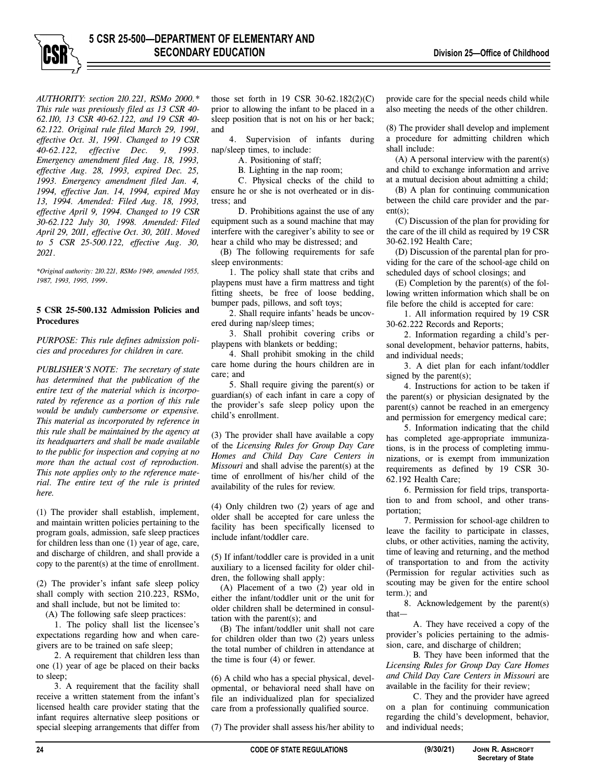*AUTHORITY: section 210.221, RSMo 2000.\* This rule was previously filed as 13 CSR 40- 62.110, 13 CSR 40-62.122, and 19 CSR 40- 62.122. Original rule filed March 29, 1991, effective Oct. 31, 1991. Changed to 19 CSR 40-62.122, effective Dec. 9, 1993. Emergency amendment filed Aug. 18, 1993, effective Aug. 28, 1993, expired Dec. 25, 1993. Emergency amendment filed Jan. 4, 1994, effective Jan. 14, 1994, expired May 13, 1994. Amended: Filed Aug. 18, 1993, effective April 9, 1994. Changed to 19 CSR 30-62.122 July 30, 1998. Amended: Filed April 29, 2011, effective Oct. 30, 2011. Moved to 5 CSR 25-500.122, effective Aug. 30, 2021.* 

*\*Original authority: 210.221, RSMo 1949, amended 1955, 1987, 1993, 1995, 1999*.

## **5 CSR 25-500.132 Admission Policies and Procedures**

*PURPOSE: This rule defines admission policies and procedures for children in care.* 

*PUBLISHER'S NOTE: The secretary of state has determined that the publication of the entire text of the material which is incorporated by reference as a portion of this rule would be unduly cumbersome or expensive. This material as incorporated by reference in this rule shall be maintained by the agency at its headquarters and shall be made available to the public for inspection and copying at no more than the actual cost of reproduction. This note applies only to the reference material. The entire text of the rule is printed here.* 

(1) The provider shall establish, implement, and maintain written policies pertaining to the program goals, admission, safe sleep practices for children less than one (1) year of age, care, and discharge of children, and shall provide a copy to the parent(s) at the time of enrollment.

(2) The provider's infant safe sleep policy shall comply with section 210.223, RSMo, and shall include, but not be limited to:

(A) The following safe sleep practices:

1. The policy shall list the licensee's expectations regarding how and when caregivers are to be trained on safe sleep;

2. A requirement that children less than one (1) year of age be placed on their backs to sleep;

3. A requirement that the facility shall receive a written statement from the infant's licensed health care provider stating that the infant requires alternative sleep positions or special sleeping arrangements that differ from

those set forth in 19 CSR 30-62.182(2)(C) prior to allowing the infant to be placed in a sleep position that is not on his or her back; and

4. Supervision of infants during nap/sleep times, to include:

A. Positioning of staff;

B. Lighting in the nap room;

C. Physical checks of the child to ensure he or she is not overheated or in distress; and

D. Prohibitions against the use of any equipment such as a sound machine that may interfere with the caregiver's ability to see or hear a child who may be distressed; and

(B) The following requirements for safe sleep environments:

1. The policy shall state that cribs and playpens must have a firm mattress and tight fitting sheets, be free of loose bedding, bumper pads, pillows, and soft toys;

2. Shall require infants' heads be uncovered during nap/sleep times;

3. Shall prohibit covering cribs or playpens with blankets or bedding;

4. Shall prohibit smoking in the child care home during the hours children are in care; and

5. Shall require giving the parent(s) or guardian(s) of each infant in care a copy of the provider's safe sleep policy upon the child's enrollment.

(3) The provider shall have available a copy of the *Licensing Rules for Group Day Care Homes and Child Day Care Centers in Missouri* and shall advise the parent(s) at the time of enrollment of his/her child of the availability of the rules for review.

(4) Only children two (2) years of age and older shall be accepted for care unless the facility has been specifically licensed to include infant/toddler care.

(5) If infant/toddler care is provided in a unit auxiliary to a licensed facility for older children, the following shall apply:

(A) Placement of a two (2) year old in either the infant/toddler unit or the unit for older children shall be determined in consultation with the parent(s); and

(B) The infant/toddler unit shall not care for children older than two (2) years unless the total number of children in attendance at the time is four (4) or fewer.

(6) A child who has a special physical, developmental, or behavioral need shall have on file an individualized plan for specialized care from a professionally qualified source.

(7) The provider shall assess his/her ability to

provide care for the special needs child while also meeting the needs of the other children.

(8) The provider shall develop and implement a procedure for admitting children which shall include:

(A) A personal interview with the parent(s) and child to exchange information and arrive at a mutual decision about admitting a child;

(B) A plan for continuing communication between the child care provider and the parent(s);

(C) Discussion of the plan for providing for the care of the ill child as required by 19 CSR 30-62.192 Health Care;

(D) Discussion of the parental plan for providing for the care of the school-age child on scheduled days of school closings; and

(E) Completion by the parent(s) of the following written information which shall be on file before the child is accepted for care:

1. All information required by 19 CSR 30-62.222 Records and Reports;

2. Information regarding a child's personal development, behavior patterns, habits, and individual needs;

3. A diet plan for each infant/toddler signed by the parent(s);

4. Instructions for action to be taken if the parent(s) or physician designated by the parent(s) cannot be reached in an emergency and permission for emergency medical care;

5. Information indicating that the child has completed age-appropriate immunizations, is in the process of completing immunizations, or is exempt from immunization requirements as defined by 19 CSR 30- 62.192 Health Care;

6. Permission for field trips, transportation to and from school, and other transportation;

7. Permission for school-age children to leave the facility to participate in classes, clubs, or other activities, naming the activity, time of leaving and returning, and the method of transportation to and from the activity (Permission for regular activities such as scouting may be given for the entire school term.); and

8. Acknowledgement by the parent(s) that—

A. They have received a copy of the provider's policies pertaining to the admission, care, and discharge of children;

B. They have been informed that the *Licensing Rules for Group Day Care Homes and Child Day Care Centers in Missouri* are available in the facility for their review;

C. They and the provider have agreed on a plan for continuing communication regarding the child's development, behavior, and individual needs;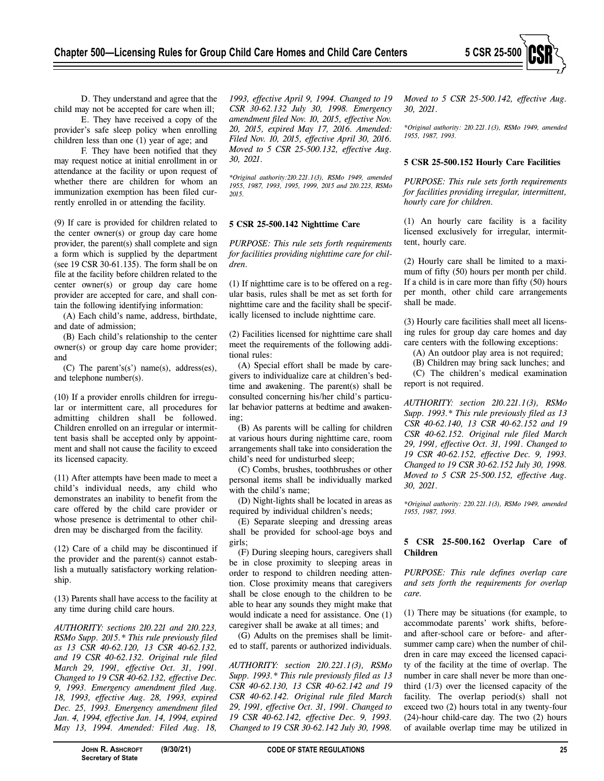

D. They understand and agree that the child may not be accepted for care when ill;

E. They have received a copy of the provider's safe sleep policy when enrolling children less than one (1) year of age; and

F. They have been notified that they may request notice at initial enrollment in or attendance at the facility or upon request of whether there are children for whom an immunization exemption has been filed currently enrolled in or attending the facility.

(9) If care is provided for children related to the center owner(s) or group day care home provider, the parent(s) shall complete and sign a form which is supplied by the department (see 19 CSR 30-61.135). The form shall be on file at the facility before children related to the center owner(s) or group day care home provider are accepted for care, and shall contain the following identifying information:

(A) Each child's name, address, birthdate, and date of admission;

(B) Each child's relationship to the center owner(s) or group day care home provider; and

(C) The parent's(s') name(s), address(es), and telephone number(s).

(10) If a provider enrolls children for irregular or intermittent care, all procedures for admitting children shall be followed. Children enrolled on an irregular or intermittent basis shall be accepted only by appointment and shall not cause the facility to exceed its licensed capacity.

(11) After attempts have been made to meet a child's individual needs, any child who demonstrates an inability to benefit from the care offered by the child care provider or whose presence is detrimental to other children may be discharged from the facility.

(12) Care of a child may be discontinued if the provider and the parent(s) cannot establish a mutually satisfactory working relationship.

(13) Parents shall have access to the facility at any time during child care hours.

*AUTHORITY: sections 210.221 and 210.223, RSMo Supp. 2015.\* This rule previously filed as 13 CSR 40-62.120, 13 CSR 40-62.132, and 19 CSR 40-62.132. Original rule filed March 29, 1991, effective Oct. 31, 1991. Changed to 19 CSR 40-62.132, effective Dec. 9, 1993. Emergency amendment filed Aug. 18, 1993, effective Aug. 28, 1993, expired Dec. 25, 1993. Emergency amendment filed Jan. 4, 1994, effective Jan. 14, 1994, expired May 13, 1994. Amended: Filed Aug. 18,* 

*1993, effective April 9, 1994. Changed to 19 CSR 30-62.132 July 30, 1998. Emergency amendment filed Nov. 10, 2015, effective Nov. 20, 2015, expired May 17, 2016. Amended: Filed Nov. 10, 2015, effective April 30, 2016. Moved to 5 CSR 25-500.132, effective Aug. 30, 2021.* 

*\*Original authority:210.221.1(3), RSMo 1949, amended 1955, 1987, 1993, 1995, 1999, 2015 and 210.223, RSMo 2015.* 

## **5 CSR 25-500.142 Nighttime Care**

*PURPOSE: This rule sets forth requirements for facilities providing nighttime care for children.* 

(1) If nighttime care is to be offered on a regular basis, rules shall be met as set forth for nighttime care and the facility shall be specifically licensed to include nighttime care.

(2) Facilities licensed for nighttime care shall meet the requirements of the following additional rules:

(A) Special effort shall be made by caregivers to individualize care at children's bedtime and awakening. The parent(s) shall be consulted concerning his/her child's particular behavior patterns at bedtime and awakening;

(B) As parents will be calling for children at various hours during nighttime care, room arrangements shall take into consideration the child's need for undisturbed sleep;

(C) Combs, brushes, toothbrushes or other personal items shall be individually marked with the child's name;

(D) Night-lights shall be located in areas as required by individual children's needs;

(E) Separate sleeping and dressing areas shall be provided for school-age boys and girls;

(F) During sleeping hours, caregivers shall be in close proximity to sleeping areas in order to respond to children needing attention. Close proximity means that caregivers shall be close enough to the children to be able to hear any sounds they might make that would indicate a need for assistance. One (1) caregiver shall be awake at all times; and

(G) Adults on the premises shall be limited to staff, parents or authorized individuals.

*AUTHORITY: section 210.221.1(3), RSMo Supp. 1993.\* This rule previously filed as 13 CSR 40-62.130, 13 CSR 40-62.142 and 19 CSR 40-62.142. Original rule filed March 29, 1991, effective Oct. 31, 1991. Changed to 19 CSR 40-62.142, effective Dec. 9, 1993. Changed to 19 CSR 30-62.142 July 30, 1998.* 

*Moved to 5 CSR 25-500.142, effective Aug. 30, 2021.* 

*\*Original authority: 210.221.1(3), RSMo 1949, amended 1955, 1987, 1993.* 

## **5 CSR 25-500.152 Hourly Care Facilities**

*PURPOSE: This rule sets forth requirements for facilities providing irregular, intermittent, hourly care for children.* 

(1) An hourly care facility is a facility licensed exclusively for irregular, intermittent, hourly care.

(2) Hourly care shall be limited to a maximum of fifty (50) hours per month per child. If a child is in care more than fifty (50) hours per month, other child care arrangements shall be made.

(3) Hourly care facilities shall meet all licensing rules for group day care homes and day care centers with the following exceptions:

(A) An outdoor play area is not required;

(B) Children may bring sack lunches; and (C) The children's medical examination

report is not required.

*AUTHORITY: section 210.221.1(3), RSMo Supp. 1993.\* This rule previously filed as 13 CSR 40-62.140, 13 CSR 40-62.152 and 19 CSR 40-62.152. Original rule filed March 29, 1991, effective Oct. 31, 1991. Changed to 19 CSR 40-62.152, effective Dec. 9, 1993. Changed to 19 CSR 30-62.152 July 30, 1998. Moved to 5 CSR 25-500.152, effective Aug. 30, 2021.* 

*\*Original authority: 220.221.1(3), RSMo 1949, amended 1955, 1987, 1993.* 

# **5 CSR 25-500.162 Overlap Care of Children**

*PURPOSE: This rule defines overlap care and sets forth the requirements for overlap care.* 

(1) There may be situations (for example, to accommodate parents' work shifts, beforeand after-school care or before- and aftersummer camp care) when the number of children in care may exceed the licensed capacity of the facility at the time of overlap. The number in care shall never be more than onethird (1/3) over the licensed capacity of the facility. The overlap period(s) shall not exceed two (2) hours total in any twenty-four (24)-hour child-care day. The two (2) hours of available overlap time may be utilized in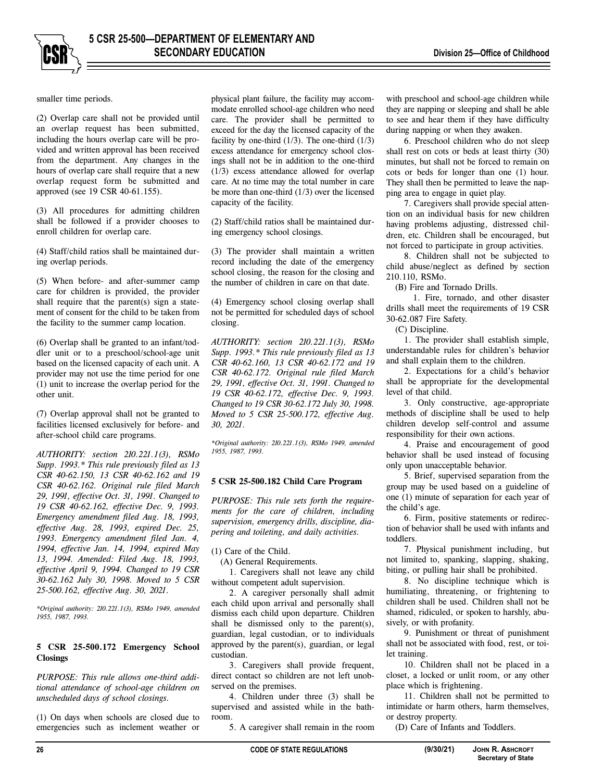

smaller time periods.

(2) Overlap care shall not be provided until an overlap request has been submitted, including the hours overlap care will be provided and written approval has been received from the department. Any changes in the hours of overlap care shall require that a new overlap request form be submitted and approved (see 19 CSR 40-61.155).

(3) All procedures for admitting children shall be followed if a provider chooses to enroll children for overlap care.

(4) Staff/child ratios shall be maintained during overlap periods.

(5) When before- and after-summer camp care for children is provided, the provider shall require that the parent(s) sign a statement of consent for the child to be taken from the facility to the summer camp location.

(6) Overlap shall be granted to an infant/toddler unit or to a preschool/school-age unit based on the licensed capacity of each unit. A provider may not use the time period for one (1) unit to increase the overlap period for the other unit.

(7) Overlap approval shall not be granted to facilities licensed exclusively for before- and after-school child care programs.

*AUTHORITY: section 210.221.1(3), RSMo Supp. 1993.\* This rule previously filed as 13 CSR 40-62.150, 13 CSR 40-62.162 and 19 CSR 40-62.162. Original rule filed March 29, 1991, effective Oct. 31, 1991. Changed to 19 CSR 40-62.162, effective Dec. 9, 1993. Emergency amendment filed Aug. 18, 1993, effective Aug. 28, 1993, expired Dec. 25, 1993. Emergency amendment filed Jan. 4, 1994, effective Jan. 14, 1994, expired May 13, 1994. Amended: Filed Aug. 18, 1993, effective April 9, 1994. Changed to 19 CSR 30-62.162 July 30, 1998. Moved to 5 CSR 25-500.162, effective Aug. 30, 2021.* 

*\*Original authority: 210.221.1(3), RSMo 1949, amended 1955, 1987, 1993.* 

## **5 CSR 25-500.172 Emergency School Closings**

*PURPOSE: This rule allows one-third additional attendance of school-age children on unscheduled days of school closings.* 

(1) On days when schools are closed due to emergencies such as inclement weather or physical plant failure, the facility may accommodate enrolled school-age children who need care. The provider shall be permitted to exceed for the day the licensed capacity of the facility by one-third  $(1/3)$ . The one-third  $(1/3)$ excess attendance for emergency school closings shall not be in addition to the one-third (1/3) excess attendance allowed for overlap care. At no time may the total number in care be more than one-third (1/3) over the licensed capacity of the facility.

(2) Staff/child ratios shall be maintained during emergency school closings.

(3) The provider shall maintain a written record including the date of the emergency school closing, the reason for the closing and the number of children in care on that date.

(4) Emergency school closing overlap shall not be permitted for scheduled days of school closing.

*AUTHORITY: section 210.221.1(3), RSMo Supp. 1993.\* This rule previously filed as 13 CSR 40-62.160, 13 CSR 40-62.172 and 19 CSR 40-62.172. Original rule filed March 29, 1991, effective Oct. 31, 1991. Changed to 19 CSR 40-62.172, effective Dec. 9, 1993. Changed to 19 CSR 30-62.172 July 30, 1998. Moved to 5 CSR 25-500.172, effective Aug. 30, 2021.* 

*\*Original authority: 210.221.1(3), RSMo 1949, amended 1955, 1987, 1993.* 

## **5 CSR 25-500.182 Child Care Program**

*PURPOSE: This rule sets forth the requirements for the care of children, including supervision, emergency drills, discipline, diapering and toileting, and daily activities.* 

(1) Care of the Child.

(A) General Requirements.

1. Caregivers shall not leave any child without competent adult supervision.

2. A caregiver personally shall admit each child upon arrival and personally shall dismiss each child upon departure. Children shall be dismissed only to the parent(s), guardian, legal custodian, or to individuals approved by the parent(s), guardian, or legal custodian.

3. Caregivers shall provide frequent, direct contact so children are not left unobserved on the premises.

4. Children under three (3) shall be supervised and assisted while in the bathroom.

5. A caregiver shall remain in the room

with preschool and school-age children while they are napping or sleeping and shall be able to see and hear them if they have difficulty during napping or when they awaken.

6. Preschool children who do not sleep shall rest on cots or beds at least thirty (30) minutes, but shall not be forced to remain on cots or beds for longer than one (1) hour. They shall then be permitted to leave the napping area to engage in quiet play.

7. Caregivers shall provide special attention on an individual basis for new children having problems adjusting, distressed children, etc. Children shall be encouraged, but not forced to participate in group activities.

8. Children shall not be subjected to child abuse/neglect as defined by section 210.110, RSMo.

(B) Fire and Tornado Drills.

1. Fire, tornado, and other disaster drills shall meet the requirements of 19 CSR 30-62.087 Fire Safety.

(C) Discipline.

1. The provider shall establish simple, understandable rules for children's behavior and shall explain them to the children.

2. Expectations for a child's behavior shall be appropriate for the developmental level of that child.

3. Only constructive, age-appropriate methods of discipline shall be used to help children develop self-control and assume responsibility for their own actions.

4. Praise and encouragement of good behavior shall be used instead of focusing only upon unacceptable behavior.

5. Brief, supervised separation from the group may be used based on a guideline of one (1) minute of separation for each year of the child's age.

6. Firm, positive statements or redirection of behavior shall be used with infants and toddlers.

7. Physical punishment including, but not limited to, spanking, slapping, shaking, biting, or pulling hair shall be prohibited.

8. No discipline technique which is humiliating, threatening, or frightening to children shall be used. Children shall not be shamed, ridiculed, or spoken to harshly, abusively, or with profanity.

9. Punishment or threat of punishment shall not be associated with food, rest, or toilet training.

10. Children shall not be placed in a closet, a locked or unlit room, or any other place which is frightening.

11. Children shall not be permitted to intimidate or harm others, harm themselves, or destroy property.

(D) Care of Infants and Toddlers.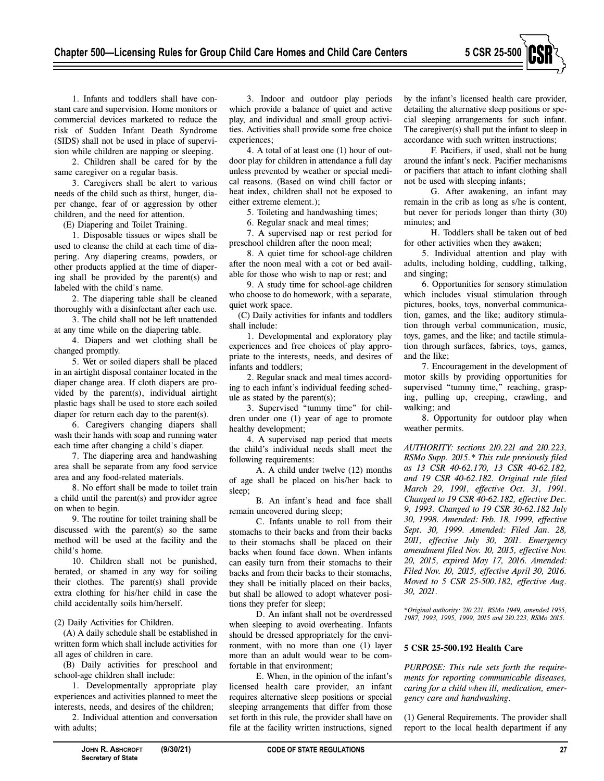

1. Infants and toddlers shall have constant care and supervision. Home monitors or commercial devices marketed to reduce the risk of Sudden Infant Death Syndrome (SIDS) shall not be used in place of supervision while children are napping or sleeping.

2. Children shall be cared for by the same caregiver on a regular basis.

3. Caregivers shall be alert to various needs of the child such as thirst, hunger, diaper change, fear of or aggression by other children, and the need for attention.

(E) Diapering and Toilet Training.

1. Disposable tissues or wipes shall be used to cleanse the child at each time of diapering. Any diapering creams, powders, or other products applied at the time of diapering shall be provided by the parent(s) and labeled with the child's name.

2. The diapering table shall be cleaned thoroughly with a disinfectant after each use.

3. The child shall not be left unattended at any time while on the diapering table.

4. Diapers and wet clothing shall be changed promptly.

5. Wet or soiled diapers shall be placed in an airtight disposal container located in the diaper change area. If cloth diapers are provided by the parent(s), individual airtight plastic bags shall be used to store each soiled diaper for return each day to the parent(s).

6. Caregivers changing diapers shall wash their hands with soap and running water each time after changing a child's diaper.

7. The diapering area and handwashing area shall be separate from any food service area and any food-related materials.

8. No effort shall be made to toilet train a child until the parent(s) and provider agree on when to begin.

9. The routine for toilet training shall be discussed with the parent(s) so the same method will be used at the facility and the child's home.

10. Children shall not be punished, berated, or shamed in any way for soiling their clothes. The parent(s) shall provide extra clothing for his/her child in case the child accidentally soils him/herself.

(2) Daily Activities for Children.

(A) A daily schedule shall be established in written form which shall include activities for all ages of children in care.

(B) Daily activities for preschool and school-age children shall include:

1. Developmentally appropriate play experiences and activities planned to meet the interests, needs, and desires of the children;

2. Individual attention and conversation with adults;

3. Indoor and outdoor play periods which provide a balance of quiet and active play, and individual and small group activities. Activities shall provide some free choice experiences;

4. A total of at least one (1) hour of outdoor play for children in attendance a full day unless prevented by weather or special medical reasons. (Based on wind chill factor or heat index, children shall not be exposed to either extreme element.);

5. Toileting and handwashing times;

6. Regular snack and meal times;

7. A supervised nap or rest period for preschool children after the noon meal;

8. A quiet time for school-age children after the noon meal with a cot or bed available for those who wish to nap or rest; and

9. A study time for school-age children who choose to do homework, with a separate, quiet work space.

(C) Daily activities for infants and toddlers shall include:

1. Developmental and exploratory play experiences and free choices of play appropriate to the interests, needs, and desires of infants and toddlers;

2. Regular snack and meal times according to each infant's individual feeding schedule as stated by the parent(s);

3. Supervised "tummy time" for children under one (1) year of age to promote healthy development;

4. A supervised nap period that meets the child's individual needs shall meet the following requirements:

A. A child under twelve (12) months of age shall be placed on his/her back to sleep;

B. An infant's head and face shall remain uncovered during sleep;

C. Infants unable to roll from their stomachs to their backs and from their backs to their stomachs shall be placed on their backs when found face down. When infants can easily turn from their stomachs to their backs and from their backs to their stomachs, they shall be initially placed on their backs, but shall be allowed to adopt whatever positions they prefer for sleep;

D. An infant shall not be overdressed when sleeping to avoid overheating. Infants should be dressed appropriately for the environment, with no more than one (1) layer more than an adult would wear to be comfortable in that environment;

E. When, in the opinion of the infant's licensed health care provider, an infant requires alternative sleep positions or special sleeping arrangements that differ from those set forth in this rule, the provider shall have on file at the facility written instructions, signed by the infant's licensed health care provider, detailing the alternative sleep positions or special sleeping arrangements for such infant. The caregiver(s) shall put the infant to sleep in accordance with such written instructions;

F. Pacifiers, if used, shall not be hung around the infant's neck. Pacifier mechanisms or pacifiers that attach to infant clothing shall not be used with sleeping infants;

G. After awakening, an infant may remain in the crib as long as s/he is content, but never for periods longer than thirty (30) minutes; and

H. Toddlers shall be taken out of bed for other activities when they awaken;

5. Individual attention and play with adults, including holding, cuddling, talking, and singing;

6. Opportunities for sensory stimulation which includes visual stimulation through pictures, books, toys, nonverbal communication, games, and the like; auditory stimulation through verbal communication, music, toys, games, and the like; and tactile stimulation through surfaces, fabrics, toys, games, and the like;

7. Encouragement in the development of motor skills by providing opportunities for supervised "tummy time," reaching, grasping, pulling up, creeping, crawling, and walking; and

8. Opportunity for outdoor play when weather permits.

*AUTHORITY: sections 210.221 and 210.223, RSMo Supp. 2015.\* This rule previously filed as 13 CSR 40-62.170, 13 CSR 40-62.182, and 19 CSR 40-62.182. Original rule filed March 29, 1991, effective Oct. 31, 1991. Changed to 19 CSR 40-62.182, effective Dec. 9, 1993. Changed to 19 CSR 30-62.182 July 30, 1998. Amended: Feb. 18, 1999, effective Sept. 30, 1999. Amended: Filed Jan. 28, 2011, effective July 30, 2011. Emergency amendment filed Nov. 10, 2015, effective Nov. 20, 2015, expired May 17, 2016. Amended: Filed Nov. 10, 2015, effective April 30, 2016. Moved to 5 CSR 25-500.182, effective Aug. 30, 2021.* 

*\*Original authority: 210.221, RSMo 1949, amended 1955, 1987, 1993, 1995, 1999, 2015 and 210.223, RSMo 2015.* 

#### **5 CSR 25-500.192 Health Care**

*PURPOSE: This rule sets forth the requirements for reporting communicable diseases, caring for a child when ill, medication, emergency care and handwashing.* 

(1) General Requirements. The provider shall report to the local health department if any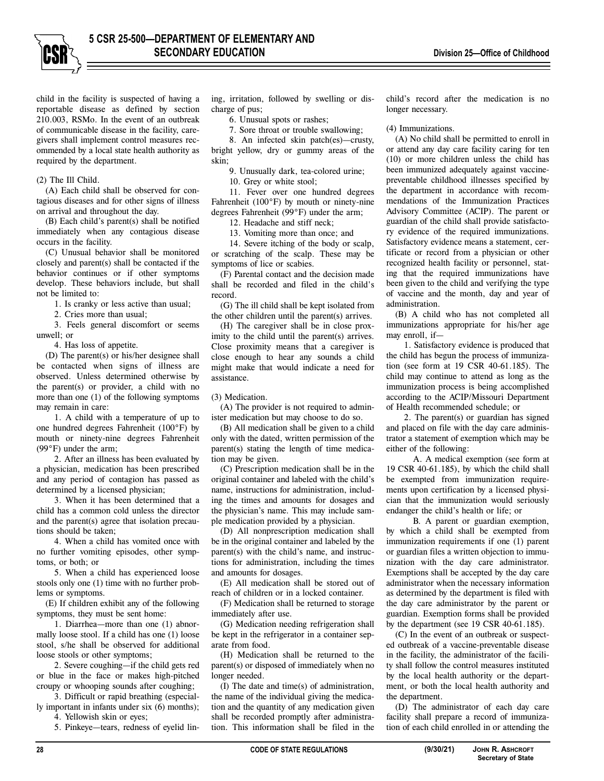

child in the facility is suspected of having a reportable disease as defined by section 210.003, RSMo. In the event of an outbreak of communicable disease in the facility, caregivers shall implement control measures recommended by a local state health authority as required by the department.

## (2) The Ill Child.

(A) Each child shall be observed for contagious diseases and for other signs of illness on arrival and throughout the day.

(B) Each child's parent(s) shall be notified immediately when any contagious disease occurs in the facility.

(C) Unusual behavior shall be monitored closely and parent(s) shall be contacted if the behavior continues or if other symptoms develop. These behaviors include, but shall not be limited to:

1. Is cranky or less active than usual;

2. Cries more than usual;

3. Feels general discomfort or seems unwell; or

4. Has loss of appetite.

(D) The parent(s) or his/her designee shall be contacted when signs of illness are observed. Unless determined otherwise by the parent(s) or provider, a child with no more than one (1) of the following symptoms may remain in care:

1. A child with a temperature of up to one hundred degrees Fahrenheit (100°F) by mouth or ninety-nine degrees Fahrenheit (99°F) under the arm;

2. After an illness has been evaluated by a physician, medication has been prescribed and any period of contagion has passed as determined by a licensed physician;

3. When it has been determined that a child has a common cold unless the director and the parent(s) agree that isolation precautions should be taken;

4. When a child has vomited once with no further vomiting episodes, other symptoms, or both; or

5. When a child has experienced loose stools only one (1) time with no further problems or symptoms.

(E) If children exhibit any of the following symptoms, they must be sent home:

1. Diarrhea—more than one (1) abnormally loose stool. If a child has one (1) loose stool, s/he shall be observed for additional loose stools or other symptoms;

2. Severe coughing—if the child gets red or blue in the face or makes high-pitched croupy or whooping sounds after coughing;

3. Difficult or rapid breathing (especially important in infants under six (6) months);

4. Yellowish skin or eyes;

5. Pinkeye—tears, redness of eyelid lin-

ing, irritation, followed by swelling or discharge of pus;

6. Unusual spots or rashes;

7. Sore throat or trouble swallowing;

8. An infected skin patch(es)—crusty, bright yellow, dry or gummy areas of the skin;

9. Unusually dark, tea-colored urine;

10. Grey or white stool;

11. Fever over one hundred degrees Fahrenheit (100°F) by mouth or ninety-nine degrees Fahrenheit (99°F) under the arm;

12. Headache and stiff neck;

13. Vomiting more than once; and

14. Severe itching of the body or scalp, or scratching of the scalp. These may be symptoms of lice or scabies.

(F) Parental contact and the decision made shall be recorded and filed in the child's record.

(G) The ill child shall be kept isolated from the other children until the parent(s) arrives.

(H) The caregiver shall be in close proximity to the child until the parent(s) arrives. Close proximity means that a caregiver is close enough to hear any sounds a child might make that would indicate a need for assistance.

(3) Medication.

(A) The provider is not required to administer medication but may choose to do so.

(B) All medication shall be given to a child only with the dated, written permission of the parent(s) stating the length of time medication may be given.

(C) Prescription medication shall be in the original container and labeled with the child's name, instructions for administration, including the times and amounts for dosages and the physician's name. This may include sample medication provided by a physician.

(D) All nonprescription medication shall be in the original container and labeled by the parent(s) with the child's name, and instructions for administration, including the times and amounts for dosages.

(E) All medication shall be stored out of reach of children or in a locked container.

(F) Medication shall be returned to storage immediately after use.

(G) Medication needing refrigeration shall be kept in the refrigerator in a container separate from food.

(H) Medication shall be returned to the parent(s) or disposed of immediately when no longer needed.

(I) The date and time(s) of administration, the name of the individual giving the medication and the quantity of any medication given shall be recorded promptly after administration. This information shall be filed in the

child's record after the medication is no longer necessary.

#### (4) Immunizations.

(A) No child shall be permitted to enroll in or attend any day care facility caring for ten (10) or more children unless the child has been immunized adequately against vaccinepreventable childhood illnesses specified by the department in accordance with recommendations of the Immunization Practices Advisory Committee (ACIP). The parent or guardian of the child shall provide satisfactory evidence of the required immunizations. Satisfactory evidence means a statement, certificate or record from a physician or other recognized health facility or personnel, stating that the required immunizations have been given to the child and verifying the type of vaccine and the month, day and year of administration.

(B) A child who has not completed all immunizations appropriate for his/her age may enroll, if—

1. Satisfactory evidence is produced that the child has begun the process of immunization (see form at 19 CSR 40-61.185). The child may continue to attend as long as the immunization process is being accomplished according to the ACIP/Missouri Department of Health recommended schedule; or

2. The parent(s) or guardian has signed and placed on file with the day care administrator a statement of exemption which may be either of the following:

A. A medical exemption (see form at 19 CSR 40-61.185), by which the child shall be exempted from immunization requirements upon certification by a licensed physician that the immunization would seriously endanger the child's health or life; or

B. A parent or guardian exemption, by which a child shall be exempted from immunization requirements if one (1) parent or guardian files a written objection to immunization with the day care administrator. Exemptions shall be accepted by the day care administrator when the necessary information as determined by the department is filed with the day care administrator by the parent or guardian. Exemption forms shall be provided by the department (see 19 CSR 40-61.185).

(C) In the event of an outbreak or suspected outbreak of a vaccine-preventable disease in the facility, the administrator of the facility shall follow the control measures instituted by the local health authority or the department, or both the local health authority and the department.

(D) The administrator of each day care facility shall prepare a record of immunization of each child enrolled in or attending the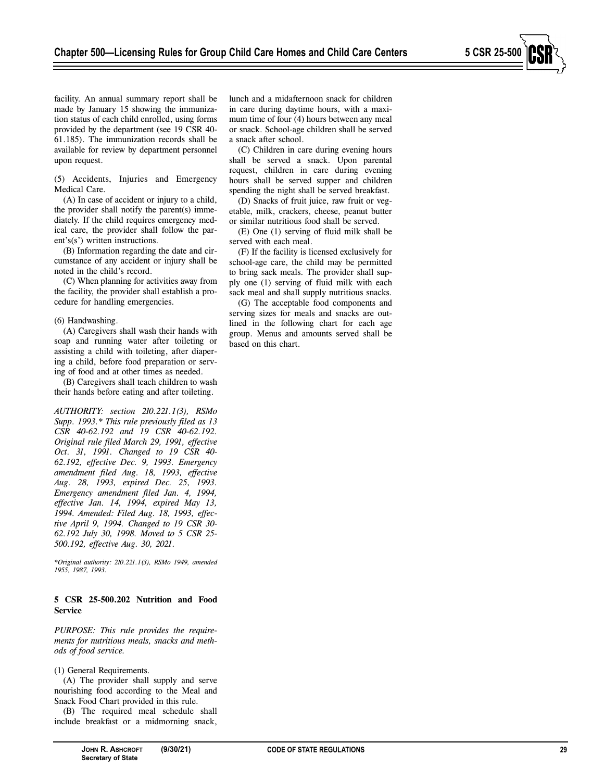a snack after school.

served with each meal.

based on this chart.

lunch and a midafternoon snack for children in care during daytime hours, with a maximum time of four (4) hours between any meal or snack. School-age children shall be served

(C) Children in care during evening hours shall be served a snack. Upon parental request, children in care during evening hours shall be served supper and children spending the night shall be served breakfast. (D) Snacks of fruit juice, raw fruit or vegetable, milk, crackers, cheese, peanut butter or similar nutritious food shall be served. (E) One (1) serving of fluid milk shall be

(F) If the facility is licensed exclusively for school-age care, the child may be permitted to bring sack meals. The provider shall supply one (1) serving of fluid milk with each sack meal and shall supply nutritious snacks. (G) The acceptable food components and serving sizes for meals and snacks are outlined in the following chart for each age group. Menus and amounts served shall be

facility. An annual summary report shall be made by January 15 showing the immunization status of each child enrolled, using forms provided by the department (see 19 CSR 40- 61.185). The immunization records shall be available for review by department personnel upon request.

(5) Accidents, Injuries and Emergency Medical Care.

(A) In case of accident or injury to a child, the provider shall notify the parent(s) immediately. If the child requires emergency medical care, the provider shall follow the parent's(s') written instructions.

(B) Information regarding the date and circumstance of any accident or injury shall be noted in the child's record.

(C) When planning for activities away from the facility, the provider shall establish a procedure for handling emergencies.

(6) Handwashing.

(A) Caregivers shall wash their hands with soap and running water after toileting or assisting a child with toileting, after diapering a child, before food preparation or serving of food and at other times as needed.

(B) Caregivers shall teach children to wash their hands before eating and after toileting.

*AUTHORITY: section 210.221.1(3), RSMo Supp. 1993.\* This rule previously filed as 13 CSR 40-62.192 and 19 CSR 40-62.192. Original rule filed March 29, 1991, effective Oct. 31, 1991. Changed to 19 CSR 40- 62.192, effective Dec. 9, 1993. Emergency amendment filed Aug. 18, 1993, effective Aug. 28, 1993, expired Dec. 25, 1993. Emergency amendment filed Jan. 4, 1994, effective Jan. 14, 1994, expired May 13, 1994. Amended: Filed Aug. 18, 1993, effective April 9, 1994. Changed to 19 CSR 30- 62.192 July 30, 1998. Moved to 5 CSR 25- 500.192, effective Aug. 30, 2021.* 

*\*Original authority: 210.221.1(3), RSMo 1949, amended 1955, 1987, 1993.* 

## **5 CSR 25-500.202 Nutrition and Food Service**

*PURPOSE: This rule provides the requirements for nutritious meals, snacks and methods of food service.* 

## (1) General Requirements.

(A) The provider shall supply and serve nourishing food according to the Meal and Snack Food Chart provided in this rule.

(B) The required meal schedule shall include breakfast or a midmorning snack,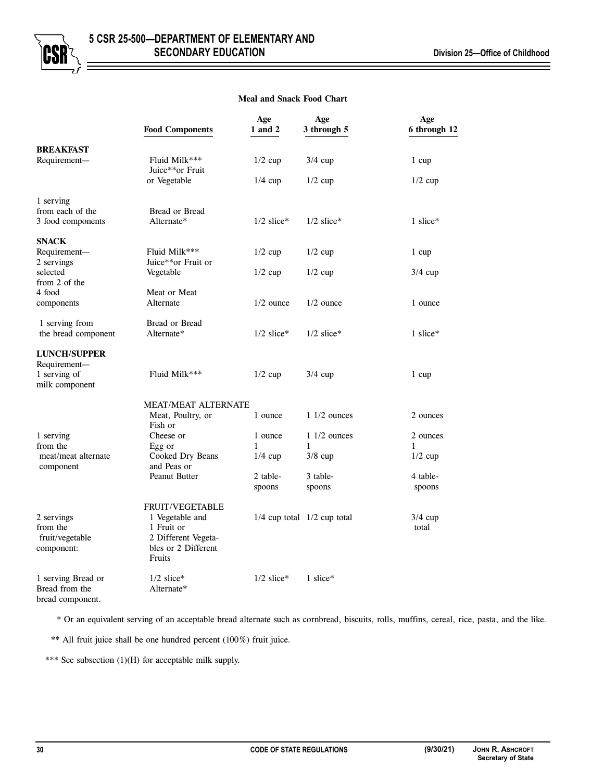

# **Meal and Snack Food Chart**

|                                  | <b>Food Components</b>           | Age<br>1 and 2 | Age<br>3 through 5              | Age<br>6 through 12 |
|----------------------------------|----------------------------------|----------------|---------------------------------|---------------------|
| <b>BREAKFAST</b>                 |                                  |                |                                 |                     |
| Requirement-                     | Fluid Milk***<br>Juice**or Fruit | $1/2$ cup      | $3/4$ cup                       | 1 cup               |
|                                  | or Vegetable                     | $1/4$ cup      | $1/2$ cup                       | $1/2$ cup           |
| 1 serving                        |                                  |                |                                 |                     |
| from each of the                 | Bread or Bread                   |                |                                 |                     |
| 3 food components                | Alternate*                       | $1/2$ slice*   | $1/2$ slice*                    | 1 slice $*$         |
| <b>SNACK</b>                     |                                  |                |                                 |                     |
| Requirement-                     | Fluid Milk***                    | $1/2$ cup      | $1/2$ cup                       | 1 cup               |
| 2 servings                       | Juice**or Fruit or               |                |                                 |                     |
| selected<br>from 2 of the        | Vegetable                        | $1/2$ cup      | $1/2$ cup                       | $3/4$ cup           |
| 4 food                           | Meat or Meat                     |                |                                 |                     |
| components                       | Alternate                        | $1/2$ ounce    | $1/2$ ounce                     | 1 ounce             |
|                                  |                                  |                |                                 |                     |
| 1 serving from                   | Bread or Bread                   |                |                                 |                     |
| the bread component              | Alternate*                       | $1/2$ slice*   | $1/2$ slice*                    | 1 slice $*$         |
| <b>LUNCH/SUPPER</b>              |                                  |                |                                 |                     |
| Requirement-                     |                                  |                |                                 |                     |
| 1 serving of                     | Fluid Milk***                    | $1/2$ cup      | $3/4$ cup                       | 1 cup               |
| milk component                   |                                  |                |                                 |                     |
|                                  | <b>MEAT/MEAT ALTERNATE</b>       |                |                                 |                     |
|                                  | Meat, Poultry, or                | 1 ounce        | $11/2$ ounces                   | 2 ounces            |
|                                  | Fish or                          |                |                                 |                     |
| 1 serving                        | Cheese or                        | 1 ounce        | $11/2$ ounces                   | 2 ounces            |
| from the                         | Egg or                           | 1              | $\mathbf{1}$                    | 1                   |
| meat/meat alternate<br>component | Cooked Dry Beans<br>and Peas or  | $1/4$ cup      | $3/8$ cup                       | $1/2$ cup           |
|                                  | Peanut Butter                    | 2 table-       | 3 table-                        | 4 table-            |
|                                  |                                  | spoons         | spoons                          | spoons              |
|                                  | <b>FRUIT/VEGETABLE</b>           |                |                                 |                     |
| 2 servings                       | 1 Vegetable and                  |                | $1/4$ cup total $1/2$ cup total | $3/4$ cup           |
| from the                         | 1 Fruit or                       |                |                                 | total               |
| fruit/vegetable                  | 2 Different Vegeta-              |                |                                 |                     |
| component:                       | bles or 2 Different              |                |                                 |                     |
|                                  | Fruits                           |                |                                 |                     |
| 1 serving Bread or               | $1/2$ slice*                     | $1/2$ slice*   | 1 slice*                        |                     |
| Bread from the                   | Alternate*                       |                |                                 |                     |

bread component.

\* Or an equivalent serving of an acceptable bread alternate such as cornbread, biscuits, rolls, muffins, cereal, rice, pasta, and the like.

\*\* All fruit juice shall be one hundred percent (100%) fruit juice.

\*\*\* See subsection (1)(H) for acceptable milk supply.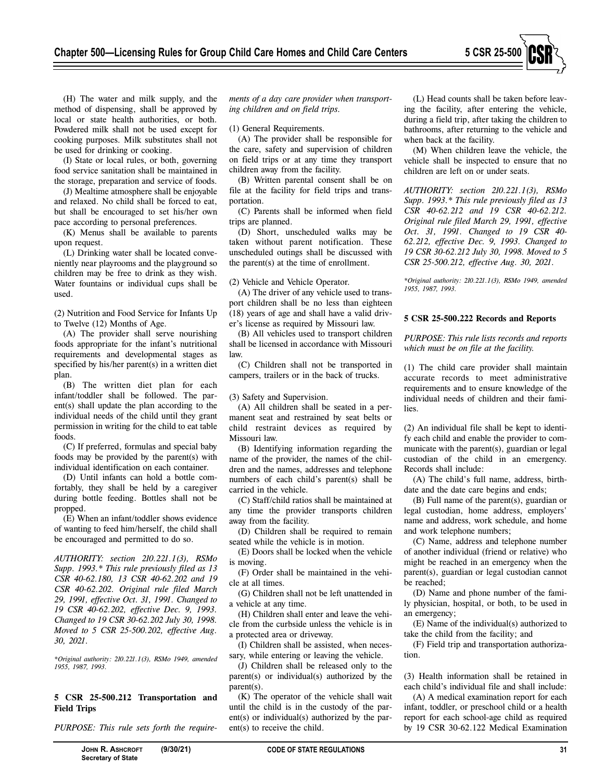

(H) The water and milk supply, and the method of dispensing, shall be approved by local or state health authorities, or both. Powdered milk shall not be used except for cooking purposes. Milk substitutes shall not be used for drinking or cooking.

(I) State or local rules, or both, governing food service sanitation shall be maintained in the storage, preparation and service of foods.

(J) Mealtime atmosphere shall be enjoyable and relaxed. No child shall be forced to eat, but shall be encouraged to set his/her own pace according to personal preferences.

(K) Menus shall be available to parents upon request.

(L) Drinking water shall be located conveniently near playrooms and the playground so children may be free to drink as they wish. Water fountains or individual cups shall be used.

(2) Nutrition and Food Service for Infants Up to Twelve (12) Months of Age.

(A) The provider shall serve nourishing foods appropriate for the infant's nutritional requirements and developmental stages as specified by his/her parent(s) in a written diet plan.

(B) The written diet plan for each infant/toddler shall be followed. The parent(s) shall update the plan according to the individual needs of the child until they grant permission in writing for the child to eat table foods.

(C) If preferred, formulas and special baby foods may be provided by the parent(s) with individual identification on each container.

(D) Until infants can hold a bottle comfortably, they shall be held by a caregiver during bottle feeding. Bottles shall not be propped.

(E) When an infant/toddler shows evidence of wanting to feed him/herself, the child shall be encouraged and permitted to do so.

*AUTHORITY: section 210.221.1(3), RSMo Supp. 1993.\* This rule previously filed as 13 CSR 40-62.180, 13 CSR 40-62.202 and 19 CSR 40-62.202. Original rule filed March 29, 1991, effective Oct. 31, 1991. Changed to 19 CSR 40-62.202, effective Dec. 9, 1993. Changed to 19 CSR 30-62.202 July 30, 1998. Moved to 5 CSR 25-500.202, effective Aug. 30, 2021.* 

*\*Original authority: 210.221.1(3), RSMo 1949, amended 1955, 1987, 1993.* 

## **5 CSR 25-500.212 Transportation and Field Trips**

*PURPOSE: This rule sets forth the require-*

*ments of a day care provider when transporting children and on field trips.* 

(1) General Requirements.

(A) The provider shall be responsible for the care, safety and supervision of children on field trips or at any time they transport children away from the facility.

(B) Written parental consent shall be on file at the facility for field trips and transportation.

(C) Parents shall be informed when field trips are planned.

(D) Short, unscheduled walks may be taken without parent notification. These unscheduled outings shall be discussed with the parent(s) at the time of enrollment.

(2) Vehicle and Vehicle Operator.

(A) The driver of any vehicle used to transport children shall be no less than eighteen (18) years of age and shall have a valid driver's license as required by Missouri law.

(B) All vehicles used to transport children shall be licensed in accordance with Missouri law.

(C) Children shall not be transported in campers, trailers or in the back of trucks.

(3) Safety and Supervision.

(A) All children shall be seated in a permanent seat and restrained by seat belts or child restraint devices as required by Missouri law.

(B) Identifying information regarding the name of the provider, the names of the children and the names, addresses and telephone numbers of each child's parent(s) shall be carried in the vehicle.

(C) Staff/child ratios shall be maintained at any time the provider transports children away from the facility.

(D) Children shall be required to remain seated while the vehicle is in motion.

(E) Doors shall be locked when the vehicle is moving.

(F) Order shall be maintained in the vehicle at all times.

(G) Children shall not be left unattended in a vehicle at any time.

(H) Children shall enter and leave the vehicle from the curbside unless the vehicle is in a protected area or driveway.

(I) Children shall be assisted, when necessary, while entering or leaving the vehicle.

(J) Children shall be released only to the parent(s) or individual(s) authorized by the parent(s).

(K) The operator of the vehicle shall wait until the child is in the custody of the parent(s) or individual(s) authorized by the parent(s) to receive the child.

(L) Head counts shall be taken before leaving the facility, after entering the vehicle, during a field trip, after taking the children to bathrooms, after returning to the vehicle and when back at the facility.

(M) When children leave the vehicle, the vehicle shall be inspected to ensure that no children are left on or under seats.

*AUTHORITY: section 210.221.1(3), RSMo Supp. 1993.\* This rule previously filed as 13 CSR 40-62.212 and 19 CSR 40-62.212. Original rule filed March 29, 1991, effective Oct. 31, 1991. Changed to 19 CSR 40- 62.212, effective Dec. 9, 1993. Changed to 19 CSR 30-62.212 July 30, 1998. Moved to 5 CSR 25-500.212, effective Aug. 30, 2021.* 

*\*Original authority: 210.221.1(3), RSMo 1949, amended 1955, 1987, 1993.* 

#### **5 CSR 25-500.222 Records and Reports**

*PURPOSE: This rule lists records and reports which must be on file at the facility.* 

(1) The child care provider shall maintain accurate records to meet administrative requirements and to ensure knowledge of the individual needs of children and their families.

(2) An individual file shall be kept to identify each child and enable the provider to communicate with the parent(s), guardian or legal custodian of the child in an emergency. Records shall include:

(A) The child's full name, address, birthdate and the date care begins and ends;

(B) Full name of the parent(s), guardian or legal custodian, home address, employers' name and address, work schedule, and home and work telephone numbers;

(C) Name, address and telephone number of another individual (friend or relative) who might be reached in an emergency when the parent(s), guardian or legal custodian cannot be reached;

(D) Name and phone number of the family physician, hospital, or both, to be used in an emergency;

(E) Name of the individual(s) authorized to take the child from the facility; and

(F) Field trip and transportation authorization.

(3) Health information shall be retained in each child's individual file and shall include:

(A) A medical examination report for each infant, toddler, or preschool child or a health report for each school-age child as required by 19 CSR 30-62.122 Medical Examination